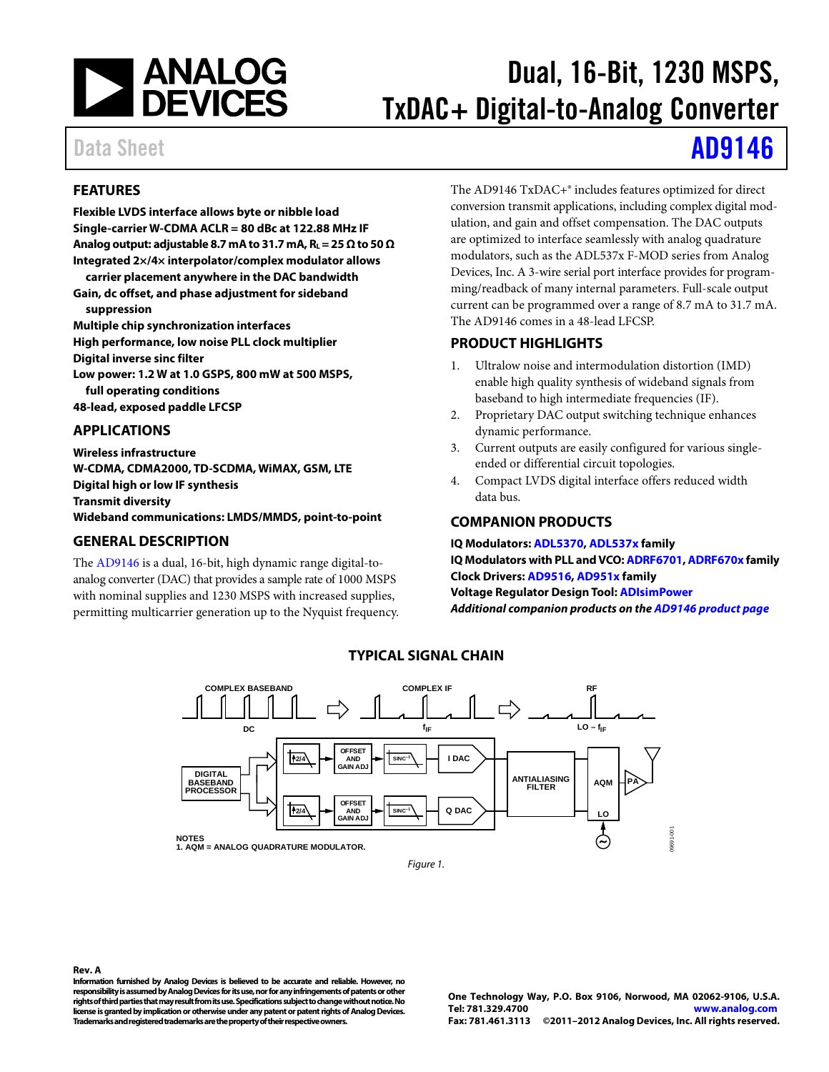

# Dual, 16-Bit, 1230 MSPS, TxDAC+ Digital-to-Analog Converter

Data Sheet **[AD9146](http://www.analog.com/ad9146)** 

### <span id="page-0-0"></span>**FEATURES**

**Flexible LVDS interface allows byte or nibble load Single-carrier W-CDMA ACLR = 80 dBc at 122.88 MHz IF Analog output: adjustable 8.7 mA to 31.7 mA, RL = 25 Ω to 50 Ω Integrated 2×/4× interpolator/complex modulator allows** 

**carrier placement anywhere in the DAC bandwidth Gain, dc offset, and phase adjustment for sideband suppression**

**Multiple chip synchronization interfaces**

**High performance, low noise PLL clock multiplier**

**Digital inverse sinc filter**

**Low power: 1.2 W at 1.0 GSPS, 800 mW at 500 MSPS,** 

**full operating conditions**

**48-lead, exposed paddle LFCSP**

### <span id="page-0-1"></span>**APPLICATIONS**

**Wireless infrastructure W-CDMA, CDMA2000, TD-SCDMA, WiMAX, GSM, LTE Digital high or low IF synthesis Transmit diversity Wideband communications: LMDS/MMDS, point-to-point**

### <span id="page-0-2"></span>**GENERAL DESCRIPTION**

The [AD9146](http://www.analog.com/AD9146) is a dual, 16-bit, high dynamic range digital-toanalog converter (DAC) that provides a sample rate of 1000 MSPS with nominal supplies and 1230 MSPS with increased supplies, permitting multicarrier generation up to the Nyquist frequency. The AD9146 TxDAC+® includes features optimized for direct conversion transmit applications, including complex digital modulation, and gain and offset compensation. The DAC outputs are optimized to interface seamlessly with analog quadrature modulators, such as the ADL537x F-MOD series from Analog Devices, Inc. A 3-wire serial port interface provides for programming/readback of many internal parameters. Full-scale output current can be programmed over a range of 8.7 mA to 31.7 mA. The AD9146 comes in a 48-lead LFCSP.

### <span id="page-0-3"></span>**PRODUCT HIGHLIGHTS**

- 1. Ultralow noise and intermodulation distortion (IMD) enable high quality synthesis of wideband signals from baseband to high intermediate frequencies (IF).
- 2. Proprietary DAC output switching technique enhances dynamic performance.
- 3. Current outputs are easily configured for various singleended or differential circuit topologies.
- 4. Compact LVDS digital interface offers reduced width data bus.

### <span id="page-0-4"></span>**COMPANION PRODUCTS**

**IQ Modulators[: ADL5370,](http://www.analog.com/ADL5370) [ADL537x](http://www.analog.com/ADL537) family IQ Modulators with PLL and VCO[: ADRF6701,](http://www.analog.com/ADRF6701) [ADRF670x](http://www.analog.com/ADRF670) family Clock Drivers[: AD9516,](http://www.analog.com/AD9516) [AD951x](http://www.analog.com/AD951) family Voltage Regulator Design Tool[: ADIsimPower](http://www.analog.com/ADIsimPower)** *Additional companion products on the [AD9146](http://www.analog.com/AD9146) product page*

<span id="page-0-5"></span>

**TYPICAL SIGNAL CHAIN**

### **Rev. A**

**Information furnished by Analog Devices is believed to be accurate and reliable. However, no responsibility is assumed by Analog Devices for its use, nor for any infringements of patents or other rights of third parties that may result from its use. Specifications subject to change without notice. No license is granted by implication or otherwise under any patent or patent rights of Analog Devices. Trademarks and registered trademarks are the property of their respective owners.**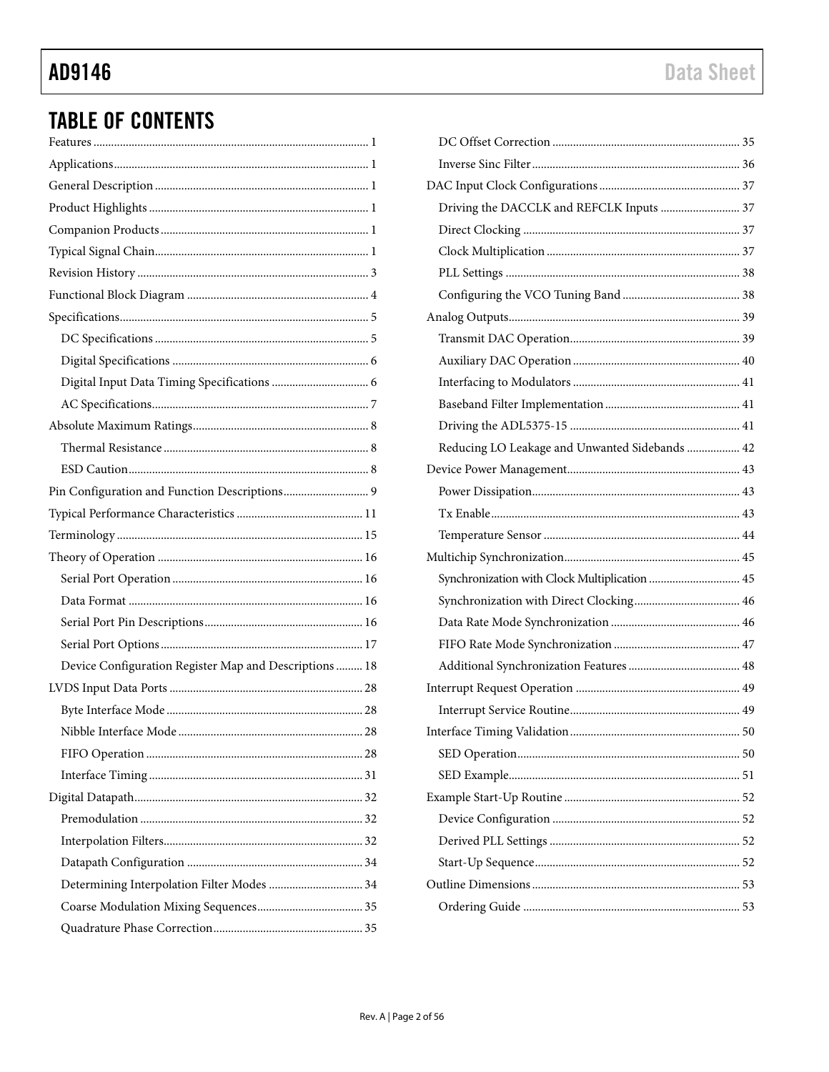# **TABLE OF CONTENTS**

| Device Configuration Register Map and Descriptions  18 |
|--------------------------------------------------------|
|                                                        |
|                                                        |
|                                                        |
|                                                        |
|                                                        |
|                                                        |
|                                                        |
|                                                        |
|                                                        |
| Determining Interpolation Filter Modes  34             |
|                                                        |
|                                                        |

| Driving the DACCLK and REFCLK Inputs  37       |  |
|------------------------------------------------|--|
|                                                |  |
|                                                |  |
|                                                |  |
|                                                |  |
|                                                |  |
|                                                |  |
|                                                |  |
|                                                |  |
|                                                |  |
|                                                |  |
| Reducing LO Leakage and Unwanted Sidebands  42 |  |
|                                                |  |
|                                                |  |
|                                                |  |
|                                                |  |
|                                                |  |
| Synchronization with Clock Multiplication  45  |  |
|                                                |  |
|                                                |  |
|                                                |  |
|                                                |  |
|                                                |  |
|                                                |  |
|                                                |  |
|                                                |  |
|                                                |  |
|                                                |  |
|                                                |  |
|                                                |  |
|                                                |  |
|                                                |  |
|                                                |  |
|                                                |  |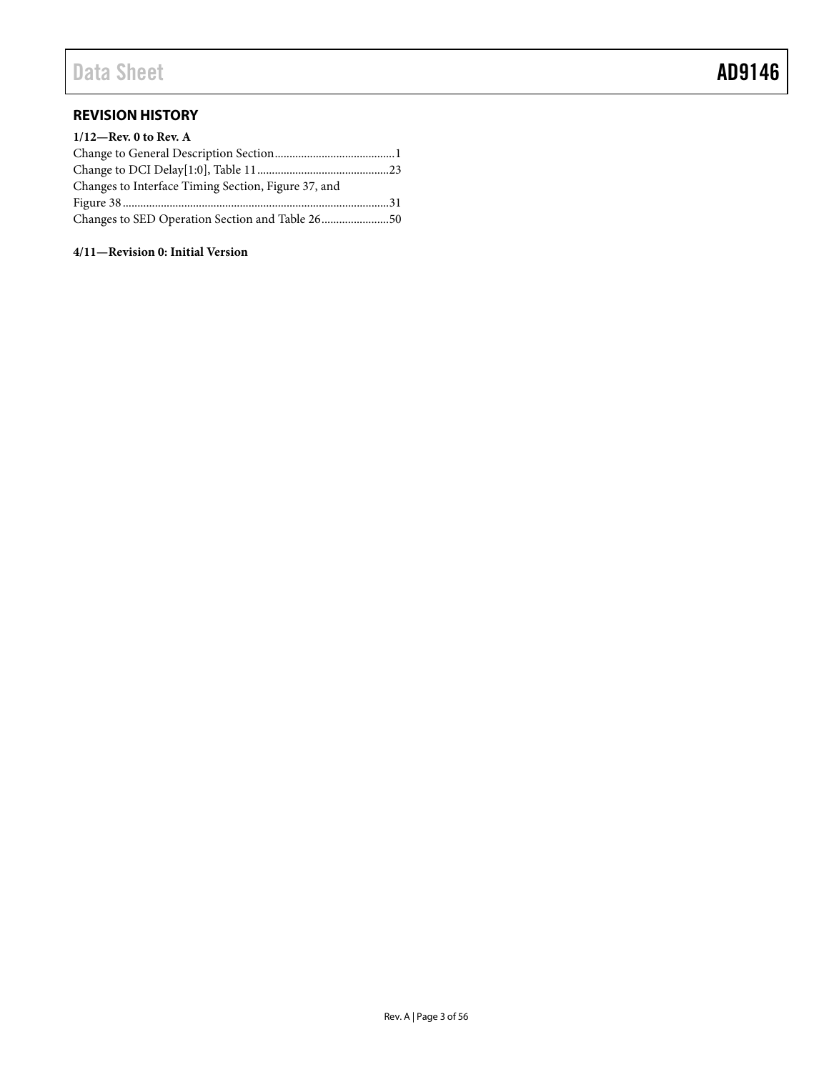### <span id="page-2-0"></span>**REVISION HISTORY**

| $1/12$ —Rev. 0 to Rev. A                            |  |
|-----------------------------------------------------|--|
|                                                     |  |
|                                                     |  |
| Changes to Interface Timing Section, Figure 37, and |  |
|                                                     |  |
| Changes to SED Operation Section and Table 2650     |  |

**4/11—Revision 0: Initial Version**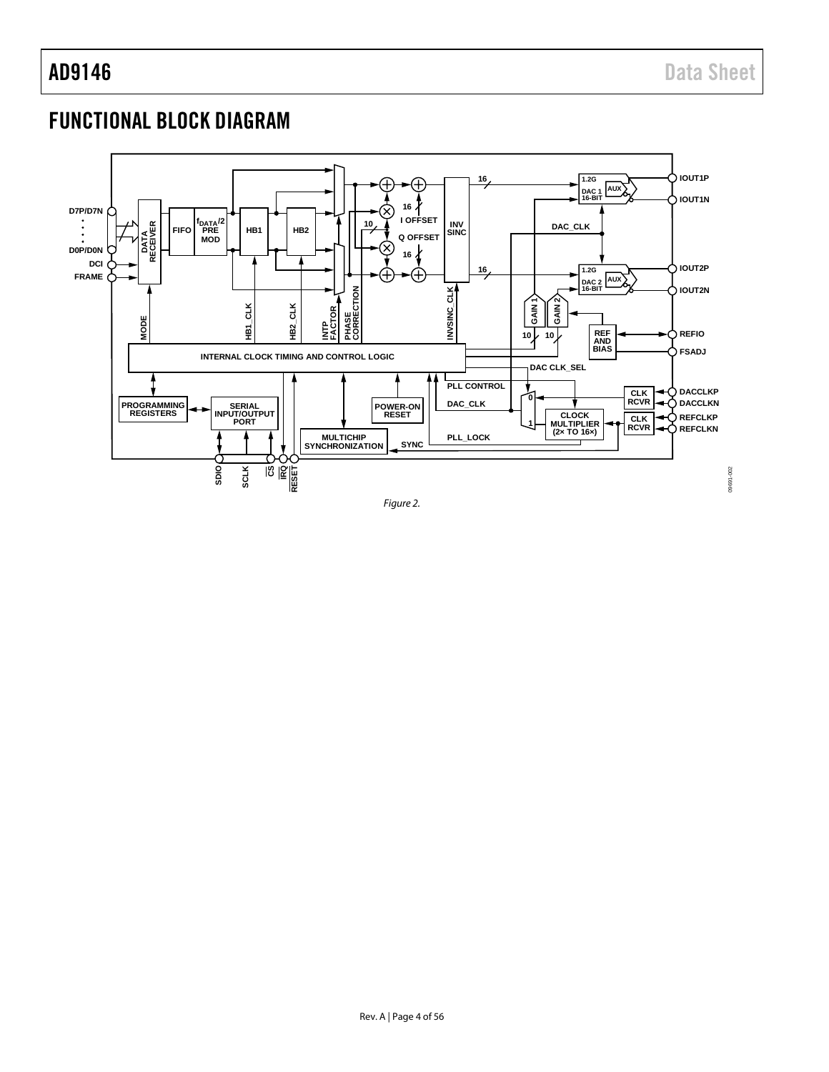09691-002

09691-002

## <span id="page-3-0"></span>FUNCTIONAL BLOCK DIAGRAM



*Figure 2.*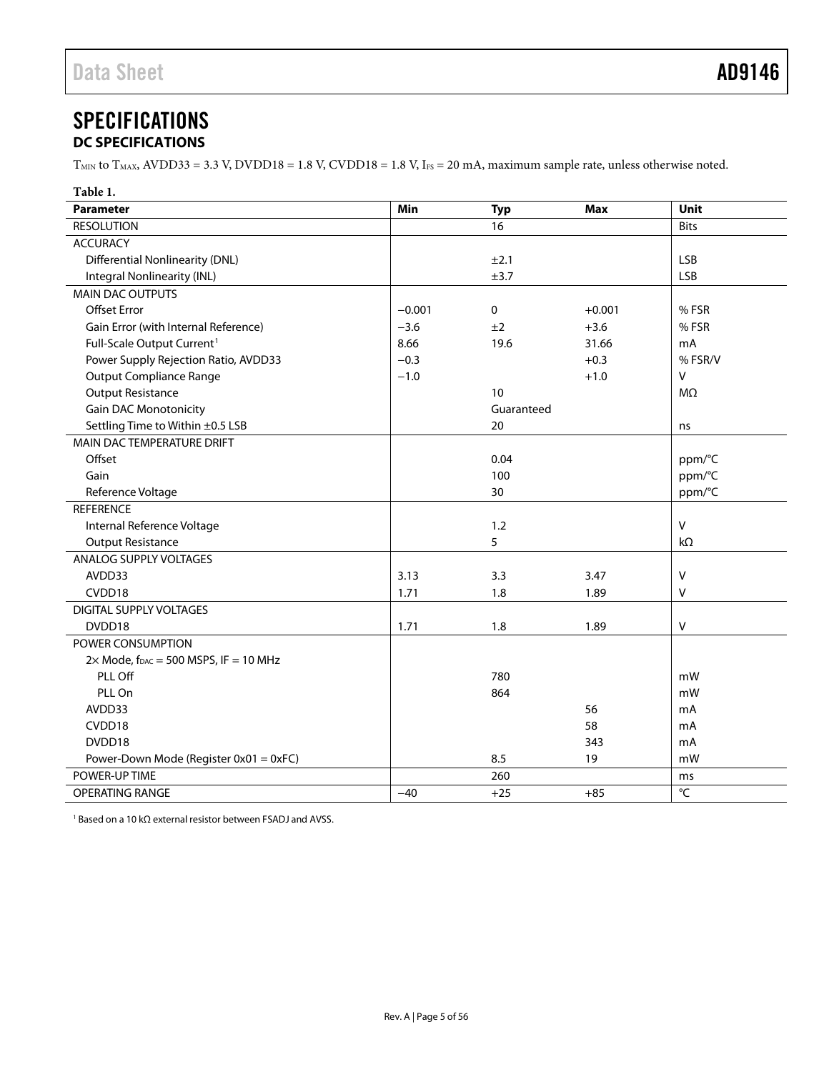### <span id="page-4-0"></span>**SPECIFICATIONS DC SPECIFICATIONS**

<span id="page-4-1"></span> $T<sub>MIN</sub>$  to  $T<sub>MAX</sub>$ , AVDD33 = 3.3 V, DVDD18 = 1.8 V, CVDD18 = 1.8 V, I<sub>FS</sub> = 20 mA, maximum sample rate, unless otherwise noted.

| Table 1.                                          |          |            |            |                   |
|---------------------------------------------------|----------|------------|------------|-------------------|
| <b>Parameter</b>                                  | Min      | <b>Typ</b> | <b>Max</b> | Unit              |
| <b>RESOLUTION</b>                                 |          | 16         |            | <b>Bits</b>       |
| <b>ACCURACY</b>                                   |          |            |            |                   |
| <b>Differential Nonlinearity (DNL)</b>            |          | ±2.1       |            | <b>LSB</b>        |
| Integral Nonlinearity (INL)                       |          | ±3.7       |            | <b>LSB</b>        |
| MAIN DAC OUTPUTS                                  |          |            |            |                   |
| <b>Offset Error</b>                               | $-0.001$ | 0          | $+0.001$   | % FSR             |
| Gain Error (with Internal Reference)              | $-3.6$   | ±2         | $+3.6$     | % FSR             |
| Full-Scale Output Current <sup>1</sup>            | 8.66     | 19.6       | 31.66      | mA                |
| Power Supply Rejection Ratio, AVDD33              | $-0.3$   |            | $+0.3$     | % FSR/V           |
| <b>Output Compliance Range</b>                    | $-1.0$   |            | $+1.0$     | $\mathsf{V}$      |
| <b>Output Resistance</b>                          |          | 10         |            | $M\Omega$         |
| <b>Gain DAC Monotonicity</b>                      |          | Guaranteed |            |                   |
| Settling Time to Within ±0.5 LSB                  |          | 20         |            | ns                |
| MAIN DAC TEMPERATURE DRIFT                        |          |            |            |                   |
| Offset                                            |          | 0.04       |            | ppm/°C            |
| Gain                                              |          | 100        |            | ppm/°C            |
| Reference Voltage                                 |          | 30         |            | ppm/°C            |
| <b>REFERENCE</b>                                  |          |            |            |                   |
| Internal Reference Voltage                        |          | 1.2        |            | $\vee$            |
| <b>Output Resistance</b>                          |          | 5          |            | $k\Omega$         |
| ANALOG SUPPLY VOLTAGES                            |          |            |            |                   |
| AVDD33                                            | 3.13     | 3.3        | 3.47       | $\vee$            |
| CVDD18                                            | 1.71     | 1.8        | 1.89       | V                 |
| <b>DIGITAL SUPPLY VOLTAGES</b>                    |          |            |            |                   |
| DVDD18                                            | 1.71     | 1.8        | 1.89       | $\sf V$           |
| POWER CONSUMPTION                                 |          |            |            |                   |
| $2\times$ Mode, $f_{DAC} = 500$ MSPS, IF = 10 MHz |          |            |            |                   |
| PLL Off                                           |          | 780        |            | mW                |
| PLL On                                            |          | 864        |            | mW                |
| AVDD33                                            |          |            | 56         | mA                |
| CVDD18                                            |          |            | 58         | mA                |
| DVDD18                                            |          |            | 343        | mA                |
| Power-Down Mode (Register 0x01 = 0xFC)            |          | 8.5        | 19         | mW                |
| POWER-UP TIME                                     |          | 260        |            | ms                |
| <b>OPERATING RANGE</b>                            | $-40$    | $+25$      | $+85$      | $^{\circ}{\sf C}$ |

<sup>1</sup> Based on a 10 kΩ external resistor between FSADJ and AVSS.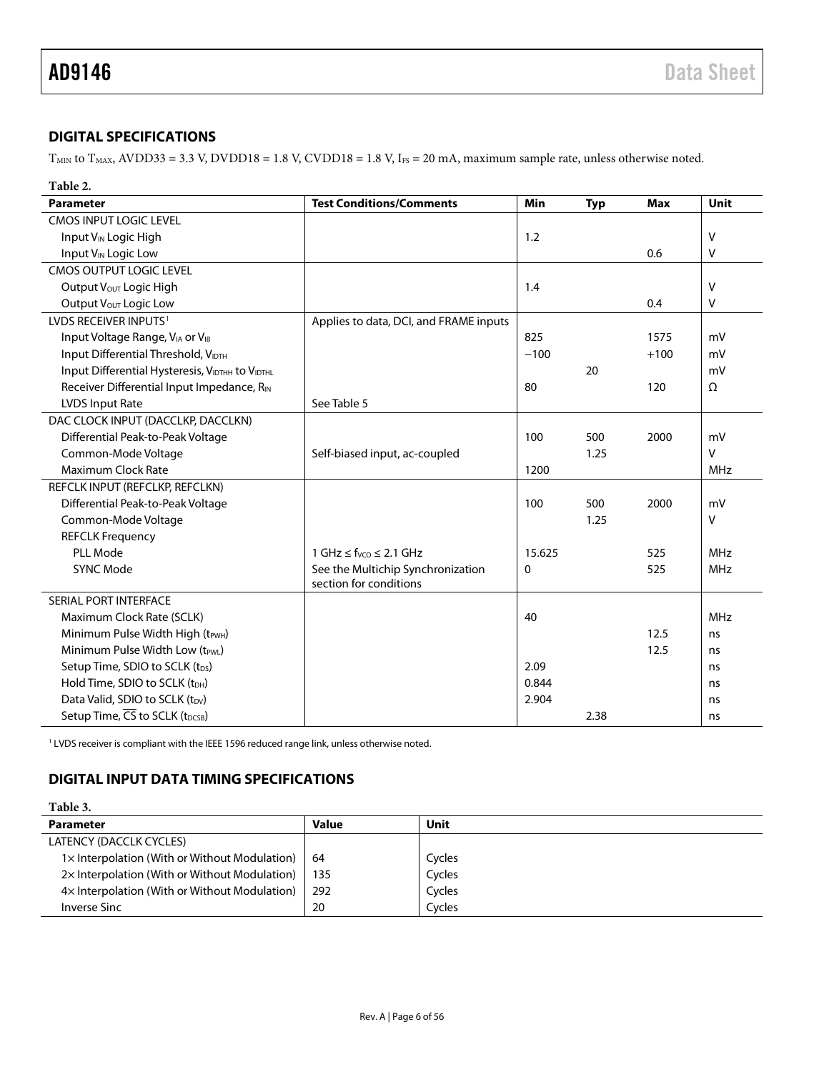### <span id="page-5-0"></span>**DIGITAL SPECIFICATIONS**

 $T<sub>MIN</sub>$  to  $T<sub>MAX</sub>$ , AVDD33 = 3.3 V, DVDD18 = 1.8 V, CVDD18 = 1.8 V, I<sub>FS</sub> = 20 mA, maximum sample rate, unless otherwise noted.

| Table 2.         |  |
|------------------|--|
| <b>Parameter</b> |  |

| <b>Parameter</b>                                | <b>Test Conditions/Comments</b>        | Min      | <b>Typ</b> | <b>Max</b> | Unit       |
|-------------------------------------------------|----------------------------------------|----------|------------|------------|------------|
| <b>CMOS INPUT LOGIC LEVEL</b>                   |                                        |          |            |            |            |
| Input V <sub>IN</sub> Logic High                |                                        | 1.2      |            |            | V          |
| Input V <sub>IN</sub> Logic Low                 |                                        |          |            | 0.6        | V          |
| <b>CMOS OUTPUT LOGIC LEVEL</b>                  |                                        |          |            |            |            |
| Output V <sub>OUT</sub> Logic High              |                                        | 1.4      |            |            | $\vee$     |
| Output Vout Logic Low                           |                                        |          |            | 0.4        | $\vee$     |
| LVDS RECEIVER INPUTS <sup>1</sup>               | Applies to data, DCI, and FRAME inputs |          |            |            |            |
| Input Voltage Range, VIA or VIB                 |                                        | 825      |            | 1575       | mV         |
| Input Differential Threshold, VIDTH             |                                        | $-100$   |            | $+100$     | mV         |
| Input Differential Hysteresis, VIDTHH to VIDTHL |                                        |          | 20         |            | mV         |
| Receiver Differential Input Impedance, RIN      |                                        | 80       |            | 120        | Ω          |
| <b>LVDS Input Rate</b>                          | See Table 5                            |          |            |            |            |
| DAC CLOCK INPUT (DACCLKP, DACCLKN)              |                                        |          |            |            |            |
| Differential Peak-to-Peak Voltage               |                                        | 100      | 500        | 2000       | mV         |
| Common-Mode Voltage                             | Self-biased input, ac-coupled          |          | 1.25       |            | $\vee$     |
| <b>Maximum Clock Rate</b>                       |                                        | 1200     |            |            | <b>MHz</b> |
| REFCLK INPUT (REFCLKP, REFCLKN)                 |                                        |          |            |            |            |
| Differential Peak-to-Peak Voltage               |                                        | 100      | 500        | 2000       | mV         |
| Common-Mode Voltage                             |                                        |          | 1.25       |            | $\vee$     |
| <b>REFCLK Frequency</b>                         |                                        |          |            |            |            |
| PLL Mode                                        | $1 GHz \le f_{VCO} \le 2.1 GHz$        | 15.625   |            | 525        | <b>MHz</b> |
| <b>SYNC Mode</b>                                | See the Multichip Synchronization      | $\Omega$ |            | 525        | MHz        |
|                                                 | section for conditions                 |          |            |            |            |
| SERIAL PORT INTERFACE                           |                                        |          |            |            |            |
| Maximum Clock Rate (SCLK)                       |                                        | 40       |            |            | <b>MHz</b> |
| Minimum Pulse Width High (t <sub>PWH</sub> )    |                                        |          |            | 12.5       | ns         |
| Minimum Pulse Width Low (tPWL)                  |                                        |          |            | 12.5       | ns         |
| Setup Time, SDIO to SCLK (t <sub>DS</sub> )     |                                        | 2.09     |            |            | ns         |
| Hold Time, SDIO to SCLK (tDH)                   |                                        | 0.844    |            |            | ns         |
| Data Valid, SDIO to SCLK (t <sub>DV</sub> )     |                                        | 2.904    |            |            | ns         |
| Setup Time, CS to SCLK (t <sub>DCSB</sub> )     |                                        |          | 2.38       |            | ns         |

<span id="page-5-3"></span><sup>1</sup> LVDS receiver is compliant with the IEEE 1596 reduced range link, unless otherwise noted.

### <span id="page-5-1"></span>**DIGITAL INPUT DATA TIMING SPECIFICATIONS**

### **Table 3.**

<span id="page-5-2"></span>

| <b>Parameter</b>                                      | <b>Value</b> | Unit   |
|-------------------------------------------------------|--------------|--------|
| LATENCY (DACCLK CYCLES)                               |              |        |
| $1 \times$ Interpolation (With or Without Modulation) | -64          | Cycles |
| 2x Interpolation (With or Without Modulation)         | 135          | Cycles |
| 4x Interpolation (With or Without Modulation)         | 292          | Cycles |
| Inverse Sinc                                          | 20           | Cycles |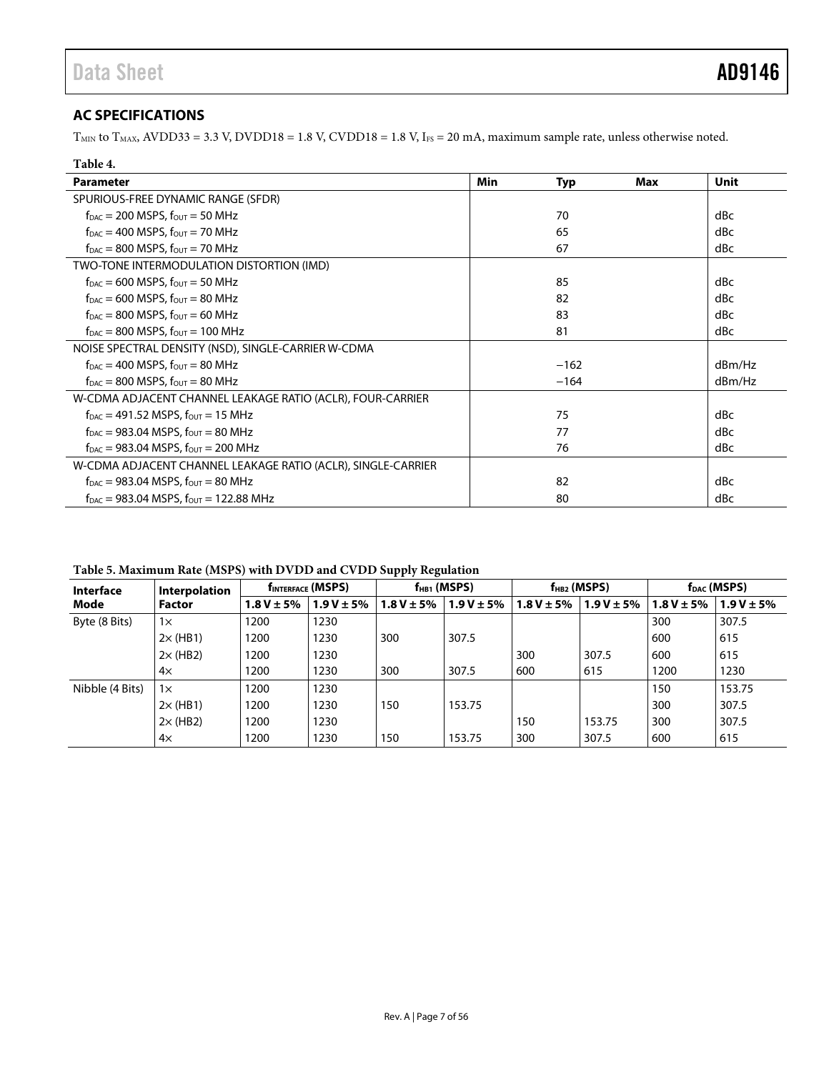### <span id="page-6-0"></span>**AC SPECIFICATIONS**

 $T<sub>MIN</sub>$  to  $T<sub>MAX</sub>$ , AVDD33 = 3.3 V, DVDD18 = 1.8 V, CVDD18 = 1.8 V, IFS = 20 mA, maximum sample rate, unless otherwise noted.

| Table 4.                                                                    |     |            |     |        |
|-----------------------------------------------------------------------------|-----|------------|-----|--------|
| <b>Parameter</b>                                                            | Min | <b>Typ</b> | Max | Unit   |
| SPURIOUS-FREE DYNAMIC RANGE (SFDR)                                          |     |            |     |        |
| $f_{\text{DAC}} = 200$ MSPS, $f_{\text{OUT}} = 50$ MHz                      |     | 70         |     | dBc    |
| $f_{\text{DAC}} = 400$ MSPS, $f_{\text{OUT}} = 70$ MHz                      |     | 65         |     | dBc    |
| $f_{DAC} = 800$ MSPS, $f_{OUT} = 70$ MHz                                    |     | 67         |     | dBc    |
| TWO-TONE INTERMODULATION DISTORTION (IMD)                                   |     |            |     |        |
| $f_{\text{DAC}} = 600$ MSPS, $f_{\text{OUT}} = 50$ MHz                      |     | 85         |     | dBc    |
| $f_{\text{DAC}} = 600$ MSPS, $f_{\text{OUT}} = 80$ MHz                      |     | 82         |     | dBc    |
| $f_{\text{DAC}} = 800$ MSPS, $f_{\text{OUT}} = 60$ MHz                      |     | 83         |     | dBc    |
| $f_{\text{DAC}} = 800$ MSPS, $f_{\text{OUT}} = 100$ MHz                     |     | 81         |     | dBc    |
| NOISE SPECTRAL DENSITY (NSD), SINGLE-CARRIER W-CDMA                         |     |            |     |        |
| $f_{\text{DAC}} = 400$ MSPS, $f_{\text{OUT}} = 80$ MHz                      |     | $-162$     |     | dBm/Hz |
| $f_{DAC} = 800$ MSPS, $f_{OUT} = 80$ MHz                                    |     | $-164$     |     | dBm/Hz |
| W-CDMA ADJACENT CHANNEL LEAKAGE RATIO (ACLR), FOUR-CARRIER                  |     |            |     |        |
| $f_{\text{DAC}} = 491.52 \text{ MSPS}, f_{\text{OUT}} = 15 \text{ MHz}$     |     | 75         |     | dBc    |
| $f_{\text{DAC}} = 983.04$ MSPS, $f_{\text{OUT}} = 80$ MHz                   |     | 77         |     | dBc    |
| $f_{\text{DAC}} = 983.04 \text{ MSPS}, f_{\text{OUT}} = 200 \text{ MHz}$    |     | 76         |     | dBc    |
| W-CDMA ADJACENT CHANNEL LEAKAGE RATIO (ACLR), SINGLE-CARRIER                |     |            |     |        |
| $f_{\text{DAC}} = 983.04 \text{ MSPS}, f_{\text{OUT}} = 80 \text{ MHz}$     |     | 82         |     | dBc    |
| $f_{\text{DAC}} = 983.04 \text{ MSPS}, f_{\text{OUT}} = 122.88 \text{ MHz}$ |     | 80         |     | dBc    |

<span id="page-6-1"></span>**Table 5. Maximum Rate (MSPS) with DVDD and CVDD Supply Regulation**

| <b>Interface</b> | Interpolation   | <b>f</b> INTERFACE (MSPS) |                 | $f_{HB1}$ (MSPS) |                | $f_{HB2}$ (MSPS) |                 | f <sub>DAC</sub> (MSPS) |                 |
|------------------|-----------------|---------------------------|-----------------|------------------|----------------|------------------|-----------------|-------------------------|-----------------|
| Mode             | <b>Factor</b>   | $1.8 V \pm 5%$            | $1.9 V \pm 5\%$ | $1.8 V \pm 5\%$  | $1.9V \pm 5\%$ | $1.8 V \pm 5\%$  | $1.9 V \pm 5\%$ | $1.8 V \pm 5%$          | $1.9 V \pm 5\%$ |
| Byte (8 Bits)    | $1\times$       | 1200                      | 1230            |                  |                |                  |                 | 300                     | 307.5           |
|                  | $2\times$ (HB1) | 1200                      | 1230            | 300              | 307.5          |                  |                 | 600                     | 615             |
|                  | $2\times$ (HB2) | 1200                      | 1230            |                  |                | 300              | 307.5           | 600                     | 615             |
|                  | $4\times$       | 1200                      | 1230            | 300              | 307.5          | 600              | 615             | 1200                    | 1230            |
| Nibble (4 Bits)  | $1\times$       | 1200                      | 1230            |                  |                |                  |                 | 150                     | 153.75          |
|                  | $2\times$ (HB1) | 1200                      | 1230            | 150              | 153.75         |                  |                 | 300                     | 307.5           |
|                  | $2\times$ (HB2) | 1200                      | 1230            |                  |                | 150              | 153.75          | 300                     | 307.5           |
|                  | $4\times$       | 1200                      | 1230            | 150              | 153.75         | 300              | 307.5           | 600                     | 615             |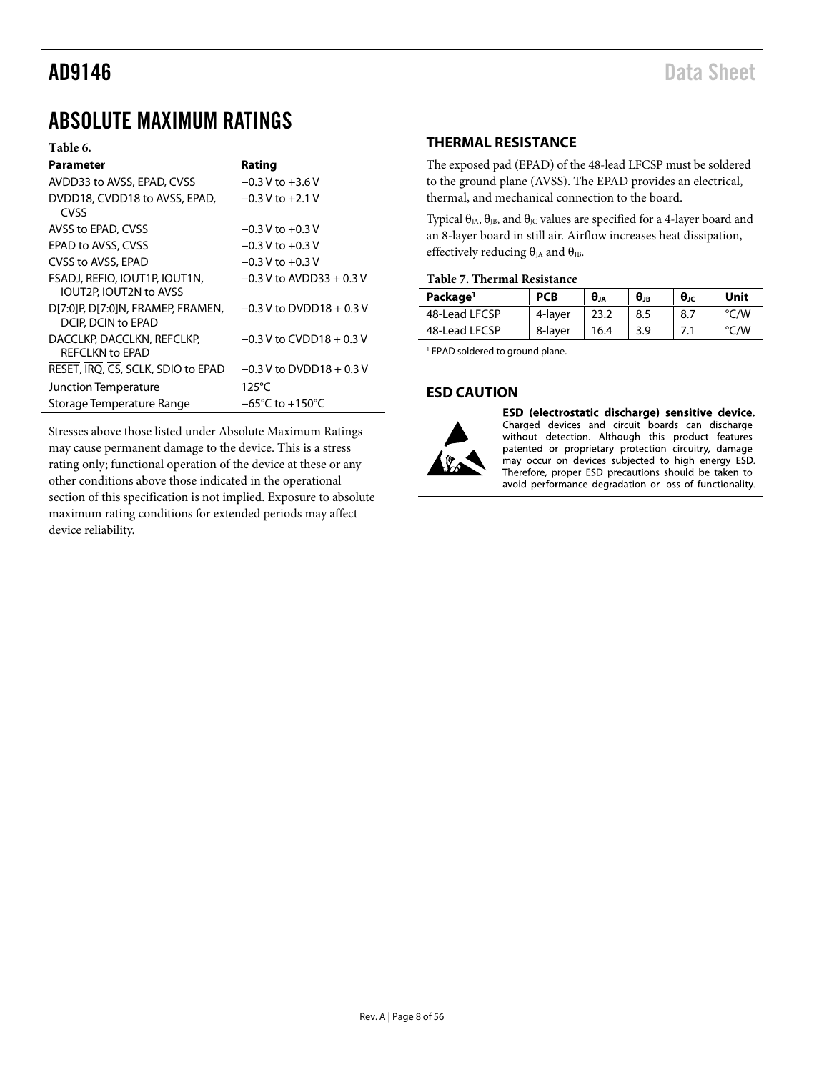## <span id="page-7-0"></span>ABSOLUTE MAXIMUM RATINGS

### **Table 6.**

| <b>Parameter</b>                                        | Rating                     |
|---------------------------------------------------------|----------------------------|
| AVDD33 to AVSS, EPAD, CVSS                              | $-0.3$ V to $+3.6$ V       |
| DVDD18, CVDD18 to AVSS, EPAD,<br>CVSS                   | $-0.3$ V to $+2.1$ V       |
| AVSS to EPAD, CVSS                                      | $-0.3$ V to $+0.3$ V       |
| EPAD to AVSS, CVSS                                      | $-0.3$ V to $+0.3$ V       |
| CVSS to AVSS, EPAD                                      | $-0.3$ V to $+0.3$ V       |
| FSADJ, REFIO, IOUT1P, IOUT1N,<br>IOUT2P, IOUT2N to AVSS | $-0.3$ V to AVDD33 + 0.3 V |
| DI7:01P. DI7:01N. FRAMEP. FRAMEN.<br>DCIP, DCIN to EPAD | $-0.3$ V to DVDD18 + 0.3 V |
| DACCLKP, DACCLKN, REFCLKP,<br>RFFCI KN to FPAD          | $-0.3$ V to CVDD18 + 0.3 V |
| RESET, IRO, CS, SCLK, SDIO to EPAD                      | $-0.3$ V to DVDD18 + 0.3 V |
| Junction Temperature                                    | $125^{\circ}$ C            |
| Storage Temperature Range                               | −65°C to +150°C            |

Stresses above those listed under Absolute Maximum Ratings may cause permanent damage to the device. This is a stress rating only; functional operation of the device at these or any other conditions above those indicated in the operational section of this specification is not implied. Exposure to absolute maximum rating conditions for extended periods may affect device reliability.

### <span id="page-7-1"></span>**THERMAL RESISTANCE**

The exposed pad (EPAD) of the 48-lead LFCSP must be soldered to the ground plane (AVSS). The EPAD provides an electrical, thermal, and mechanical connection to the board.

Typical  $\theta_{JA}$ ,  $\theta_{JB}$ , and  $\theta_{JC}$  values are specified for a 4-layer board and an 8-layer board in still air. Airflow increases heat dissipation, effectively reducing  $\theta_{JA}$  and  $\theta_{JB}$ .

### **Table 7. Thermal Resistance**

| Package <sup>1</sup> | <b>PCB</b> | Өл   | $\theta$ jb | $\theta$ | Unit |
|----------------------|------------|------|-------------|----------|------|
| 48-Lead LFCSP        | 4-layer    |      | 8.5         | 8.7      | °C/W |
| 48-Lead LFCSP        | 8-layer    | 16.4 | 3.9         |          | °C/W |

<sup>1</sup> EPAD soldered to ground plane.

### <span id="page-7-2"></span>**ESD CAUTION**



ESD (electrostatic discharge) sensitive device. Charged devices and circuit boards can discharge without detection. Although this product features patented or proprietary protection circuitry, damage may occur on devices subjected to high energy ESD. Therefore, proper ESD precautions should be taken to avoid performance degradation or loss of functionality.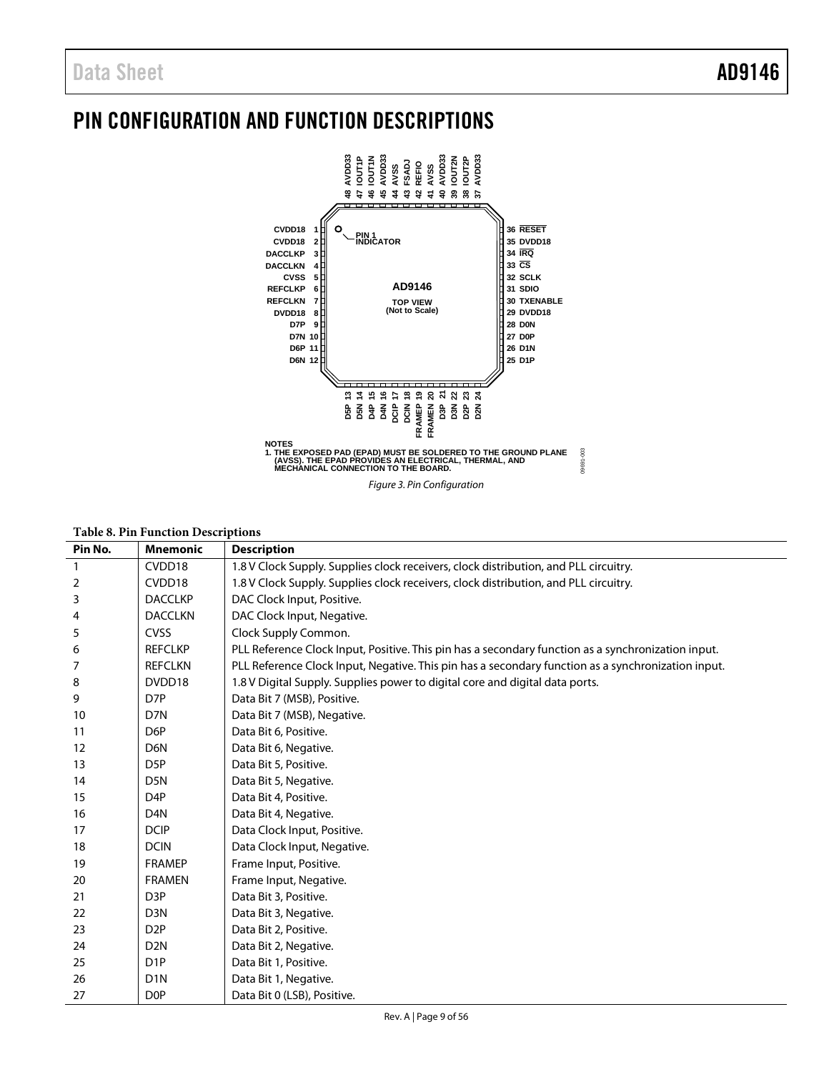## <span id="page-8-0"></span>PIN CONFIGURATION AND FUNCTION DESCRIPTIONS



| Pin No. | <b>Mnemonic</b>  | <b>Description</b>                                                                                 |
|---------|------------------|----------------------------------------------------------------------------------------------------|
|         | CVDD18           | 1.8 V Clock Supply. Supplies clock receivers, clock distribution, and PLL circuitry.               |
| 2       | CVDD18           | 1.8 V Clock Supply. Supplies clock receivers, clock distribution, and PLL circuitry.               |
| 3       | <b>DACCLKP</b>   | DAC Clock Input, Positive.                                                                         |
| 4       | <b>DACCLKN</b>   | DAC Clock Input, Negative.                                                                         |
| 5       | <b>CVSS</b>      | Clock Supply Common.                                                                               |
| 6       | <b>REFCLKP</b>   | PLL Reference Clock Input, Positive. This pin has a secondary function as a synchronization input. |
| 7       | <b>REFCLKN</b>   | PLL Reference Clock Input, Negative. This pin has a secondary function as a synchronization input. |
| 8       | DVDD18           | 1.8 V Digital Supply. Supplies power to digital core and digital data ports.                       |
| 9       | D <sub>7</sub> P | Data Bit 7 (MSB), Positive.                                                                        |
| 10      | D7N              | Data Bit 7 (MSB), Negative.                                                                        |
| 11      | D <sub>6</sub> P | Data Bit 6, Positive.                                                                              |
| 12      | D <sub>6</sub> N | Data Bit 6, Negative.                                                                              |
| 13      | D <sub>5</sub> P | Data Bit 5, Positive.                                                                              |
| 14      | D <sub>5</sub> N | Data Bit 5, Negative.                                                                              |
| 15      | D <sub>4</sub> P | Data Bit 4, Positive.                                                                              |
| 16      | D <sub>4</sub> N | Data Bit 4, Negative.                                                                              |
| 17      | <b>DCIP</b>      | Data Clock Input, Positive.                                                                        |
| 18      | <b>DCIN</b>      | Data Clock Input, Negative.                                                                        |
| 19      | <b>FRAMEP</b>    | Frame Input, Positive.                                                                             |
| 20      | <b>FRAMEN</b>    | Frame Input, Negative.                                                                             |
| 21      | D <sub>3</sub> P | Data Bit 3, Positive.                                                                              |
| 22      | D <sub>3</sub> N | Data Bit 3, Negative.                                                                              |
| 23      | D <sub>2</sub> P | Data Bit 2, Positive.                                                                              |
| 24      | D <sub>2N</sub>  | Data Bit 2, Negative.                                                                              |
| 25      | D <sub>1</sub> P | Data Bit 1, Positive.                                                                              |
| 26      | D <sub>1</sub> N | Data Bit 1, Negative.                                                                              |
| 27      | D <sub>OP</sub>  | Data Bit 0 (LSB), Positive.                                                                        |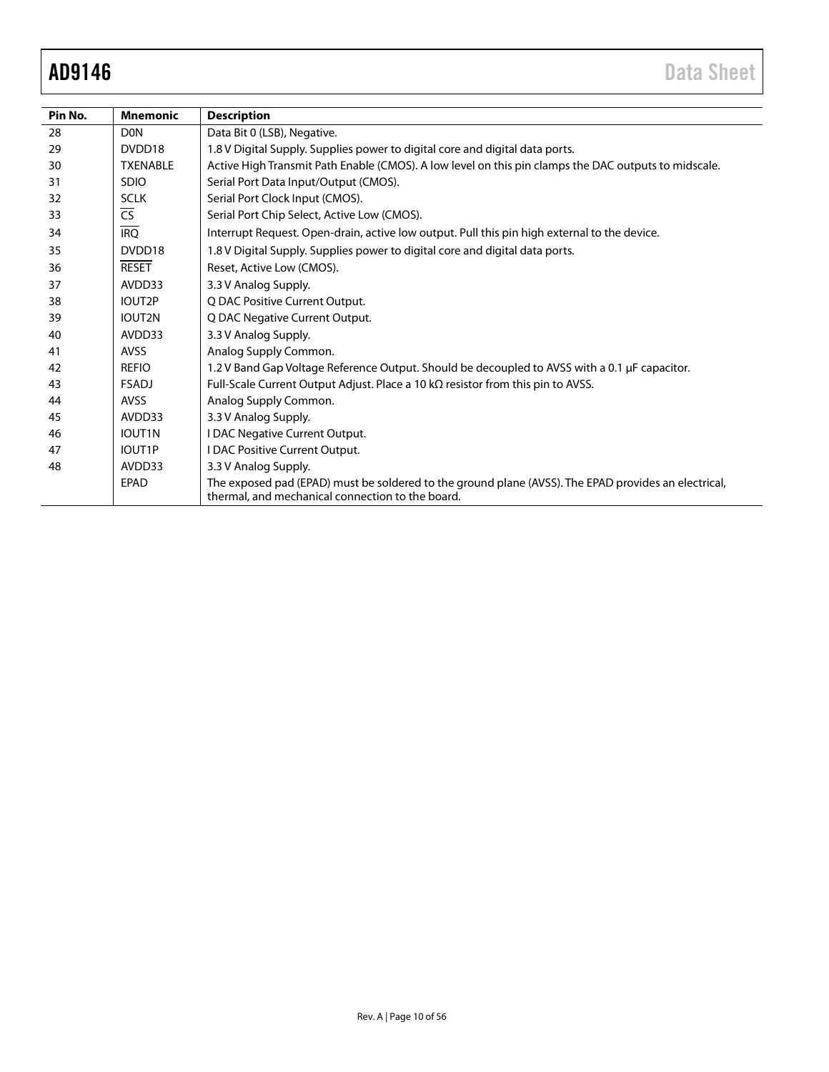| Pin No. | <b>Mnemonic</b>          | <b>Description</b>                                                                                                                                       |
|---------|--------------------------|----------------------------------------------------------------------------------------------------------------------------------------------------------|
| 28      | D <sub>0</sub> N         | Data Bit 0 (LSB), Negative.                                                                                                                              |
| 29      | DVDD18                   | 1.8 V Digital Supply. Supplies power to digital core and digital data ports.                                                                             |
| 30      | <b>TXENABLE</b>          | Active High Transmit Path Enable (CMOS). A low level on this pin clamps the DAC outputs to midscale.                                                     |
| 31      | <b>SDIO</b>              | Serial Port Data Input/Output (CMOS).                                                                                                                    |
| 32      | <b>SCLK</b>              | Serial Port Clock Input (CMOS).                                                                                                                          |
| 33      | $\overline{\mathsf{CS}}$ | Serial Port Chip Select, Active Low (CMOS).                                                                                                              |
| 34      | $\overline{IRQ}$         | Interrupt Request. Open-drain, active low output. Pull this pin high external to the device.                                                             |
| 35      | DVDD18                   | 1.8 V Digital Supply. Supplies power to digital core and digital data ports.                                                                             |
| 36      | <b>RESET</b>             | Reset, Active Low (CMOS).                                                                                                                                |
| 37      | AVDD33                   | 3.3 V Analog Supply.                                                                                                                                     |
| 38      | IOUT2P                   | Q DAC Positive Current Output.                                                                                                                           |
| 39      | IOUT2N                   | Q DAC Negative Current Output.                                                                                                                           |
| 40      | AVDD33                   | 3.3 V Analog Supply.                                                                                                                                     |
| 41      | <b>AVSS</b>              | Analog Supply Common.                                                                                                                                    |
| 42      | <b>REFIO</b>             | 1.2 V Band Gap Voltage Reference Output. Should be decoupled to AVSS with a 0.1 µF capacitor.                                                            |
| 43      | <b>FSADJ</b>             | Full-Scale Current Output Adjust. Place a 10 k $\Omega$ resistor from this pin to AVSS.                                                                  |
| 44      | <b>AVSS</b>              | Analog Supply Common.                                                                                                                                    |
| 45      | AVDD33                   | 3.3 V Analog Supply.                                                                                                                                     |
| 46      | IOUT1N                   | I DAC Negative Current Output.                                                                                                                           |
| 47      | IOUT1P                   | I DAC Positive Current Output.                                                                                                                           |
| 48      | AVDD33                   | 3.3 V Analog Supply.                                                                                                                                     |
|         | <b>EPAD</b>              | The exposed pad (EPAD) must be soldered to the ground plane (AVSS). The EPAD provides an electrical,<br>thermal, and mechanical connection to the board. |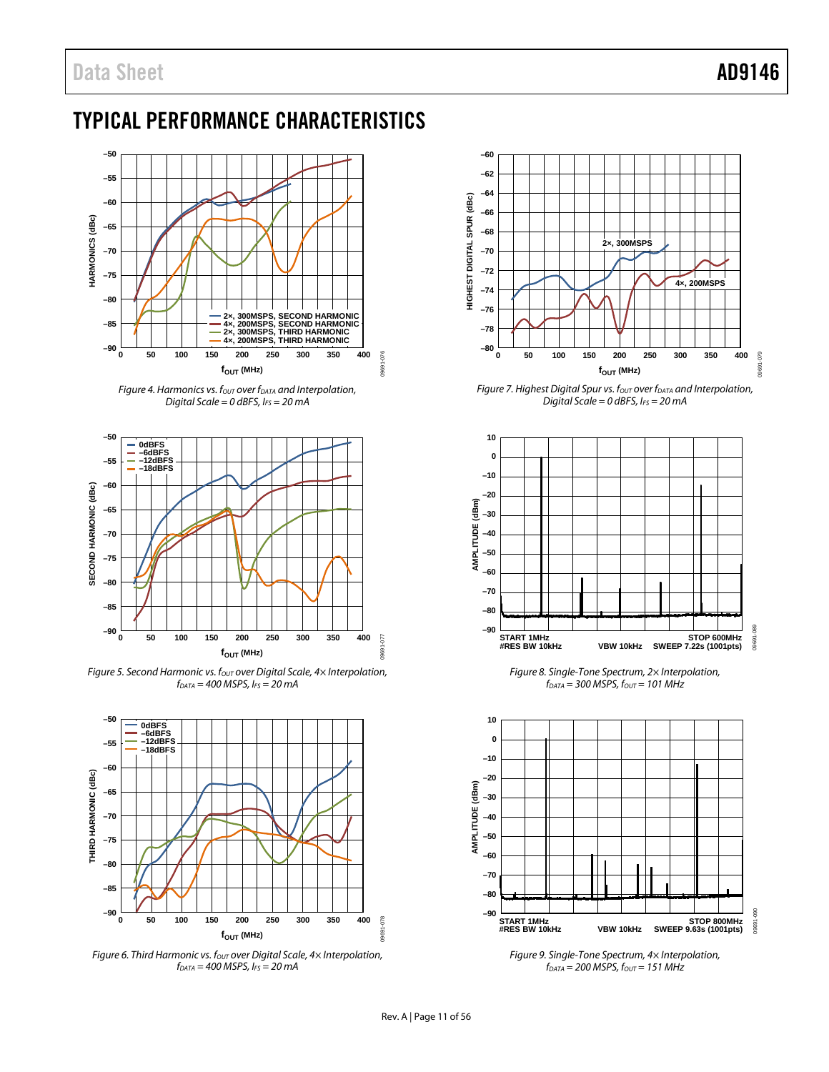## <span id="page-10-0"></span>TYPICAL PERFORMANCE CHARACTERISTICS



*Figure 4. Harmonics vs. f<sub>out</sub> over f<sub>DATA</sub> and Interpolation, Digital Scale = 0 dBFS, IFS = 20 mA*



*Figure 5. Second Harmonic vs. fout over Digital Scale, 4× Interpolation, fDATA = 400 MSPS, IFS = 20 mA*



*Figure 6. Third Harmonic vs. f<sub>OUT</sub> over Digital Scale, 4× Interpolation, fDATA = 400 MSPS, IFS = 20 mA*



*Figure 7. Highest Digital Spur vs. fout over fDATA and Interpolation*, *Digital Scale = 0 dBFS, IFS = 20 mA*



*Figure 8. Single-Tone Spectrum, 2× Interpolation,*   $f_{DATA}$  = 300 MSPS,  $f_{OUT}$  = 101 MHz



*Figure 9. Single-Tone Spectrum, 4× Interpolation,*   $f_{DATA} = 200$  *MSPS,*  $f_{OUT} = 151$  *MHz*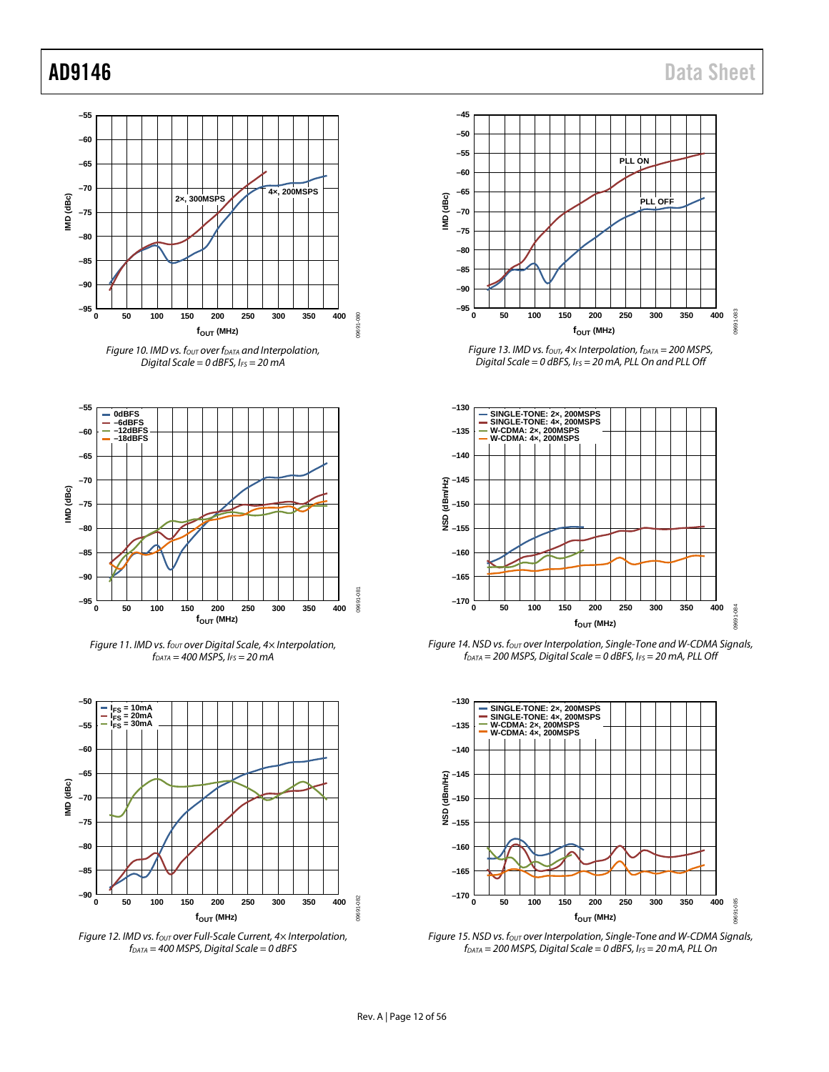





*Figure 11. IMD vs. fout over Digital Scale, 4× Interpolation, fDATA = 400 MSPS, IFS = 20 mA*



*Figure 12. IMD vs. f<sub>OUT</sub> over Full-Scale Current, 4× Interpolation, fDATA = 400 MSPS, Digital Scale = 0 dBFS*



*Figure 13. IMD vs. f<sub>OUT</sub>, 4× Interpolation, f<sub>DATA</sub> = 200 MSPS, Digital Scale = 0 dBFS, IFS = 20 mA, PLL On and PLL Off*



*Figure 14. NSD vs. f<sub>out</sub>* over Interpolation, Single-Tone and W-CDMA Signals, *fDATA = 200 MSPS, Digital Scale = 0 dBFS, IFS = 20 mA, PLL Off*



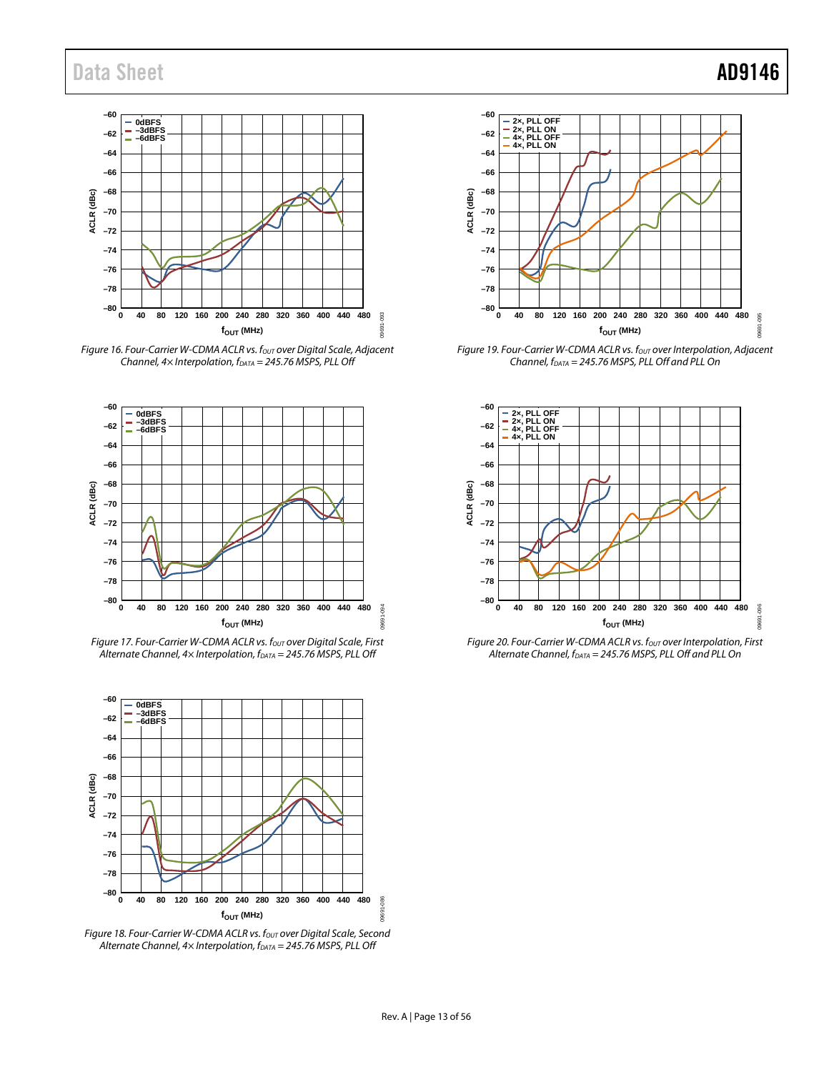

*Figure 16. Four-Carrier W-CDMA ACLR vs. fout* over Digital Scale, Adjacent *Channel, 4× Interpolation, fDATA = 245.76 MSPS, PLL Off*



*Figure 17. Four-Carrier W-CDMA ACLR vs. fout over Digital Scale, First Alternate Channel, 4× Interpolation, fDATA = 245.76 MSPS, PLL Off*



*Figure 18. Four-Carrier W-CDMA ACLR vs. fout over Digital Scale, Second Alternate Channel, 4× Interpolation, f<sub>DATA</sub> = 245.76 MSPS, PLL Off* 



*Figure 19. Four-Carrier W-CDMA ACLR vs. fout over Interpolation, Adjacent Channel, fDATA = 245.76 MSPS, PLL Off and PLL On*



*Figure 20. Four-Carrier W-CDMA ACLR vs. four over Interpolation, First Alternate Channel, fDATA = 245.76 MSPS, PLL Off and PLL On*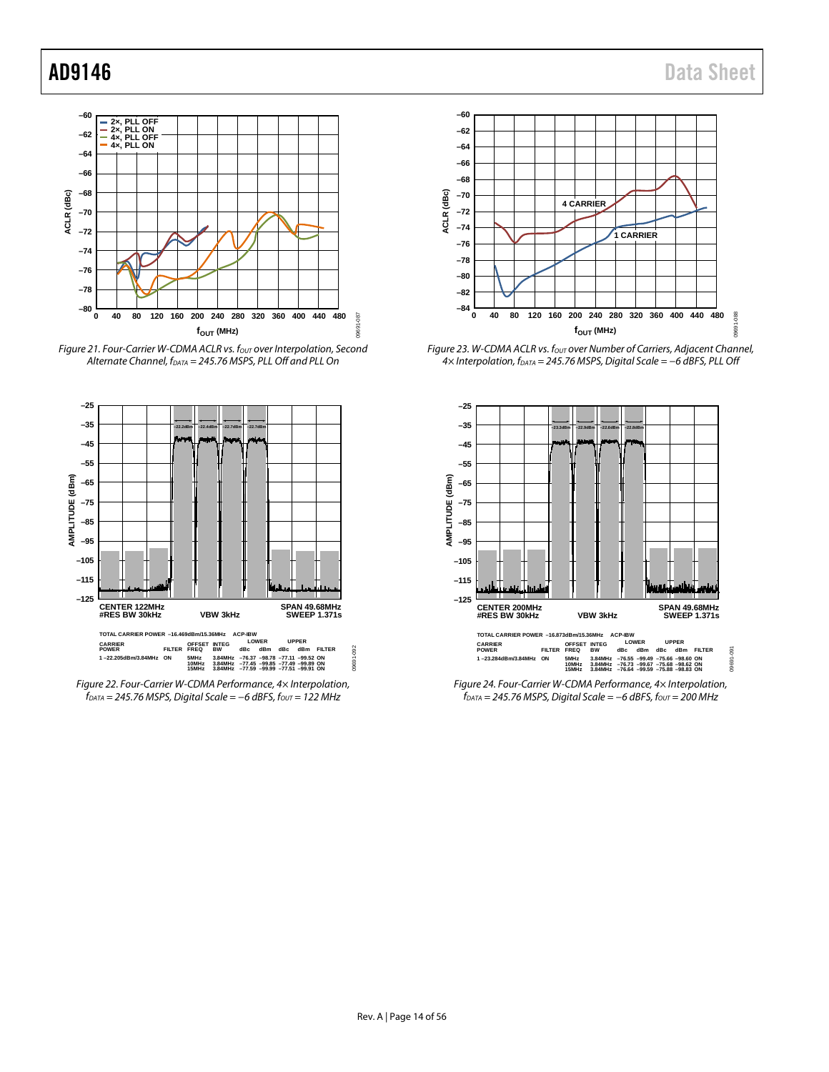





*Figure 22. Four-Carrier W-CDMA Performance, 4× Interpolation, fDATA = 245.76 MSPS, Digital Scale = −6 dBFS, fOUT = 122 MHz*



Figure 23. W-CDMA ACLR vs. fout over Number of Carriers, Adjacent Channel, *4× Interpolation, fDATA = 245.76 MSPS, Digital Scale = −6 dBFS, PLL Off*



*Figure 24. Four-Carrier W-CDMA Performance, 4× Interpolation,*   $f<sub>DATA</sub> = 245.76 MSPS, Digital Scale = −6 dBFS, f<sub>OUT</sub> = 200 MHz$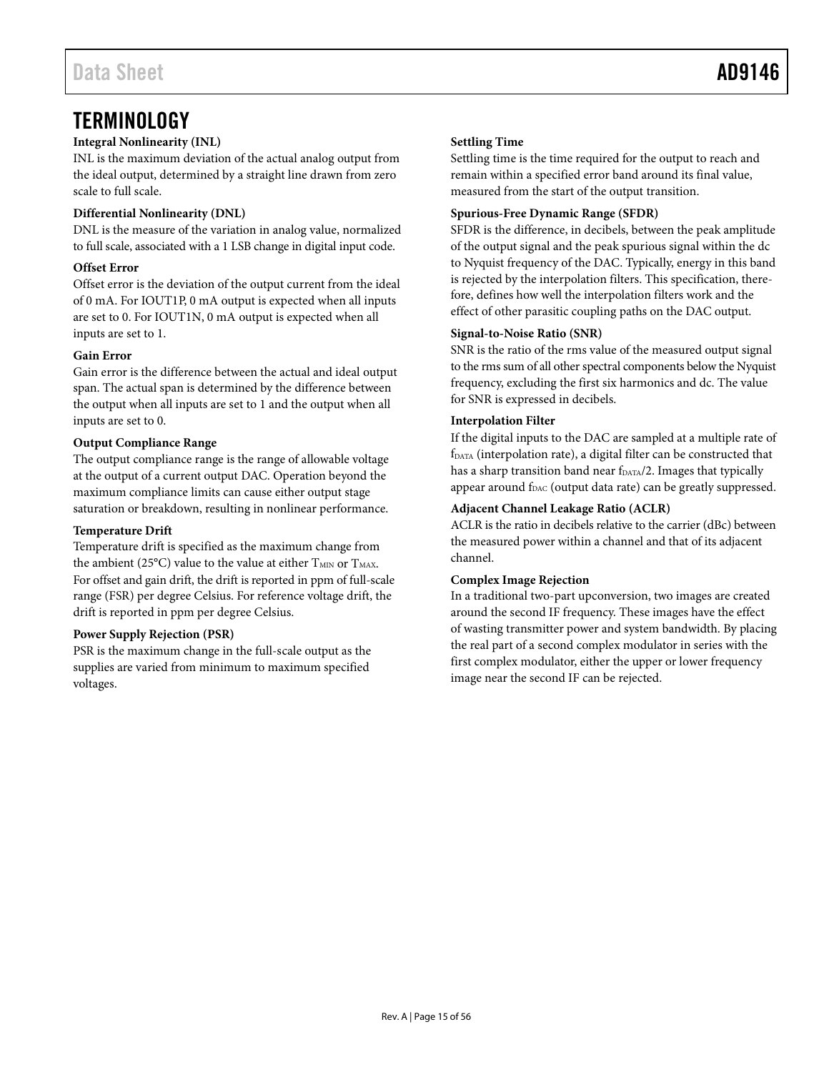## <span id="page-14-0"></span>**TERMINOLOGY**

### **Integral Nonlinearity (INL)**

INL is the maximum deviation of the actual analog output from the ideal output, determined by a straight line drawn from zero scale to full scale.

### **Differential Nonlinearity (DNL)**

DNL is the measure of the variation in analog value, normalized to full scale, associated with a 1 LSB change in digital input code.

### **Offset Error**

Offset error is the deviation of the output current from the ideal of 0 mA. For IOUT1P, 0 mA output is expected when all inputs are set to 0. For IOUT1N, 0 mA output is expected when all inputs are set to 1.

### **Gain Error**

Gain error is the difference between the actual and ideal output span. The actual span is determined by the difference between the output when all inputs are set to 1 and the output when all inputs are set to 0.

### **Output Compliance Range**

The output compliance range is the range of allowable voltage at the output of a current output DAC. Operation beyond the maximum compliance limits can cause either output stage saturation or breakdown, resulting in nonlinear performance.

### **Temperature Drift**

Temperature drift is specified as the maximum change from the ambient (25 $^{\circ}$ C) value to the value at either  $T_{\text{MIN}}$  or  $T_{\text{MAX}}$ . For offset and gain drift, the drift is reported in ppm of full-scale range (FSR) per degree Celsius. For reference voltage drift, the drift is reported in ppm per degree Celsius.

### **Power Supply Rejection (PSR)**

PSR is the maximum change in the full-scale output as the supplies are varied from minimum to maximum specified voltages.

### **Settling Time**

Settling time is the time required for the output to reach and remain within a specified error band around its final value, measured from the start of the output transition.

### **Spurious-Free Dynamic Range (SFDR)**

SFDR is the difference, in decibels, between the peak amplitude of the output signal and the peak spurious signal within the dc to Nyquist frequency of the DAC. Typically, energy in this band is rejected by the interpolation filters. This specification, therefore, defines how well the interpolation filters work and the effect of other parasitic coupling paths on the DAC output.

### **Signal-to-Noise Ratio (SNR)**

SNR is the ratio of the rms value of the measured output signal to the rms sum of all other spectral components below the Nyquist frequency, excluding the first six harmonics and dc. The value for SNR is expressed in decibels.

### **Interpolation Filter**

If the digital inputs to the DAC are sampled at a multiple rate of fDATA (interpolation rate), a digital filter can be constructed that has a sharp transition band near f<sub>DATA</sub>/2. Images that typically appear around f<sub>DAC</sub> (output data rate) can be greatly suppressed.

### **Adjacent Channel Leakage Ratio (ACLR)**

ACLR is the ratio in decibels relative to the carrier (dBc) between the measured power within a channel and that of its adjacent channel.

### **Complex Image Rejection**

In a traditional two-part upconversion, two images are created around the second IF frequency. These images have the effect of wasting transmitter power and system bandwidth. By placing the real part of a second complex modulator in series with the first complex modulator, either the upper or lower frequency image near the second IF can be rejected.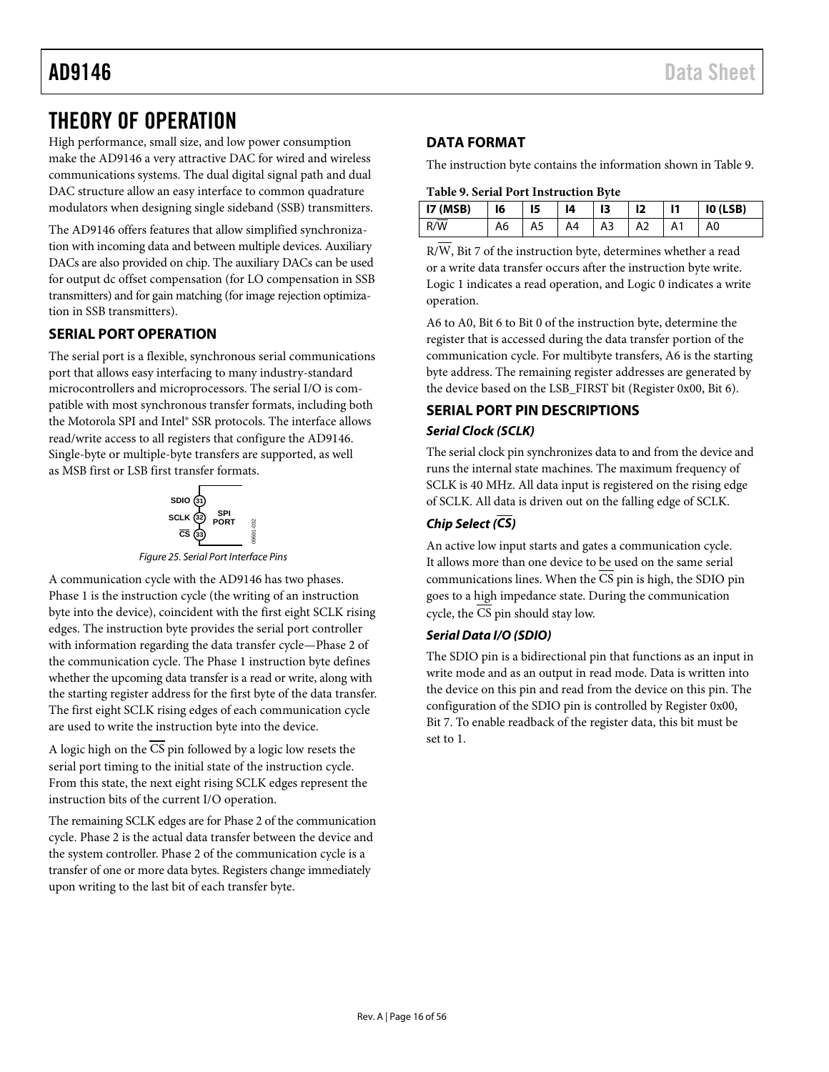## <span id="page-15-0"></span>THEORY OF OPERATION

High performance, small size, and low power consumption make the AD9146 a very attractive DAC for wired and wireless communications systems. The dual digital signal path and dual DAC structure allow an easy interface to common quadrature modulators when designing single sideband (SSB) transmitters.

The AD9146 offers features that allow simplified synchronization with incoming data and between multiple devices. Auxiliary DACs are also provided on chip. The auxiliary DACs can be used for output dc offset compensation (for LO compensation in SSB transmitters) and for gain matching (for image rejection optimization in SSB transmitters).

### <span id="page-15-1"></span>**SERIAL PORT OPERATION**

The serial port is a flexible, synchronous serial communications port that allows easy interfacing to many industry-standard microcontrollers and microprocessors. The serial I/O is compatible with most synchronous transfer formats, including both the Motorola SPI and Intel® SSR protocols. The interface allows read/write access to all registers that configure the AD9146. Single-byte or multiple-byte transfers are supported, as well as MSB first or LSB first transfer formats.



*Figure 25. Serial Port Interface Pins*

A communication cycle with the AD9146 has two phases. Phase 1 is the instruction cycle (the writing of an instruction byte into the device), coincident with the first eight SCLK rising edges. The instruction byte provides the serial port controller with information regarding the data transfer cycle—Phase 2 of the communication cycle. The Phase 1 instruction byte defines whether the upcoming data transfer is a read or write, along with the starting register address for the first byte of the data transfer. The first eight SCLK rising edges of each communication cycle are used to write the instruction byte into the device.

A logic high on the  $\overline{\text{CS}}$  pin followed by a logic low resets the serial port timing to the initial state of the instruction cycle. From this state, the next eight rising SCLK edges represent the instruction bits of the current I/O operation.

The remaining SCLK edges are for Phase 2 of the communication cycle. Phase 2 is the actual data transfer between the device and the system controller. Phase 2 of the communication cycle is a transfer of one or more data bytes. Registers change immediately upon writing to the last bit of each transfer byte.

### <span id="page-15-2"></span>**DATA FORMAT**

The instruction byte contains the information shown in [Table 9.](#page-15-4)

### <span id="page-15-4"></span>**Table 9. Serial Port Instruction Byte**

| I7(MSB) | 16 | 15             | 14 | 13 | 12 | $\mathbf{I}$ | IO (LSB) |
|---------|----|----------------|----|----|----|--------------|----------|
| R/W     | A6 | A <sub>5</sub> | A4 | A3 | A2 | A1           | A0       |

 $R/\overline{W}$ , Bit 7 of the instruction byte, determines whether a read or a write data transfer occurs after the instruction byte write. Logic 1 indicates a read operation, and Logic 0 indicates a write operation.

A6 to A0, Bit 6 to Bit 0 of the instruction byte, determine the register that is accessed during the data transfer portion of the communication cycle. For multibyte transfers, A6 is the starting byte address. The remaining register addresses are generated by the device based on the LSB\_FIRST bit (Register 0x00, Bit 6).

### <span id="page-15-3"></span>**SERIAL PORT PIN DESCRIPTIONS** *Serial Clock (SCLK)*

The serial clock pin synchronizes data to and from the device and runs the internal state machines. The maximum frequency of SCLK is 40 MHz. All data input is registered on the rising edge of SCLK. All data is driven out on the falling edge of SCLK.

### *Chip Select (CS)*

An active low input starts and gates a communication cycle. It allows more than one device to be used on the same serial communications lines. When the CS pin is high, the SDIO pin goes to a high impedance state. During the communication cycle, the  $\overline{CS}$  pin should stay low.

### *Serial Data I/O (SDIO)*

The SDIO pin is a bidirectional pin that functions as an input in write mode and as an output in read mode. Data is written into the device on this pin and read from the device on this pin. The configuration of the SDIO pin is controlled by Register 0x00, Bit 7. To enable readback of the register data, this bit must be set to 1.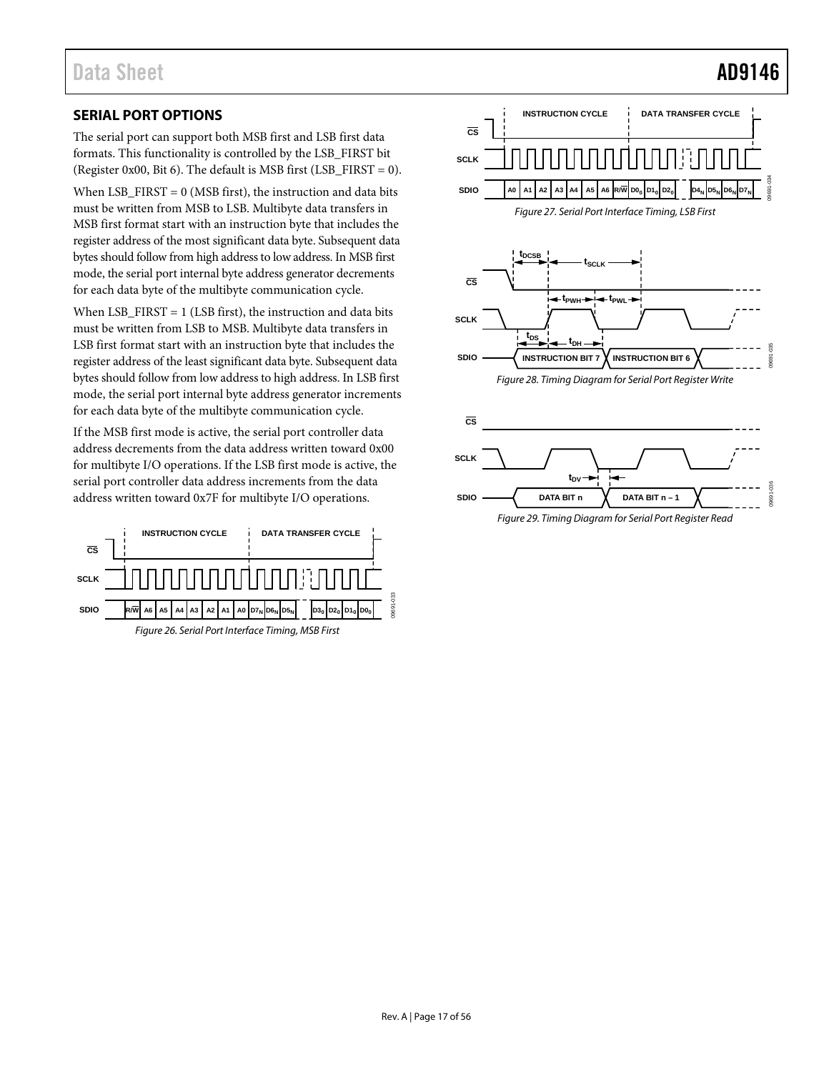### <span id="page-16-0"></span>**SERIAL PORT OPTIONS**

The serial port can support both MSB first and LSB first data formats. This functionality is controlled by the LSB\_FIRST bit (Register 0x00, Bit 6). The default is MSB first (LSB\_FIRST = 0).

When  $LSB_FIRST = 0$  (MSB first), the instruction and data bits must be written from MSB to LSB. Multibyte data transfers in MSB first format start with an instruction byte that includes the register address of the most significant data byte. Subsequent data bytes should follow from high address to low address. In MSB first mode, the serial port internal byte address generator decrements for each data byte of the multibyte communication cycle.

When  $LSB_FIRST = 1$  (LSB first), the instruction and data bits must be written from LSB to MSB. Multibyte data transfers in LSB first format start with an instruction byte that includes the register address of the least significant data byte. Subsequent data bytes should follow from low address to high address. In LSB first mode, the serial port internal byte address generator increments for each data byte of the multibyte communication cycle.

If the MSB first mode is active, the serial port controller data address decrements from the data address written toward 0x00 for multibyte I/O operations. If the LSB first mode is active, the serial port controller data address increments from the data address written toward 0x7F for multibyte I/O operations.





*Figure 29. Timing Diagram for Serial Port Register Read*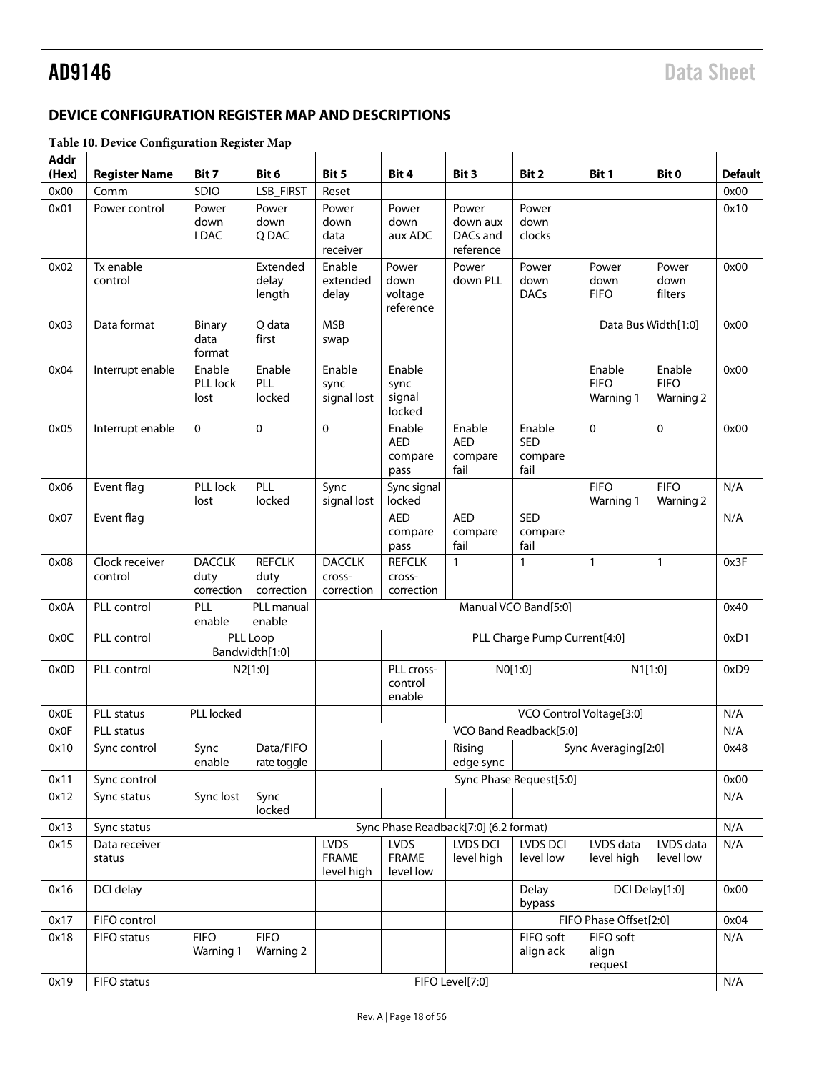### <span id="page-17-0"></span>**DEVICE CONFIGURATION REGISTER MAP AND DESCRIPTIONS**

### **Table 10. Device Configuration Register Map**

| <b>Addr</b><br>(Hex) | <b>Register Name</b>      | Bit 7                               | Bit 6                               | Bit 5                                     | Bit 4                                    | Bit 3                                      | Bit 2                            | Bit 1                              | Bit 0                              | <b>Default</b> |
|----------------------|---------------------------|-------------------------------------|-------------------------------------|-------------------------------------------|------------------------------------------|--------------------------------------------|----------------------------------|------------------------------------|------------------------------------|----------------|
| 0x00                 | Comm                      | SDIO                                | LSB_FIRST                           | Reset                                     |                                          |                                            |                                  |                                    |                                    | 0x00           |
| 0x01                 | Power control             | Power<br>down<br><b>IDAC</b>        | Power<br>down<br>Q DAC              | Power<br>down<br>data<br>receiver         | Power<br>down<br>aux ADC                 | Power<br>down aux<br>DACs and<br>reference | Power<br>down<br>clocks          |                                    |                                    | 0x10           |
| 0x02                 | Tx enable<br>control      |                                     | Extended<br>delay<br>length         | Enable<br>extended<br>delay               | Power<br>down<br>voltage<br>reference    | Power<br>down PLL                          | Power<br>down<br><b>DACs</b>     | Power<br>down<br><b>FIFO</b>       | Power<br>down<br>filters           | 0x00           |
| 0x03                 | Data format               | <b>Binary</b><br>data<br>format     | Q data<br>first                     | <b>MSB</b><br>swap                        |                                          |                                            |                                  |                                    | Data Bus Width[1:0]                | 0x00           |
| 0x04                 | Interrupt enable          | Enable<br>PLL lock<br>lost          | Enable<br>PLL<br>locked             | Enable<br>sync<br>signal lost             | Enable<br>sync<br>signal<br>locked       |                                            |                                  | Enable<br><b>FIFO</b><br>Warning 1 | Enable<br><b>FIFO</b><br>Warning 2 | 0x00           |
| 0x05                 | Interrupt enable          | $\mathbf 0$                         | 0                                   | $\mathbf 0$                               | Enable<br><b>AED</b><br>compare<br>pass  | Enable<br><b>AED</b><br>compare<br>fail    | Enable<br>SED<br>compare<br>fail | 0                                  | $\mathbf 0$                        | 0x00           |
| 0x06                 | Event flag                | PLL lock<br>lost                    | PLL<br>locked                       | Sync<br>signal lost                       | Sync signal<br>locked                    |                                            |                                  | <b>FIFO</b><br>Warning 1           | <b>FIFO</b><br>Warning 2           | N/A            |
| 0x07                 | Event flag                |                                     |                                     |                                           | <b>AED</b><br>compare<br>pass            | <b>AED</b><br>compare<br>fail              | <b>SED</b><br>compare<br>fail    |                                    |                                    | N/A            |
| 0x08                 | Clock receiver<br>control | <b>DACCLK</b><br>duty<br>correction | <b>REFCLK</b><br>duty<br>correction | <b>DACCLK</b><br>cross-<br>correction     | <b>REFCLK</b><br>cross-<br>correction    | $\mathbf{1}$                               | $\mathbf{1}$                     | 1                                  | $\mathbf{1}$                       | 0x3F           |
| 0x0A                 | PLL control               | PLL<br>enable                       | PLL manual<br>enable                |                                           |                                          |                                            | Manual VCO Band[5:0]             |                                    |                                    | 0x40           |
| 0x0C                 | PLL control               |                                     | PLL Loop<br>Bandwidth[1:0]          |                                           |                                          |                                            | PLL Charge Pump Current[4:0]     |                                    |                                    | 0xD1           |
| 0x0D                 | PLL control               |                                     | N2[1:0]                             |                                           | PLL cross-<br>control<br>enable          |                                            | N0[1:0]                          | N1[1:0]                            |                                    | 0xD9           |
| 0x0E                 | <b>PLL</b> status         | <b>PLL</b> locked                   |                                     |                                           |                                          |                                            | VCO Control Voltage[3:0]         |                                    |                                    | N/A            |
| 0x0F                 | <b>PLL status</b>         |                                     |                                     |                                           |                                          |                                            | VCO Band Readback[5:0]           |                                    |                                    | N/A            |
| 0x10                 | Sync control              | Sync<br>enable                      | Data/FIFO<br>rate toggle            |                                           |                                          | Rising<br>edge sync                        |                                  | Sync Averaging[2:0]                |                                    | 0x48           |
| 0x11                 | Sync control              |                                     |                                     |                                           |                                          |                                            | Sync Phase Request[5:0]          |                                    |                                    | 0x00           |
| 0x12                 | Sync status               | Sync lost                           | Sync<br>locked                      |                                           |                                          |                                            |                                  |                                    |                                    | N/A            |
| 0x13                 | Sync status               |                                     |                                     |                                           |                                          | Sync Phase Readback[7:0] (6.2 format)      |                                  |                                    |                                    | N/A            |
| 0x15                 | Data receiver<br>status   |                                     |                                     | <b>LVDS</b><br><b>FRAME</b><br>level high | <b>LVDS</b><br><b>FRAME</b><br>level low | LVDS DCI<br>level high                     | LVDS DCI<br>level low            | LVDS data<br>level high            | LVDS data<br>level low             | N/A            |
| 0x16                 | DCI delay                 |                                     |                                     |                                           |                                          |                                            | Delay<br>bypass                  |                                    | DCI Delay[1:0]                     | 0x00           |
| 0x17                 | FIFO control              |                                     |                                     |                                           |                                          |                                            |                                  | FIFO Phase Offset[2:0]             |                                    | 0x04           |
| 0x18                 | FIFO status               | <b>FIFO</b><br>Warning 1            | <b>FIFO</b><br><b>Warning 2</b>     |                                           |                                          |                                            | FIFO soft<br>align ack           | FIFO soft<br>align<br>request      |                                    | N/A            |
| 0x19                 | FIFO status               |                                     |                                     |                                           |                                          | FIFO Level[7:0]                            |                                  |                                    |                                    | N/A            |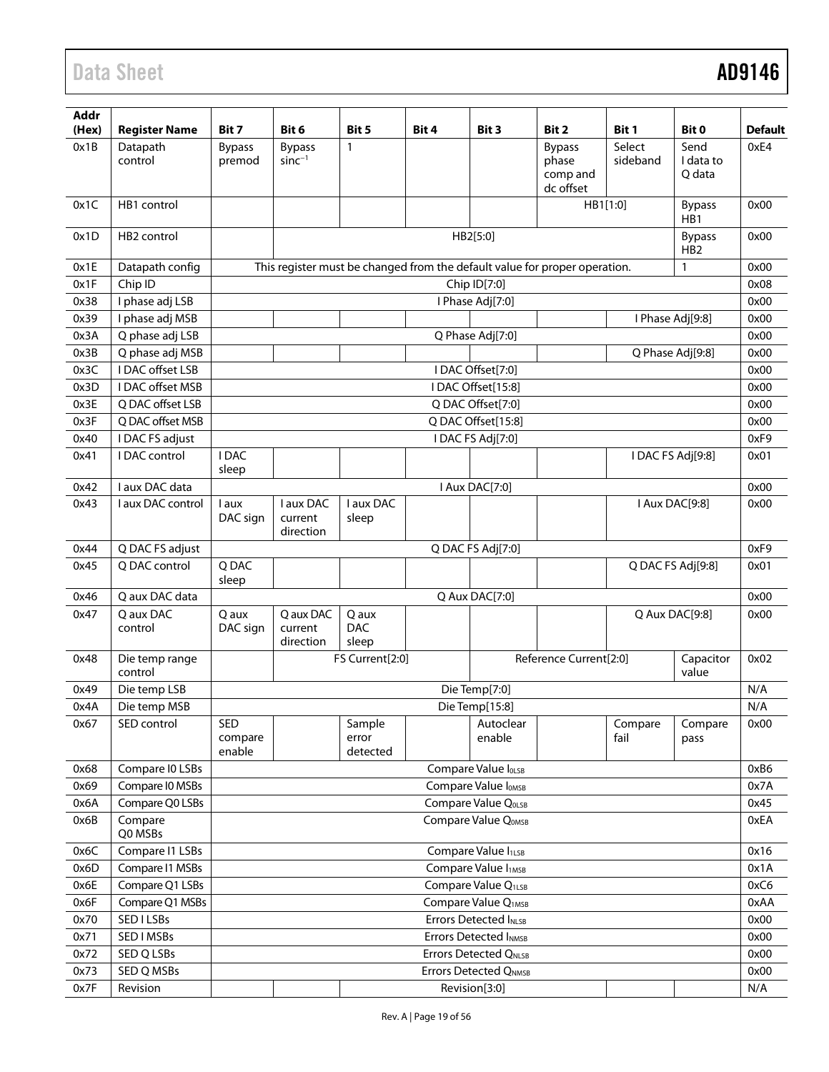| Addr<br>(Hex) | <b>Register Name</b>      | Bit 7                    | Bit 6                             | Bit 5                       | Bit 4 | Bit 3                           | Bit 2                                                                      | Bit 1              | Bit 0                             | <b>Default</b> |
|---------------|---------------------------|--------------------------|-----------------------------------|-----------------------------|-------|---------------------------------|----------------------------------------------------------------------------|--------------------|-----------------------------------|----------------|
| 0x1B          | Datapath<br>control       | <b>Bypass</b><br>premod  | <b>Bypass</b><br>$sinc^{-1}$      | $\mathbf{1}$                |       |                                 | <b>Bypass</b><br>phase                                                     | Select<br>sideband | Send<br>I data to                 | 0xE4           |
|               |                           |                          |                                   |                             |       |                                 | comp and<br>dc offset                                                      |                    | Q data                            |                |
| 0x1C          | HB1 control               |                          |                                   |                             |       |                                 |                                                                            | HB1[1:0]           | <b>Bypass</b><br>H <sub>B</sub> 1 | 0x00           |
| 0x1D          | HB <sub>2</sub> control   |                          |                                   |                             |       | HB2[5:0]                        |                                                                            |                    | <b>Bypass</b><br>HB <sub>2</sub>  | 0x00           |
| 0x1E          | Datapath config           |                          |                                   |                             |       |                                 | This register must be changed from the default value for proper operation. |                    | 1                                 | 0x00           |
| 0x1F          | Chip ID                   |                          |                                   |                             |       | Chip ID[7:0]                    |                                                                            |                    |                                   | 0x08           |
| 0x38          | I phase adj LSB           |                          |                                   |                             |       | I Phase Adj[7:0]                |                                                                            |                    |                                   | 0x00           |
| 0x39          | I phase adj MSB           |                          |                                   |                             |       |                                 |                                                                            |                    | I Phase Adj[9:8]                  | 0x00           |
| 0x3A          | Q phase adj LSB           |                          |                                   |                             |       | Q Phase Adj[7:0]                |                                                                            |                    |                                   | 0x00           |
| 0x3B          | Q phase adj MSB           |                          |                                   |                             |       |                                 |                                                                            |                    | Q Phase Adj[9:8]                  | 0x00           |
| 0x3C          | I DAC offset LSB          |                          |                                   |                             |       | I DAC Offset[7:0]               |                                                                            |                    |                                   | 0x00           |
| 0x3D          | <b>IDAC</b> offset MSB    |                          |                                   |                             |       | I DAC Offset[15:8]              |                                                                            |                    |                                   | 0x00           |
| 0x3E          | Q DAC offset LSB          |                          |                                   |                             |       | Q DAC Offset[7:0]               |                                                                            |                    |                                   | 0x00           |
| 0x3F          | Q DAC offset MSB          |                          |                                   |                             |       | Q DAC Offset[15:8]              |                                                                            |                    |                                   | 0x00           |
| 0x40          | I DAC FS adjust           |                          |                                   |                             |       | I DAC FS Adj[7:0]               |                                                                            |                    |                                   | 0xF9           |
| 0x41          | I DAC control             | <b>IDAC</b><br>sleep     |                                   |                             |       |                                 |                                                                            |                    | I DAC FS Adj[9:8]                 | 0x01           |
| 0x42          | I aux DAC data            |                          |                                   |                             |       | I Aux DAC[7:0]                  |                                                                            |                    |                                   | 0x00           |
| 0x43          | I aux DAC control         | l aux<br>DAC sign        | I aux DAC<br>current<br>direction | I aux DAC<br>sleep          |       |                                 |                                                                            |                    | I Aux DAC[9:8]                    | 0x00           |
| 0x44          | Q DAC FS adjust           |                          |                                   |                             |       | Q DAC FS Adj[7:0]               |                                                                            |                    |                                   | 0xF9           |
| 0x45          | Q DAC control             | Q DAC<br>sleep           |                                   |                             |       |                                 |                                                                            |                    | Q DAC FS Adj[9:8]                 | 0x01           |
| 0x46          | Q aux DAC data            |                          |                                   |                             |       | Q Aux DAC[7:0]                  |                                                                            |                    |                                   | 0x00           |
| 0x47          | Q aux DAC                 | Q aux                    | Q aux DAC                         | Q aux                       |       |                                 |                                                                            |                    | Q Aux DAC[9:8]                    | 0x00           |
|               | control                   | DAC sign                 | current<br>direction              | <b>DAC</b><br>sleep         |       |                                 |                                                                            |                    |                                   |                |
| 0x48          | Die temp range<br>control |                          |                                   | FS Current[2:0]             |       |                                 | Reference Current[2:0]                                                     |                    | Capacitor<br>value                | 0x02           |
| 0x49          | Die temp LSB              |                          |                                   |                             |       | Die Temp[7:0]                   |                                                                            |                    |                                   | N/A            |
| 0x4A          | Die temp MSB              |                          |                                   |                             |       | Die Temp[15:8]                  |                                                                            |                    |                                   | N/A            |
| 0x67          | SED control               | SED<br>compare<br>enable |                                   | Sample<br>error<br>detected |       | Autoclear<br>enable             |                                                                            | Compare<br>fail    | Compare<br>pass                   | 0x00           |
| 0x68          | Compare IO LSBs           |                          |                                   |                             |       | Compare Value loLSB             |                                                                            |                    |                                   | 0xB6           |
| 0x69          | Compare IO MSBs           |                          |                                   |                             |       | Compare Value I <sub>OMSB</sub> |                                                                            |                    |                                   | 0x7A           |
| 0x6A          | Compare Q0 LSBs           |                          |                                   |                             |       | Compare Value QOLSB             |                                                                            |                    |                                   | 0x45           |
| 0x6B          | Compare<br>Q0 MSBs        |                          |                                   |                             |       | Compare Value QOMSB             |                                                                            |                    |                                   | 0xEA           |
| 0x6C          | Compare I1 LSBs           |                          |                                   |                             |       | Compare Value I <sub>1LSB</sub> |                                                                            |                    |                                   | 0x16           |
| 0x6D          | Compare I1 MSBs           |                          |                                   |                             |       | Compare Value I <sub>1MSB</sub> |                                                                            |                    |                                   | 0x1A           |
| 0x6E          | Compare Q1 LSBs           |                          |                                   |                             |       | Compare Value Q <sub>1LSB</sub> |                                                                            |                    |                                   | 0xC6           |
| 0x6F          | Compare Q1 MSBs           |                          |                                   |                             |       | Compare Value Q <sub>1MSB</sub> |                                                                            |                    |                                   | 0xAA           |
| 0x70          | SED I LSBs                |                          |                                   |                             |       | Errors Detected INLSB           |                                                                            |                    |                                   | 0x00           |
| 0x71          | SED I MSBs                |                          |                                   |                             |       | <b>Errors Detected INMSB</b>    |                                                                            |                    |                                   | 0x00           |
| 0x72          | SED Q LSBs                |                          |                                   |                             |       | Errors Detected QNLSB           |                                                                            |                    |                                   | 0x00           |
| 0x73          | SED Q MSBs                |                          |                                   |                             |       | <b>Errors Detected QNMSB</b>    |                                                                            |                    |                                   | 0x00           |
| 0x7F          | Revision                  |                          |                                   |                             |       | Revision[3:0]                   |                                                                            |                    |                                   | N/A            |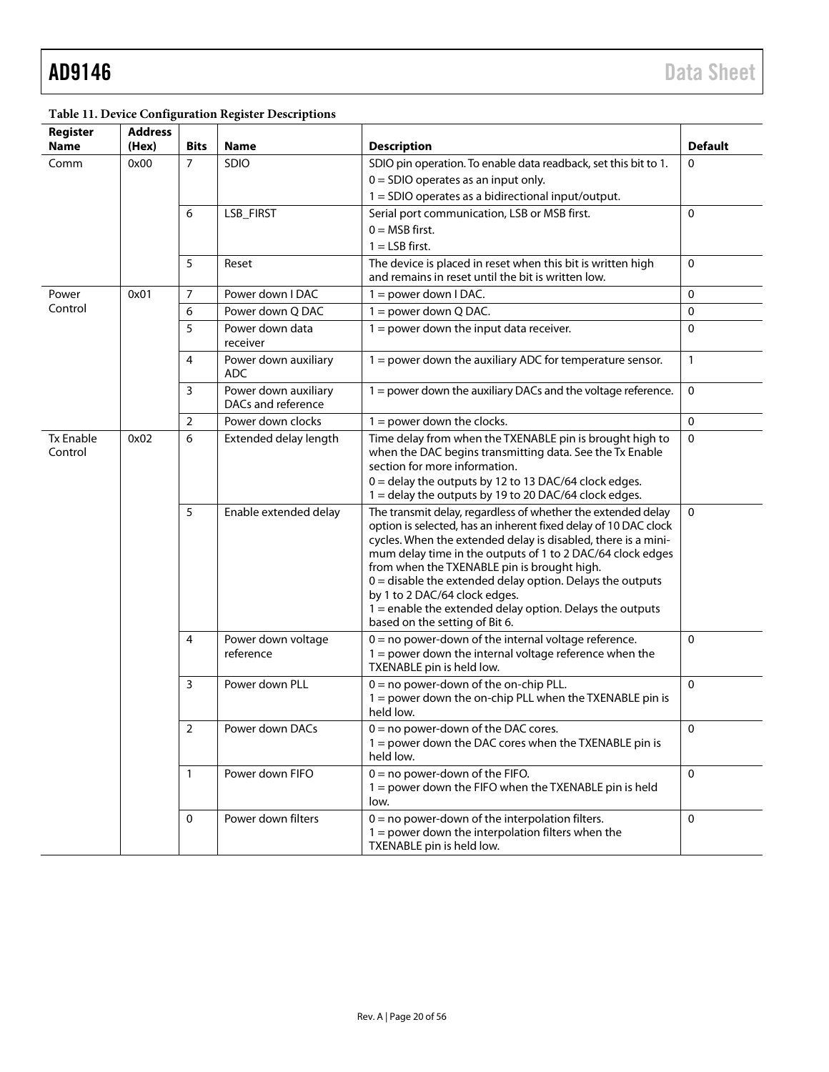| Register                    | <b>Address</b> |                |                                            |                                                                                                                                                                                                                                                                         |                |                       |                                                                                                                                                                                                                                                                                                                                                                                                                                                                                                               |
|-----------------------------|----------------|----------------|--------------------------------------------|-------------------------------------------------------------------------------------------------------------------------------------------------------------------------------------------------------------------------------------------------------------------------|----------------|-----------------------|---------------------------------------------------------------------------------------------------------------------------------------------------------------------------------------------------------------------------------------------------------------------------------------------------------------------------------------------------------------------------------------------------------------------------------------------------------------------------------------------------------------|
| <b>Name</b>                 | (Hex)          | <b>Bits</b>    | Name                                       | <b>Description</b>                                                                                                                                                                                                                                                      | <b>Default</b> |                       |                                                                                                                                                                                                                                                                                                                                                                                                                                                                                                               |
| Comm                        | 0x00           | $\overline{7}$ | SDIO                                       | SDIO pin operation. To enable data readback, set this bit to 1.                                                                                                                                                                                                         | $\mathbf{0}$   |                       |                                                                                                                                                                                                                                                                                                                                                                                                                                                                                                               |
|                             |                |                |                                            | $0 =$ SDIO operates as an input only.                                                                                                                                                                                                                                   |                |                       |                                                                                                                                                                                                                                                                                                                                                                                                                                                                                                               |
|                             |                |                |                                            | 1 = SDIO operates as a bidirectional input/output.                                                                                                                                                                                                                      |                |                       |                                                                                                                                                                                                                                                                                                                                                                                                                                                                                                               |
|                             |                | 6              | LSB_FIRST                                  | Serial port communication, LSB or MSB first.                                                                                                                                                                                                                            | $\Omega$       |                       |                                                                                                                                                                                                                                                                                                                                                                                                                                                                                                               |
|                             |                |                |                                            | $0 = MSB$ first.                                                                                                                                                                                                                                                        |                |                       |                                                                                                                                                                                                                                                                                                                                                                                                                                                                                                               |
|                             |                | 5              |                                            | $1 =$ LSB first.<br>The device is placed in reset when this bit is written high                                                                                                                                                                                         | $\Omega$       |                       |                                                                                                                                                                                                                                                                                                                                                                                                                                                                                                               |
|                             |                |                | Reset                                      | and remains in reset until the bit is written low.                                                                                                                                                                                                                      |                |                       |                                                                                                                                                                                                                                                                                                                                                                                                                                                                                                               |
| Power                       | 0x01           | 7              | Power down I DAC                           | $1 = power down I DAC.$                                                                                                                                                                                                                                                 | $\mathbf{0}$   |                       |                                                                                                                                                                                                                                                                                                                                                                                                                                                                                                               |
| Control                     |                | 6              | Power down Q DAC                           | $1 = power down Q DAC.$                                                                                                                                                                                                                                                 | 0              |                       |                                                                                                                                                                                                                                                                                                                                                                                                                                                                                                               |
|                             |                | 5              | Power down data<br>receiver                | $1 = power$ down the input data receiver.                                                                                                                                                                                                                               | $\Omega$       |                       |                                                                                                                                                                                                                                                                                                                                                                                                                                                                                                               |
|                             |                | 4              | Power down auxiliary<br><b>ADC</b>         | 1 = power down the auxiliary ADC for temperature sensor.                                                                                                                                                                                                                | $\mathbf{1}$   |                       |                                                                                                                                                                                                                                                                                                                                                                                                                                                                                                               |
|                             |                | 3              | Power down auxiliary<br>DACs and reference | 1 = power down the auxiliary DACs and the voltage reference.                                                                                                                                                                                                            | 0              |                       |                                                                                                                                                                                                                                                                                                                                                                                                                                                                                                               |
|                             |                | $\overline{2}$ | Power down clocks                          | $1 = power$ down the clocks.                                                                                                                                                                                                                                            | $\mathbf{0}$   |                       |                                                                                                                                                                                                                                                                                                                                                                                                                                                                                                               |
| <b>Tx Enable</b><br>Control | 0x02           | 6              | Extended delay length                      | Time delay from when the TXENABLE pin is brought high to<br>when the DAC begins transmitting data. See the Tx Enable<br>section for more information.<br>0 = delay the outputs by 12 to 13 DAC/64 clock edges.<br>1 = delay the outputs by 19 to 20 DAC/64 clock edges. | 0              |                       |                                                                                                                                                                                                                                                                                                                                                                                                                                                                                                               |
|                             |                |                |                                            |                                                                                                                                                                                                                                                                         | 5              | Enable extended delay | The transmit delay, regardless of whether the extended delay<br>option is selected, has an inherent fixed delay of 10 DAC clock<br>cycles. When the extended delay is disabled, there is a mini-<br>mum delay time in the outputs of 1 to 2 DAC/64 clock edges<br>from when the TXENABLE pin is brought high.<br>$0 =$ disable the extended delay option. Delays the outputs<br>by 1 to 2 DAC/64 clock edges.<br>$1$ = enable the extended delay option. Delays the outputs<br>based on the setting of Bit 6. |
|                             |                | 4              | Power down voltage<br>reference            | $0 = no power-down of the internal voltage reference.$<br>$1 =$ power down the internal voltage reference when the<br>TXENABLE pin is held low.                                                                                                                         | $\Omega$       |                       |                                                                                                                                                                                                                                                                                                                                                                                                                                                                                                               |
|                             |                | 3              | Power down PLL                             | $0 =$ no power-down of the on-chip PLL.<br>1 = power down the on-chip PLL when the TXENABLE pin is<br>held low.                                                                                                                                                         | $\mathbf{0}$   |                       |                                                                                                                                                                                                                                                                                                                                                                                                                                                                                                               |
|                             |                | $\overline{2}$ | Power down DACs                            | $0 = no power-down of the DAC cores.$<br>1 = power down the DAC cores when the TXENABLE pin is<br>held low.                                                                                                                                                             | $\pmb{0}$      |                       |                                                                                                                                                                                                                                                                                                                                                                                                                                                                                                               |
|                             |                | $\mathbf{1}$   | Power down FIFO                            | $0 = no power-down of the FIFO.$<br>1 = power down the FIFO when the TXENABLE pin is held<br>low.                                                                                                                                                                       | $\Omega$       |                       |                                                                                                                                                                                                                                                                                                                                                                                                                                                                                                               |
|                             |                | 0              | Power down filters                         | $0 =$ no power-down of the interpolation filters.<br>$1 =$ power down the interpolation filters when the<br>TXENABLE pin is held low.                                                                                                                                   | $\Omega$       |                       |                                                                                                                                                                                                                                                                                                                                                                                                                                                                                                               |

### <span id="page-19-0"></span>**Table 11. Device Configuration Register Descriptions**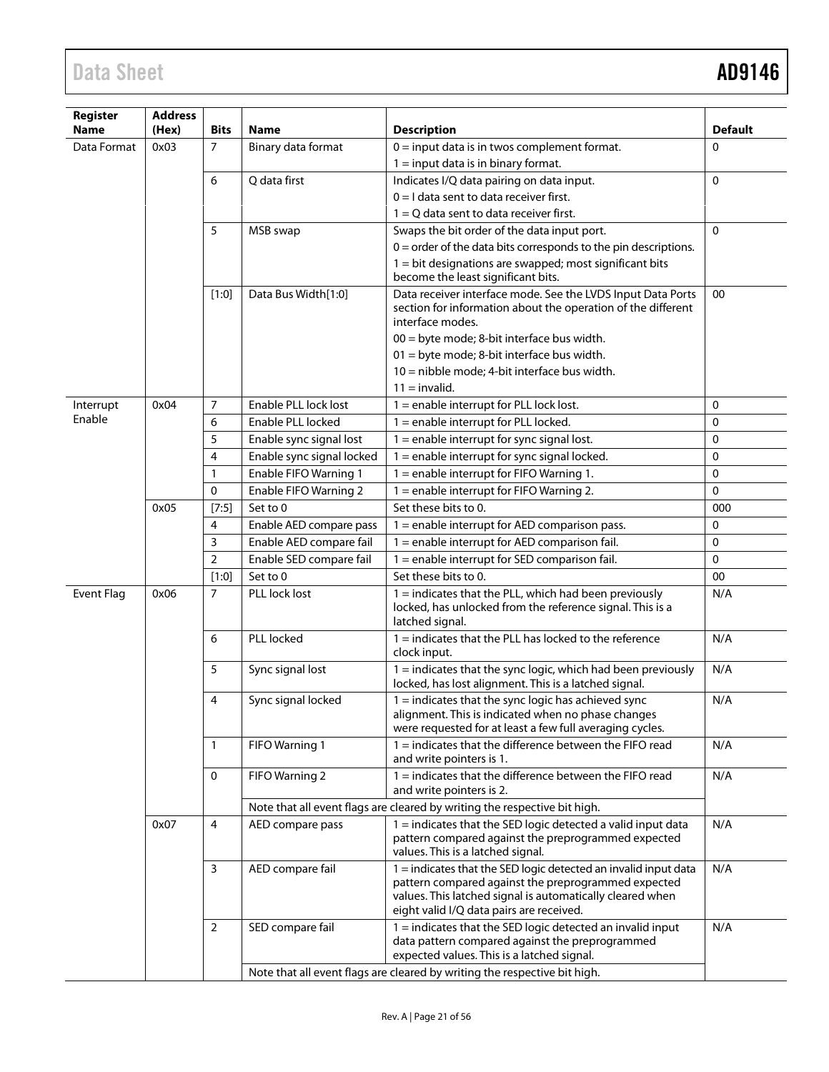| Register          | <b>Address</b> |                |                           |                                                                                                                                                                                                                                 |                |
|-------------------|----------------|----------------|---------------------------|---------------------------------------------------------------------------------------------------------------------------------------------------------------------------------------------------------------------------------|----------------|
| <b>Name</b>       | (Hex)          | <b>Bits</b>    | Name                      | <b>Description</b>                                                                                                                                                                                                              | <b>Default</b> |
| Data Format       | 0x03           | $\overline{7}$ | Binary data format        | $0 =$ input data is in twos complement format.                                                                                                                                                                                  | $\Omega$       |
|                   |                |                |                           | $1 =$ input data is in binary format.                                                                                                                                                                                           |                |
|                   |                | 6              | Q data first              | Indicates I/Q data pairing on data input.                                                                                                                                                                                       | $\Omega$       |
|                   |                |                |                           | $0 = I$ data sent to data receiver first.                                                                                                                                                                                       |                |
|                   |                |                |                           | $1 = Q$ data sent to data receiver first.                                                                                                                                                                                       |                |
|                   |                | 5              | MSB swap                  | Swaps the bit order of the data input port.                                                                                                                                                                                     | $\Omega$       |
|                   |                |                |                           | $0 =$ order of the data bits corresponds to the pin descriptions.                                                                                                                                                               |                |
|                   |                |                |                           | 1 = bit designations are swapped; most significant bits                                                                                                                                                                         |                |
|                   |                |                |                           | become the least significant bits.                                                                                                                                                                                              |                |
|                   |                | $[1:0]$        | Data Bus Width[1:0]       | Data receiver interface mode. See the LVDS Input Data Ports<br>section for information about the operation of the different                                                                                                     | 00             |
|                   |                |                |                           | interface modes.                                                                                                                                                                                                                |                |
|                   |                |                |                           | 00 = byte mode; 8-bit interface bus width.                                                                                                                                                                                      |                |
|                   |                |                |                           | 01 = byte mode; 8-bit interface bus width.                                                                                                                                                                                      |                |
|                   |                |                |                           | 10 = nibble mode; 4-bit interface bus width.                                                                                                                                                                                    |                |
|                   |                |                |                           | $11 =$ invalid.                                                                                                                                                                                                                 |                |
| Interrupt         | 0x04           | 7              | Enable PLL lock lost      | 1 = enable interrupt for PLL lock lost.                                                                                                                                                                                         | 0              |
|                   |                | 6              | Enable PLL locked         | 1 = enable interrupt for PLL locked.                                                                                                                                                                                            | 0              |
|                   |                | 5              | Enable sync signal lost   | $1 =$ enable interrupt for sync signal lost.                                                                                                                                                                                    | $\Omega$       |
| Enable            |                | 4              | Enable sync signal locked | $1$ = enable interrupt for sync signal locked.                                                                                                                                                                                  | $\mathbf{0}$   |
|                   |                | 1              | Enable FIFO Warning 1     | $1 =$ enable interrupt for FIFO Warning 1.                                                                                                                                                                                      | 0              |
|                   |                | 0              | Enable FIFO Warning 2     | 1 = enable interrupt for FIFO Warning 2.                                                                                                                                                                                        | $\Omega$       |
|                   | 0x05           | $[7:5]$        | Set to 0                  | Set these bits to 0.                                                                                                                                                                                                            | 000            |
|                   |                | 4              | Enable AED compare pass   | 1 = enable interrupt for AED comparison pass.                                                                                                                                                                                   | 0              |
|                   |                | 3              | Enable AED compare fail   | 1 = enable interrupt for AED comparison fail.                                                                                                                                                                                   | 0              |
|                   |                | $\overline{2}$ | Enable SED compare fail   | 1 = enable interrupt for SED comparison fail.                                                                                                                                                                                   | 0              |
|                   |                | $[1:0]$        | Set to 0                  | Set these bits to 0.                                                                                                                                                                                                            | 00             |
| <b>Event Flag</b> | 0x06           | 7              | PLL lock lost             | $1 =$ indicates that the PLL, which had been previously<br>locked, has unlocked from the reference signal. This is a<br>latched signal.                                                                                         | N/A            |
|                   |                | 6              | PLL locked                | $1 =$ indicates that the PLL has locked to the reference<br>clock input.                                                                                                                                                        | N/A            |
|                   |                | 5              | Sync signal lost          | $1 =$ indicates that the sync logic, which had been previously<br>locked, has lost alignment. This is a latched signal.                                                                                                         | N/A            |
|                   |                | 4              | Sync signal locked        | $1 =$ indicates that the sync logic has achieved sync<br>alignment. This is indicated when no phase changes<br>were requested for at least a few full averaging cycles.                                                         | N/A            |
|                   |                | 1              | FIFO Warning 1            | $1 =$ indicates that the difference between the FIFO read<br>and write pointers is 1.                                                                                                                                           | N/A            |
|                   |                | 0              | FIFO Warning 2            | $1 =$ indicates that the difference between the FIFO read<br>and write pointers is 2.                                                                                                                                           | N/A            |
|                   |                |                |                           | Note that all event flags are cleared by writing the respective bit high.                                                                                                                                                       |                |
|                   | 0x07           | 4              | AED compare pass          | $1 =$ indicates that the SED logic detected a valid input data<br>pattern compared against the preprogrammed expected<br>values. This is a latched signal.                                                                      | N/A            |
|                   |                | 3              | AED compare fail          | 1 = indicates that the SED logic detected an invalid input data<br>pattern compared against the preprogrammed expected<br>values. This latched signal is automatically cleared when<br>eight valid I/Q data pairs are received. | N/A            |
|                   |                | $\overline{2}$ | SED compare fail          | $1 =$ indicates that the SED logic detected an invalid input<br>data pattern compared against the preprogrammed<br>expected values. This is a latched signal.                                                                   | N/A            |
|                   |                |                |                           | Note that all event flags are cleared by writing the respective bit high.                                                                                                                                                       |                |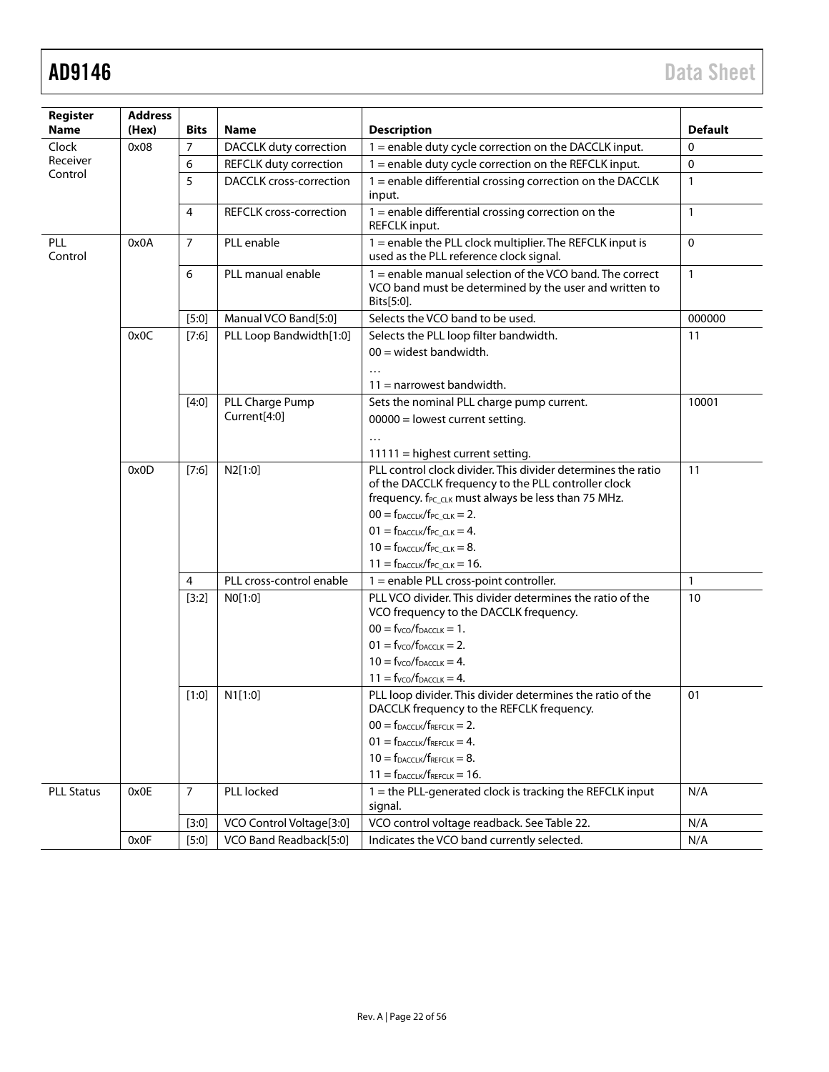| Register<br><b>Name</b>                        | <b>Address</b><br>(Hex) | <b>Bits</b>    | <b>Name</b>                    | <b>Description</b>                                                                                                                                                                     | <b>Default</b> |
|------------------------------------------------|-------------------------|----------------|--------------------------------|----------------------------------------------------------------------------------------------------------------------------------------------------------------------------------------|----------------|
| Clock                                          | 0x08                    | $\overline{7}$ | DACCLK duty correction         | 1 = enable duty cycle correction on the DACCLK input.                                                                                                                                  | 0              |
| Receiver                                       |                         | 6              | REFCLK duty correction         | $1$ = enable duty cycle correction on the REFCLK input.                                                                                                                                | $\mathbf 0$    |
| Control<br>PLL<br>Control<br><b>PLL Status</b> |                         | 5              | <b>DACCLK</b> cross-correction | 1 = enable differential crossing correction on the DACCLK<br>input.                                                                                                                    | $\mathbf{1}$   |
|                                                |                         | 4              | <b>REFCLK</b> cross-correction | $1$ = enable differential crossing correction on the<br>REFCLK input.                                                                                                                  | $\mathbf{1}$   |
|                                                | 0x0A                    | $\overline{7}$ | PLL enable                     | 1 = enable the PLL clock multiplier. The REFCLK input is<br>used as the PLL reference clock signal.                                                                                    | $\mathbf 0$    |
|                                                |                         | 6              | PLL manual enable              | 1 = enable manual selection of the VCO band. The correct<br>VCO band must be determined by the user and written to<br>Bits[5:0].                                                       | $\mathbf{1}$   |
|                                                |                         | $[5:0]$        | Manual VCO Band[5:0]           | Selects the VCO band to be used.                                                                                                                                                       | 000000         |
|                                                | 0x0C                    | [7:6]          | PLL Loop Bandwidth[1:0]        | Selects the PLL loop filter bandwidth.                                                                                                                                                 | 11             |
|                                                |                         |                |                                | $00 =$ widest bandwidth.                                                                                                                                                               |                |
|                                                |                         |                |                                | $\ddotsc$<br>$11 =$ narrowest bandwidth.                                                                                                                                               |                |
|                                                |                         | $[4:0]$        | PLL Charge Pump                | Sets the nominal PLL charge pump current.                                                                                                                                              | 10001          |
|                                                |                         |                | Current[4:0]                   | $00000 =$ lowest current setting.                                                                                                                                                      |                |
|                                                |                         |                |                                | $\ddots$                                                                                                                                                                               |                |
|                                                |                         |                |                                | $11111$ = highest current setting.                                                                                                                                                     |                |
|                                                | 0x0D                    | $[7:6]$        | N2[1:0]                        | PLL control clock divider. This divider determines the ratio<br>of the DACCLK frequency to the PLL controller clock<br>frequency. f <sub>PC_CLK</sub> must always be less than 75 MHz. | 11             |
|                                                |                         |                |                                | $00 = f_{DACCLK}/f_{PCCLK} = 2.$                                                                                                                                                       |                |
|                                                |                         |                |                                | $01 = f_{DACCLK}/f_{PCCLK} = 4.$                                                                                                                                                       |                |
|                                                |                         |                |                                | $10 = f_{DACCLK}/f_{PCCLK} = 8.$                                                                                                                                                       |                |
|                                                |                         |                |                                | $11 = f_{DACCLK}/f_{PC_CLK} = 16.$                                                                                                                                                     |                |
|                                                |                         | 4              | PLL cross-control enable       | 1 = enable PLL cross-point controller.                                                                                                                                                 | $\mathbf{1}$   |
|                                                |                         | $[3:2]$        | NO[1:0]                        | PLL VCO divider. This divider determines the ratio of the<br>VCO frequency to the DACCLK frequency.                                                                                    | 10             |
|                                                |                         |                |                                | $00 = fVCO/fDACCLK = 1.$                                                                                                                                                               |                |
|                                                |                         |                |                                | $01 = fVCO/fDACCLK = 2.$                                                                                                                                                               |                |
|                                                |                         |                |                                | $10 = fVCO/fDACCLK = 4.$                                                                                                                                                               |                |
|                                                |                         |                |                                | $11 = fVCO/fDACCLK = 4.$                                                                                                                                                               |                |
|                                                |                         | [1:0]          | N1[1:0]                        | PLL loop divider. This divider determines the ratio of the<br>DACCLK frequency to the REFCLK frequency.                                                                                | 01             |
|                                                |                         |                |                                | $00 = f_{DACCLK}/f_{REFCLK} = 2.$                                                                                                                                                      |                |
|                                                |                         |                |                                | $01 = f_{DACCLK}/f_{REFCLK} = 4.$                                                                                                                                                      |                |
|                                                |                         |                |                                | $10 = f_{DACCLK}/f_{REFCLK} = 8.$                                                                                                                                                      |                |
|                                                |                         |                |                                | $11 = f_{DACCLK}/f_{REFCLK} = 16.$                                                                                                                                                     |                |
|                                                | 0x0E                    | $\overline{7}$ | PLL locked                     | 1 = the PLL-generated clock is tracking the REFCLK input<br>signal.                                                                                                                    | N/A            |
|                                                |                         | $[3:0]$        | VCO Control Voltage[3:0]       | VCO control voltage readback. See Table 22.                                                                                                                                            | N/A            |
|                                                | 0x0F                    | $[5:0]$        | VCO Band Readback[5:0]         | Indicates the VCO band currently selected.                                                                                                                                             | N/A            |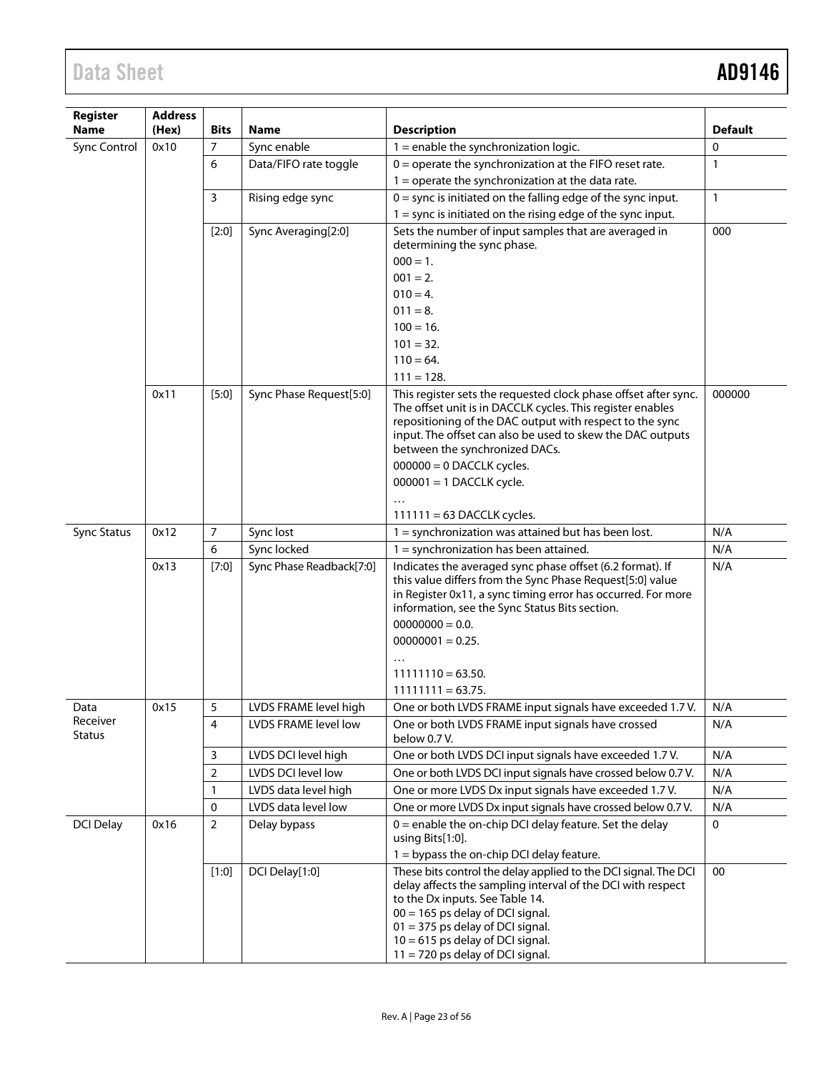| Register                  | <b>Address</b> |             |                          |                                                                                                                                                                                                                                                                                           |                |
|---------------------------|----------------|-------------|--------------------------|-------------------------------------------------------------------------------------------------------------------------------------------------------------------------------------------------------------------------------------------------------------------------------------------|----------------|
| <b>Name</b>               | (Hex)          | <b>Bits</b> | Name                     | <b>Description</b>                                                                                                                                                                                                                                                                        | <b>Default</b> |
| <b>Sync Control</b>       | 0x10           | 7           | Sync enable              | $1$ = enable the synchronization logic.                                                                                                                                                                                                                                                   | $\mathbf{0}$   |
|                           |                | 6           | Data/FIFO rate toggle    | $0 =$ operate the synchronization at the FIFO reset rate.                                                                                                                                                                                                                                 | $\mathbf{1}$   |
|                           |                |             |                          | $1 =$ operate the synchronization at the data rate.                                                                                                                                                                                                                                       |                |
|                           |                | 3           | Rising edge sync         | $0 =$ sync is initiated on the falling edge of the sync input.                                                                                                                                                                                                                            | $\mathbf{1}$   |
|                           |                |             |                          | $1 =$ sync is initiated on the rising edge of the sync input.                                                                                                                                                                                                                             |                |
|                           |                | $[2:0]$     | Sync Averaging[2:0]      | Sets the number of input samples that are averaged in<br>determining the sync phase.                                                                                                                                                                                                      | 000            |
|                           |                |             |                          | $000 = 1.$                                                                                                                                                                                                                                                                                |                |
|                           |                |             |                          | $001 = 2.$                                                                                                                                                                                                                                                                                |                |
|                           |                |             |                          | $010 = 4.$                                                                                                                                                                                                                                                                                |                |
|                           |                |             |                          | $011 = 8.$                                                                                                                                                                                                                                                                                |                |
|                           |                |             |                          | $100 = 16.$                                                                                                                                                                                                                                                                               |                |
|                           |                |             |                          | $101 = 32.$                                                                                                                                                                                                                                                                               |                |
|                           |                |             |                          | $110 = 64.$                                                                                                                                                                                                                                                                               |                |
|                           |                |             |                          | $111 = 128.$                                                                                                                                                                                                                                                                              |                |
|                           | 0x11           | $[5:0]$     | Sync Phase Request[5:0]  | This register sets the requested clock phase offset after sync.<br>The offset unit is in DACCLK cycles. This register enables<br>repositioning of the DAC output with respect to the sync<br>input. The offset can also be used to skew the DAC outputs<br>between the synchronized DACs. | 000000         |
|                           |                |             |                          | $000000 = 0$ DACCLK cycles.                                                                                                                                                                                                                                                               |                |
|                           |                |             |                          | $000001 = 1$ DACCLK cycle.                                                                                                                                                                                                                                                                |                |
|                           |                |             |                          |                                                                                                                                                                                                                                                                                           |                |
| <b>Sync Status</b>        | 0x12           | 7           | Sync lost                | $111111 = 63$ DACCLK cycles.<br>$1 =$ synchronization was attained but has been lost.                                                                                                                                                                                                     | N/A            |
|                           |                | 6           | Sync locked              | $1 =$ synchronization has been attained.                                                                                                                                                                                                                                                  | N/A            |
|                           | 0x13           | [7:0]       | Sync Phase Readback[7:0] | Indicates the averaged sync phase offset (6.2 format). If                                                                                                                                                                                                                                 | N/A            |
|                           |                |             |                          | this value differs from the Sync Phase Request[5:0] value<br>in Register 0x11, a sync timing error has occurred. For more<br>information, see the Sync Status Bits section.<br>$00000000 = 0.0$ .<br>$00000001 = 0.25.$                                                                   |                |
|                           |                |             |                          | $11111110 = 63.50.$                                                                                                                                                                                                                                                                       |                |
|                           |                |             |                          | $11111111 = 63.75.$                                                                                                                                                                                                                                                                       |                |
| Data                      | 0x15           | 5           | LVDS FRAME level high    | One or both LVDS FRAME input signals have exceeded 1.7 V.                                                                                                                                                                                                                                 | N/A            |
| Receiver<br><b>Status</b> |                | 4           | LVDS FRAME level low     | One or both LVDS FRAME input signals have crossed<br>below 0.7 V.                                                                                                                                                                                                                         | N/A            |
|                           |                | 3           | LVDS DCI level high      | One or both LVDS DCI input signals have exceeded 1.7 V.                                                                                                                                                                                                                                   | N/A            |
|                           |                | 2           | LVDS DCI level low       | One or both LVDS DCI input signals have crossed below 0.7 V.                                                                                                                                                                                                                              | N/A            |
|                           |                | 1           | LVDS data level high     | One or more LVDS Dx input signals have exceeded 1.7 V.                                                                                                                                                                                                                                    | N/A            |
|                           |                | 0           | LVDS data level low      | One or more LVDS Dx input signals have crossed below 0.7 V.                                                                                                                                                                                                                               | N/A            |
| <b>DCI Delay</b>          | 0x16           | 2           | Delay bypass             | 0 = enable the on-chip DCI delay feature. Set the delay<br>using Bits[1:0].                                                                                                                                                                                                               | $\pmb{0}$      |
|                           |                | [1:0]       | DCI Delay[1:0]           | $1 =$ bypass the on-chip DCI delay feature.<br>These bits control the delay applied to the DCI signal. The DCI                                                                                                                                                                            | 00             |
|                           |                |             |                          | delay affects the sampling interval of the DCI with respect<br>to the Dx inputs. See Table 14.<br>$00 = 165$ ps delay of DCI signal.<br>$01 = 375$ ps delay of DCI signal.<br>$10 = 615$ ps delay of DCI signal.<br>$11 = 720$ ps delay of DCI signal.                                    |                |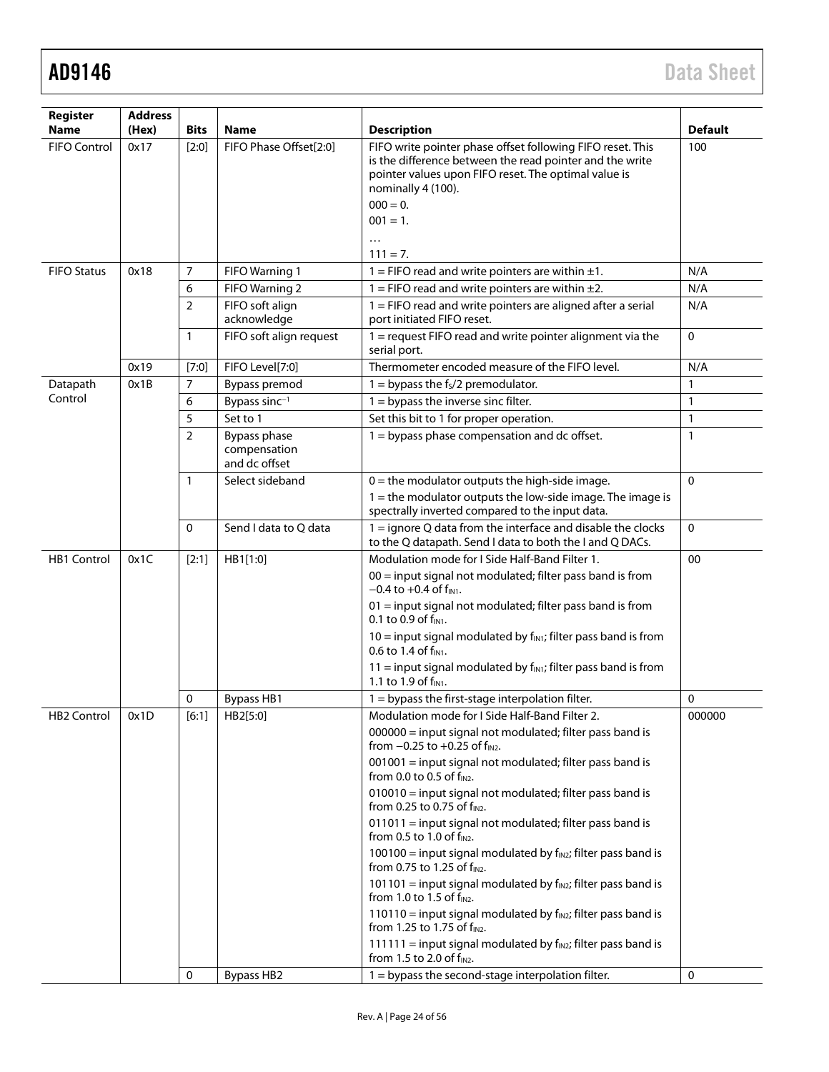| Register<br><b>Name</b> | <b>Address</b><br>(Hex) | <b>Bits</b>    | <b>Name</b>                                   | <b>Description</b>                                                                                                                                                                                                                                                                                                                                                                                                                                                                                                                                                                                                                                                                                                                                                                                                                                                                                                              | <b>Default</b>    |
|-------------------------|-------------------------|----------------|-----------------------------------------------|---------------------------------------------------------------------------------------------------------------------------------------------------------------------------------------------------------------------------------------------------------------------------------------------------------------------------------------------------------------------------------------------------------------------------------------------------------------------------------------------------------------------------------------------------------------------------------------------------------------------------------------------------------------------------------------------------------------------------------------------------------------------------------------------------------------------------------------------------------------------------------------------------------------------------------|-------------------|
| FIFO Control            | 0x17                    | $[2:0]$        | FIFO Phase Offset[2:0]                        | FIFO write pointer phase offset following FIFO reset. This<br>is the difference between the read pointer and the write<br>pointer values upon FIFO reset. The optimal value is<br>nominally 4 (100).<br>$000 = 0.$<br>$001 = 1.$                                                                                                                                                                                                                                                                                                                                                                                                                                                                                                                                                                                                                                                                                                | 100               |
|                         |                         |                |                                               | $\cdots$<br>$111 = 7.$                                                                                                                                                                                                                                                                                                                                                                                                                                                                                                                                                                                                                                                                                                                                                                                                                                                                                                          |                   |
| <b>FIFO Status</b>      | 0x18                    | 7              | FIFO Warning 1                                | 1 = FIFO read and write pointers are within $\pm 1$ .                                                                                                                                                                                                                                                                                                                                                                                                                                                                                                                                                                                                                                                                                                                                                                                                                                                                           | N/A               |
|                         |                         | 6              | FIFO Warning 2                                | 1 = FIFO read and write pointers are within $\pm 2$ .                                                                                                                                                                                                                                                                                                                                                                                                                                                                                                                                                                                                                                                                                                                                                                                                                                                                           | N/A               |
|                         |                         | 2              | FIFO soft align<br>acknowledge                | $1 =$ FIFO read and write pointers are aligned after a serial<br>port initiated FIFO reset.                                                                                                                                                                                                                                                                                                                                                                                                                                                                                                                                                                                                                                                                                                                                                                                                                                     | N/A               |
|                         |                         | $\mathbf{1}$   | FIFO soft align request                       | 1 = request FIFO read and write pointer alignment via the<br>serial port.                                                                                                                                                                                                                                                                                                                                                                                                                                                                                                                                                                                                                                                                                                                                                                                                                                                       | $\mathbf 0$       |
|                         | 0x19                    | [7:0]          | FIFO Level[7:0]                               | Thermometer encoded measure of the FIFO level.                                                                                                                                                                                                                                                                                                                                                                                                                                                                                                                                                                                                                                                                                                                                                                                                                                                                                  | N/A               |
| Datapath                | 0x1B                    | 7              | Bypass premod                                 | $1 =$ bypass the fs/2 premodulator.                                                                                                                                                                                                                                                                                                                                                                                                                                                                                                                                                                                                                                                                                                                                                                                                                                                                                             | 1                 |
| Control                 |                         | 6              | Bypass sinc <sup>-1</sup>                     | $1 =$ bypass the inverse sinc filter.                                                                                                                                                                                                                                                                                                                                                                                                                                                                                                                                                                                                                                                                                                                                                                                                                                                                                           | $\mathbf{1}$      |
|                         |                         | 5              | Set to 1                                      | Set this bit to 1 for proper operation.                                                                                                                                                                                                                                                                                                                                                                                                                                                                                                                                                                                                                                                                                                                                                                                                                                                                                         | $\mathbf{1}$      |
|                         |                         | $\overline{2}$ | Bypass phase<br>compensation<br>and dc offset | 1 = bypass phase compensation and dc offset.                                                                                                                                                                                                                                                                                                                                                                                                                                                                                                                                                                                                                                                                                                                                                                                                                                                                                    | $\mathbf{1}$      |
|                         |                         | 1              | Select sideband                               | $0 =$ the modulator outputs the high-side image.<br>$1 =$ the modulator outputs the low-side image. The image is<br>spectrally inverted compared to the input data.                                                                                                                                                                                                                                                                                                                                                                                                                                                                                                                                                                                                                                                                                                                                                             | $\mathbf 0$       |
|                         |                         | 0              | Send I data to Q data                         | 1 = ignore Q data from the interface and disable the clocks<br>to the Q datapath. Send I data to both the I and Q DACs.                                                                                                                                                                                                                                                                                                                                                                                                                                                                                                                                                                                                                                                                                                                                                                                                         | $\mathbf 0$       |
| <b>HB1 Control</b>      | 0x1C                    | $[2:1]$<br>0   | HB1[1:0]<br><b>Bypass HB1</b>                 | Modulation mode for I Side Half-Band Filter 1.<br>$00 =$ input signal not modulated; filter pass band is from<br>$-0.4$ to $+0.4$ of $f_{IN1}$ .<br>01 = input signal not modulated; filter pass band is from<br>0.1 to 0.9 of f <sub>IN1</sub> .<br>$10 =$ input signal modulated by f <sub>IN1</sub> ; filter pass band is from<br>0.6 to 1.4 of $f_{IN1}$ .<br>$11$ = input signal modulated by $f_{\text{INI}}$ ; filter pass band is from<br>1.1 to 1.9 of $f_{IN1}$ .<br>1 = bypass the first-stage interpolation filter.                                                                                                                                                                                                                                                                                                                                                                                                 | 00<br>$\mathbf 0$ |
| HB2 Control             | 0x1D                    | [6:1]          | HB2[5:0]                                      | Modulation mode for I Side Half-Band Filter 2.<br>000000 = input signal not modulated; filter pass band is<br>from $-0.25$ to $+0.25$ of $f_{IN2}$ .<br>001001 = input signal not modulated; filter pass band is<br>from 0.0 to 0.5 of f <sub>IN2</sub> .<br>010010 = input signal not modulated; filter pass band is<br>from 0.25 to 0.75 of $f_{IN2}$ .<br>011011 = input signal not modulated; filter pass band is<br>from 0.5 to 1.0 of f <sub>IN2</sub> .<br>$100100 =$ input signal modulated by $f_{IN2}$ ; filter pass band is<br>from 0.75 to 1.25 of f <sub>IN2</sub> .<br>$101101$ = input signal modulated by $f_{IN2}$ ; filter pass band is<br>from 1.0 to 1.5 of $f_{IN2}$ .<br>$110110$ = input signal modulated by $f_{IN2}$ ; filter pass band is<br>from 1.25 to 1.75 of f <sub>IN2</sub> .<br>$111111$ = input signal modulated by $f_{IN2}$ ; filter pass band is<br>from 1.5 to 2.0 of f <sub>IN2</sub> . | 000000            |
|                         |                         | 0              | <b>Bypass HB2</b>                             | 1 = bypass the second-stage interpolation filter.                                                                                                                                                                                                                                                                                                                                                                                                                                                                                                                                                                                                                                                                                                                                                                                                                                                                               | 0                 |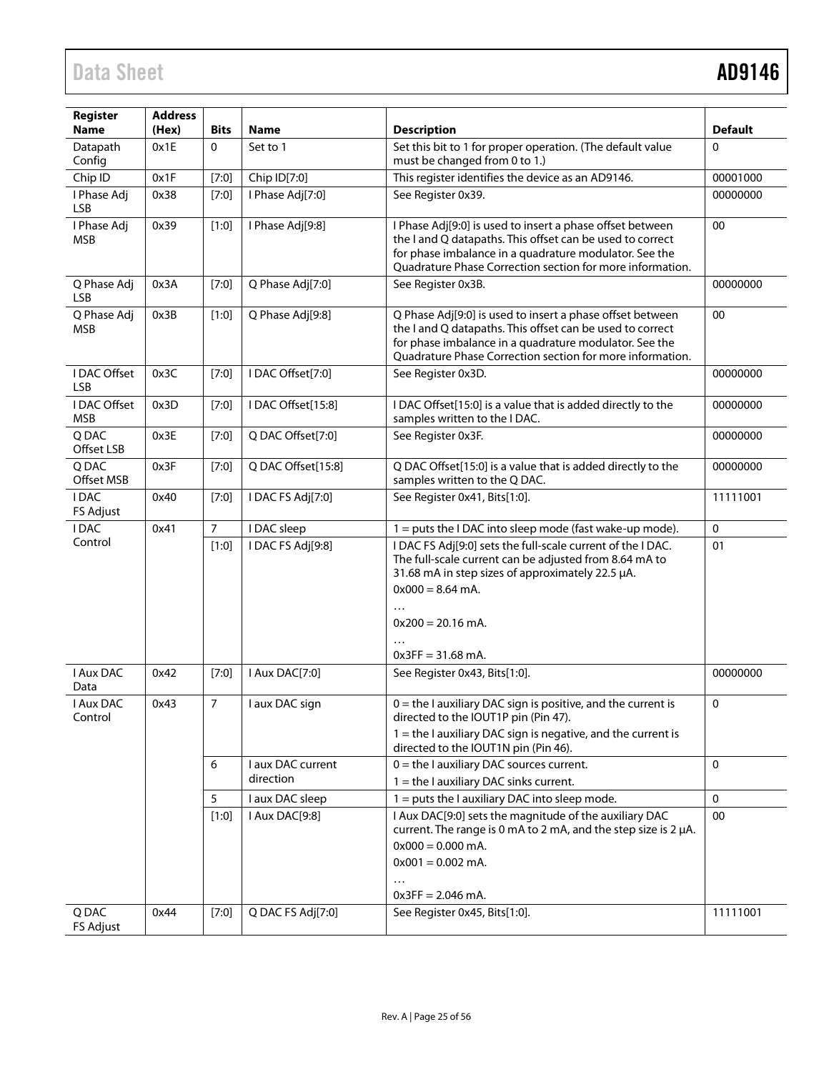| Register<br><b>Name</b>    | <b>Address</b><br>(Hex) | <b>Bits</b>    | Name                           | <b>Description</b>                                                                                                                                                                                                                            | <b>Default</b> |
|----------------------------|-------------------------|----------------|--------------------------------|-----------------------------------------------------------------------------------------------------------------------------------------------------------------------------------------------------------------------------------------------|----------------|
| Datapath<br>Config         | 0x1E                    | 0              | Set to 1                       | Set this bit to 1 for proper operation. (The default value<br>must be changed from 0 to 1.)                                                                                                                                                   | $\Omega$       |
| Chip ID                    | 0x1F                    | $[7:0]$        | Chip ID[7:0]                   | This register identifies the device as an AD9146.                                                                                                                                                                                             | 00001000       |
| I Phase Adj<br><b>LSB</b>  | 0x38                    | [7:0]          | I Phase Adj[7:0]               | See Register 0x39.                                                                                                                                                                                                                            | 00000000       |
| I Phase Adj<br><b>MSB</b>  | 0x39                    | $[1:0]$        | I Phase Adj[9:8]               | I Phase Adj[9:0] is used to insert a phase offset between<br>the I and Q datapaths. This offset can be used to correct<br>for phase imbalance in a quadrature modulator. See the<br>Quadrature Phase Correction section for more information. | 00             |
| Q Phase Adj<br><b>LSB</b>  | 0x3A                    | $[7:0]$        | Q Phase Adj[7:0]               | See Register 0x3B.                                                                                                                                                                                                                            | 00000000       |
| Q Phase Adj<br><b>MSB</b>  | 0x3B                    | $[1:0]$        | Q Phase Adj[9:8]               | Q Phase Adj[9:0] is used to insert a phase offset between<br>the I and Q datapaths. This offset can be used to correct<br>for phase imbalance in a quadrature modulator. See the<br>Quadrature Phase Correction section for more information. | 00             |
| I DAC Offset<br><b>LSB</b> | 0x3C                    | [7:0]          | I DAC Offset[7:0]              | See Register 0x3D.                                                                                                                                                                                                                            | 00000000       |
| I DAC Offset<br><b>MSB</b> | 0x3D                    | $[7:0]$        | I DAC Offset[15:8]             | I DAC Offset[15:0] is a value that is added directly to the<br>samples written to the I DAC.                                                                                                                                                  | 00000000       |
| Q DAC<br>Offset LSB        | 0x3E                    | $[7:0]$        | Q DAC Offset[7:0]              | See Register 0x3F.                                                                                                                                                                                                                            | 00000000       |
| Q DAC<br>Offset MSB        | 0x3F                    | $[7:0]$        | Q DAC Offset[15:8]             | Q DAC Offset[15:0] is a value that is added directly to the<br>samples written to the Q DAC.                                                                                                                                                  | 00000000       |
| <b>IDAC</b><br>FS Adjust   | 0x40                    | [7:0]          | I DAC FS Adj[7:0]              | See Register 0x41, Bits[1:0].                                                                                                                                                                                                                 | 11111001       |
| I DAC                      | 0x41                    | $\overline{7}$ | I DAC sleep                    | 1 = puts the I DAC into sleep mode (fast wake-up mode).                                                                                                                                                                                       | $\mathbf{0}$   |
| Control                    |                         | $[1:0]$        | I DAC FS Adj[9:8]              | I DAC FS Adj[9:0] sets the full-scale current of the I DAC.<br>The full-scale current can be adjusted from 8.64 mA to<br>31.68 mA in step sizes of approximately 22.5 µA.<br>$0x000 = 8.64$ mA.<br>$0x200 = 20.16$ mA.<br>$0x3FF = 31.68$ mA. | 01             |
| I Aux DAC<br>Data          | 0x42                    | [7:0]          | I Aux DAC[7:0]                 | See Register 0x43, Bits[1:0].                                                                                                                                                                                                                 | 00000000       |
| I Aux DAC<br>Control       | 0x43                    | 7              | I aux DAC sign                 | $0 =$ the I auxiliary DAC sign is positive, and the current is<br>directed to the IOUT1P pin (Pin 47).<br>$1 =$ the I auxiliary DAC sign is negative, and the current is<br>directed to the IOUT1N pin (Pin 46).                              | $\mathbf 0$    |
|                            |                         | 6              | I aux DAC current<br>direction | $0 =$ the I auxiliary DAC sources current.<br>$1 =$ the I auxiliary DAC sinks current.                                                                                                                                                        | $\Omega$       |
|                            |                         | 5              | I aux DAC sleep                | $1 = puts$ the I auxiliary DAC into sleep mode.                                                                                                                                                                                               | $\mathbf{0}$   |
|                            |                         | $[1:0]$        | I Aux DAC[9:8]                 | I Aux DAC[9:0] sets the magnitude of the auxiliary DAC<br>current. The range is 0 mA to 2 mA, and the step size is 2 µA.<br>$0x000 = 0.000$ mA.<br>$0x001 = 0.002$ mA.<br>$\cdots$<br>$0x3FF = 2.046$ mA.                                     | 00             |
| Q DAC<br>FS Adjust         | 0x44                    | [7:0]          | Q DAC FS Adj[7:0]              | See Register 0x45, Bits[1:0].                                                                                                                                                                                                                 | 11111001       |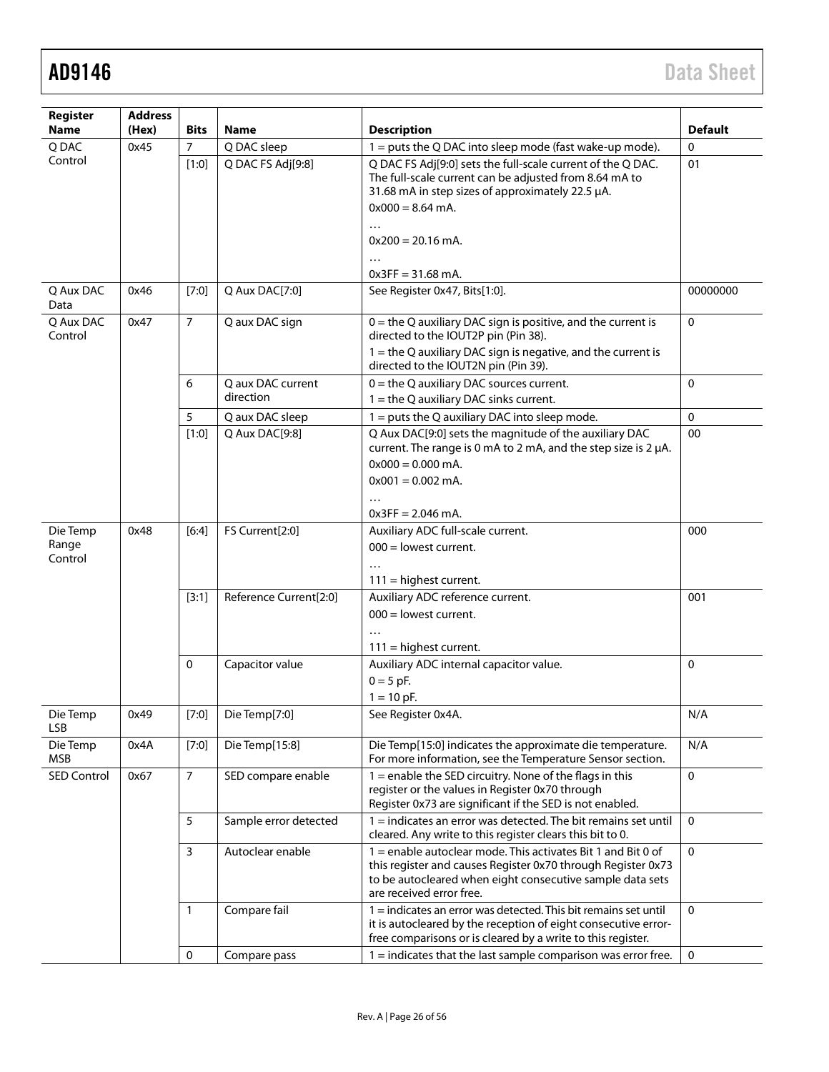| Register<br><b>Name</b>      | <b>Address</b><br>(Hex) | <b>Bits</b>    | <b>Name</b>            | <b>Description</b>                                                                                                                                                                                                    | <b>Default</b> |
|------------------------------|-------------------------|----------------|------------------------|-----------------------------------------------------------------------------------------------------------------------------------------------------------------------------------------------------------------------|----------------|
| Q DAC                        | 0x45                    | $\overline{7}$ | Q DAC sleep            | $1 = puts the Q DAC into sleep mode (fast wake-up mode).$                                                                                                                                                             | $\mathbf{0}$   |
| Control                      |                         | [1:0]          | Q DAC FS Adj[9:8]      | Q DAC FS Adj[9:0] sets the full-scale current of the Q DAC.<br>The full-scale current can be adjusted from 8.64 mA to<br>31.68 mA in step sizes of approximately 22.5 µA.<br>$0x000 = 8.64$ mA.<br>$\cdots$           | 01             |
|                              |                         |                |                        | $0x200 = 20.16$ mA.<br>$\cdots$<br>$0x3FF = 31.68$ mA.                                                                                                                                                                |                |
| Q Aux DAC<br>Data            | 0x46                    | [7:0]          | Q Aux DAC[7:0]         | See Register 0x47, Bits[1:0].                                                                                                                                                                                         | 00000000       |
| Q Aux DAC<br>Control         | 0x47                    | $\overline{7}$ | Q aux DAC sign         | $0 =$ the Q auxiliary DAC sign is positive, and the current is<br>directed to the IOUT2P pin (Pin 38).<br>$1 =$ the Q auxiliary DAC sign is negative, and the current is<br>directed to the IOUT2N pin (Pin 39).      | $\Omega$       |
|                              |                         | 6              | Q aux DAC current      | $0 =$ the Q auxiliary DAC sources current.                                                                                                                                                                            | 0              |
|                              |                         |                | direction              | $1 =$ the Q auxiliary DAC sinks current.                                                                                                                                                                              |                |
|                              |                         | 5              | Q aux DAC sleep        | $1 =$ puts the Q auxiliary DAC into sleep mode.                                                                                                                                                                       | $\mathbf{0}$   |
|                              |                         | [1:0]          | Q Aux DAC[9:8]         | Q Aux DAC[9:0] sets the magnitude of the auxiliary DAC<br>current. The range is 0 mA to 2 mA, and the step size is 2 µA.<br>$0x000 = 0.000$ mA.<br>$0x001 = 0.002$ mA.<br>$\cdots$                                    | 00             |
|                              |                         |                |                        | $0x3FF = 2.046$ mA.                                                                                                                                                                                                   |                |
| Die Temp<br>Range<br>Control | 0x48                    | [6:4]          | FS Current[2:0]        | Auxiliary ADC full-scale current.<br>$000 =$ lowest current.<br>$\cdots$<br>$111 =$ highest current.                                                                                                                  | 000            |
|                              |                         | [3:1]          | Reference Current[2:0] | Auxiliary ADC reference current.<br>$000 =$ lowest current.<br>$111$ = highest current.                                                                                                                               | 001            |
|                              |                         | $\mathbf 0$    | Capacitor value        | Auxiliary ADC internal capacitor value.<br>$0 = 5$ pF.<br>$1 = 10$ pF.                                                                                                                                                | $\Omega$       |
| Die lemp<br><b>LSB</b>       | 0x49                    | [7:0]          | Die Temp[7:0]          | See Register 0x4A.                                                                                                                                                                                                    | N/A            |
| Die Temp<br><b>MSB</b>       | 0x4A                    | [7:0]          | Die Temp[15:8]         | Die Temp[15:0] indicates the approximate die temperature.<br>For more information, see the Temperature Sensor section.                                                                                                | N/A            |
| <b>SED Control</b>           | 0x67                    | $\overline{7}$ | SED compare enable     | 1 = enable the SED circuitry. None of the flags in this<br>register or the values in Register 0x70 through<br>Register 0x73 are significant if the SED is not enabled.                                                | $\mathbf 0$    |
|                              |                         | 5              | Sample error detected  | 1 = indicates an error was detected. The bit remains set until<br>cleared. Any write to this register clears this bit to 0.                                                                                           | $\mathbf 0$    |
|                              |                         | $\mathsf{3}$   | Autoclear enable       | 1 = enable autoclear mode. This activates Bit 1 and Bit 0 of<br>this register and causes Register 0x70 through Register 0x73<br>to be autocleared when eight consecutive sample data sets<br>are received error free. | $\mathbf{0}$   |
|                              |                         | 1              | Compare fail           | 1 = indicates an error was detected. This bit remains set until<br>it is autocleared by the reception of eight consecutive error-<br>free comparisons or is cleared by a write to this register.                      | $\mathbf 0$    |
|                              |                         | $\mathbf 0$    | Compare pass           | $1 =$ indicates that the last sample comparison was error free.                                                                                                                                                       | $\mathbf 0$    |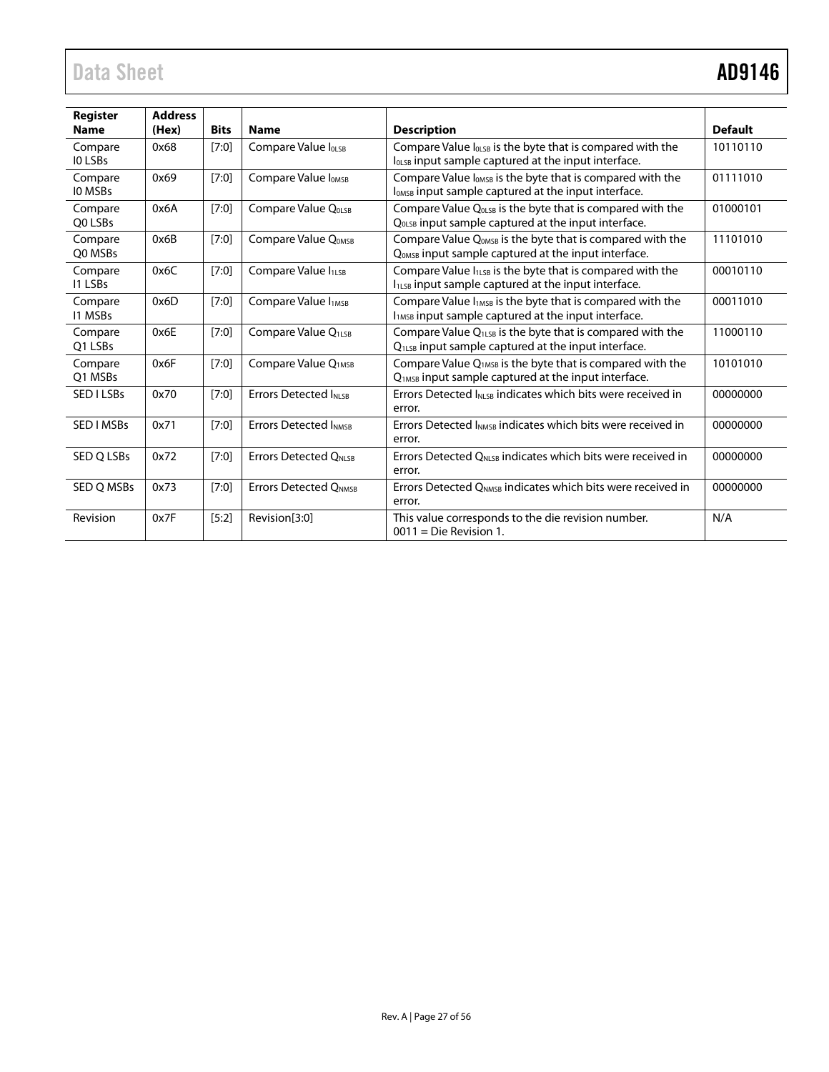| Register                  | <b>Address</b> |             |                                 |                                                                                                                                          |                |
|---------------------------|----------------|-------------|---------------------------------|------------------------------------------------------------------------------------------------------------------------------------------|----------------|
| <b>Name</b>               | (Hex)          | <b>Bits</b> | <b>Name</b>                     | <b>Description</b>                                                                                                                       | <b>Default</b> |
| Compare<br>IO LSBs        | 0x68           | [7:0]       | Compare Value I <sub>OLSB</sub> | Compare Value l <sub>0LSB</sub> is the byte that is compared with the<br>l <sub>0LSB</sub> input sample captured at the input interface. | 10110110       |
| Compare<br>IO MSBs        | 0x69           | [7:0]       | Compare Value I <sub>OMSB</sub> | Compare Value l <sub>omsB</sub> is the byte that is compared with the<br>l <sub>omsB</sub> input sample captured at the input interface. | 01111010       |
| Compare<br>Q0 LSBs        | 0x6A           | [7:0]       | Compare Value Q <sub>OLSB</sub> | Compare Value Q <sub>0LSB</sub> is the byte that is compared with the<br>Q <sub>0LSB</sub> input sample captured at the input interface. | 01000101       |
| Compare<br>Q0 MSBs        | 0x6B           | $[7:0]$     | Compare Value QOMSB             | Compare Value Q <sub>0MSB</sub> is the byte that is compared with the<br>Q <sub>0MSB</sub> input sample captured at the input interface. | 11101010       |
| Compare<br><b>I1 LSBs</b> | 0x6C           | [7:0]       | Compare Value I <sub>1LSB</sub> | Compare Value I <sub>1LSB</sub> is the byte that is compared with the<br>$I_{1LSB}$ input sample captured at the input interface.        | 00010110       |
| Compare<br><b>I1 MSBs</b> | 0x6D           | [7:0]       | Compare Value I <sub>1MSB</sub> | Compare Value I <sub>1MSB</sub> is the byte that is compared with the<br>$I1MSB$ input sample captured at the input interface.           | 00011010       |
| Compare<br>Q1 LSBs        | 0x6E           | [7:0]       | Compare Value Q <sub>1LSB</sub> | Compare Value $Q_{1LSB}$ is the byte that is compared with the<br>Q <sub>1LSB</sub> input sample captured at the input interface.        | 11000110       |
| Compare<br>O1 MSBs        | 0x6F           | $[7:0]$     | Compare Value Q <sub>1MSB</sub> | Compare Value Q <sub>1MSB</sub> is the byte that is compared with the<br>Q <sub>1MSB</sub> input sample captured at the input interface. | 10101010       |
| SED I LSBs                | 0x70           | [7:0]       | <b>Errors Detected INI SR</b>   | Errors Detected I <sub>NI SB</sub> indicates which bits were received in<br>error.                                                       | 00000000       |
| SED I MSBs                | 0x71           | [7:0]       | <b>Errors Detected INMSB</b>    | Errors Detected INMSR indicates which bits were received in<br>error.                                                                    | 00000000       |
| SED Q LSBs                | 0x72           | [7:0]       | <b>Errors Detected ONLSB</b>    | Errors Detected O <sub>NLSB</sub> indicates which bits were received in<br>error.                                                        | 00000000       |
| SED Q MSBs                | 0x73           | [7:0]       | <b>Errors Detected ONMSB</b>    | Errors Detected O <sub>NMSB</sub> indicates which bits were received in<br>error.                                                        | 00000000       |
| Revision                  | 0x7F           | [5:2]       | Revision[3:0]                   | This value corresponds to the die revision number.<br>$0011$ = Die Revision 1.                                                           | N/A            |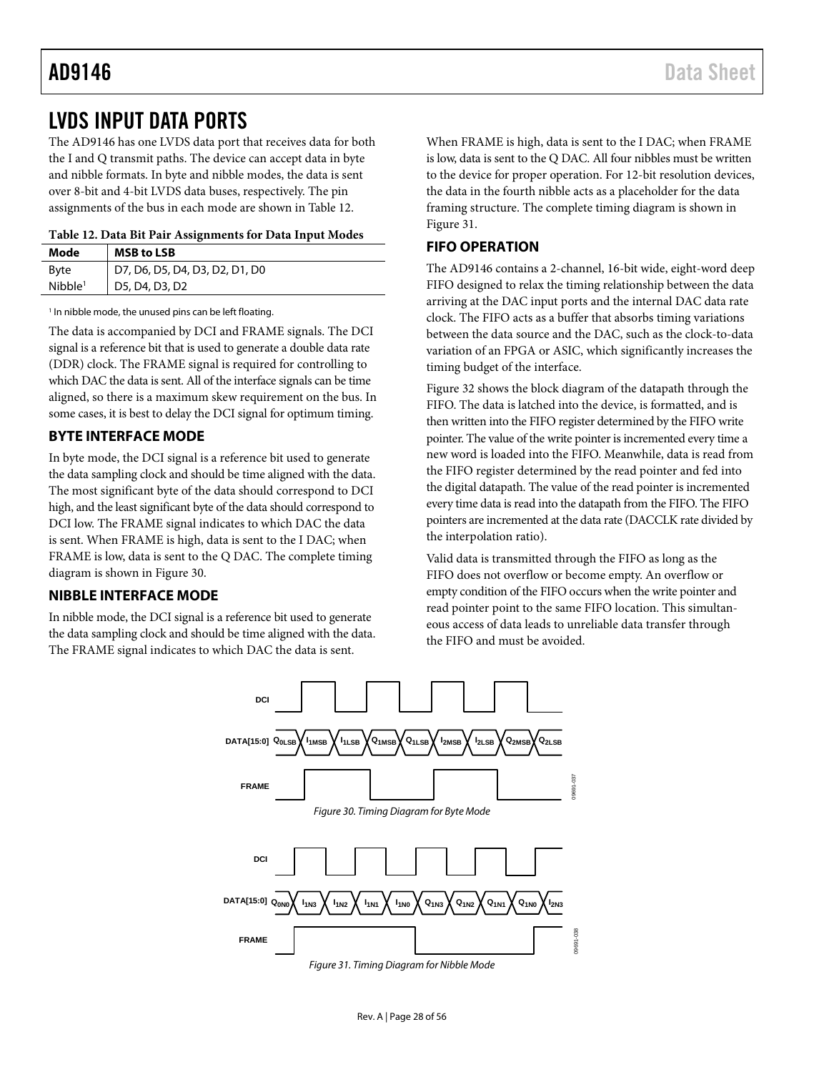### AD9146 Data Sheet

## <span id="page-27-0"></span>LVDS INPUT DATA PORTS

The AD9146 has one LVDS data port that receives data for both the I and Q transmit paths. The device can accept data in byte and nibble formats. In byte and nibble modes, the data is sent over 8-bit and 4-bit LVDS data buses, respectively. The pin assignments of the bus in each mode are shown i[n Table 12.](#page-27-4)

<span id="page-27-4"></span>**Table 12. Data Bit Pair Assignments for Data Input Modes**

| Mode                | <b>MSB to LSB</b>              |
|---------------------|--------------------------------|
| <b>Byte</b>         | D7, D6, D5, D4, D3, D2, D1, D0 |
| Nibble <sup>1</sup> | D5, D4, D3, D2                 |

<sup>1</sup> In nibble mode, the unused pins can be left floating.

The data is accompanied by DCI and FRAME signals. The DCI signal is a reference bit that is used to generate a double data rate (DDR) clock. The FRAME signal is required for controlling to which DAC the data is sent. All of the interface signals can be time aligned, so there is a maximum skew requirement on the bus. In some cases, it is best to delay the DCI signal for optimum timing.

### <span id="page-27-1"></span>**BYTE INTERFACE MODE**

In byte mode, the DCI signal is a reference bit used to generate the data sampling clock and should be time aligned with the data. The most significant byte of the data should correspond to DCI high, and the least significant byte of the data should correspond to DCI low. The FRAME signal indicates to which DAC the data is sent. When FRAME is high, data is sent to the I DAC; when FRAME is low, data is sent to the Q DAC. The complete timing diagram is shown in [Figure 30.](#page-27-5)

### <span id="page-27-2"></span>**NIBBLE INTERFACE MODE**

<span id="page-27-5"></span>In nibble mode, the DCI signal is a reference bit used to generate the data sampling clock and should be time aligned with the data. The FRAME signal indicates to which DAC the data is sent.

When FRAME is high, data is sent to the I DAC; when FRAME is low, data is sent to the Q DAC. All four nibbles must be written to the device for proper operation. For 12-bit resolution devices, the data in the fourth nibble acts as a placeholder for the data framing structure. The complete timing diagram is shown in [Figure 31.](#page-27-6)

### <span id="page-27-3"></span>**FIFO OPERATION**

The AD9146 contains a 2-channel, 16-bit wide, eight-word deep FIFO designed to relax the timing relationship between the data arriving at the DAC input ports and the internal DAC data rate clock. The FIFO acts as a buffer that absorbs timing variations between the data source and the DAC, such as the clock-to-data variation of an FPGA or ASIC, which significantly increases the timing budget of the interface.

[Figure 32](#page-28-0) shows the block diagram of the datapath through the FIFO. The data is latched into the device, is formatted, and is then written into the FIFO register determined by the FIFO write pointer. The value of the write pointer is incremented every time a new word is loaded into the FIFO. Meanwhile, data is read from the FIFO register determined by the read pointer and fed into the digital datapath. The value of the read pointer is incremented every time data is read into the datapath from the FIFO. The FIFO pointers are incremented at the data rate (DACCLK rate divided by the interpolation ratio).

Valid data is transmitted through the FIFO as long as the FIFO does not overflow or become empty. An overflow or empty condition of the FIFO occurs when the write pointer and read pointer point to the same FIFO location. This simultaneous access of data leads to unreliable data transfer through the FIFO and must be avoided.



<span id="page-27-6"></span>*Figure 31. Timing Diagram for Nibble Mode*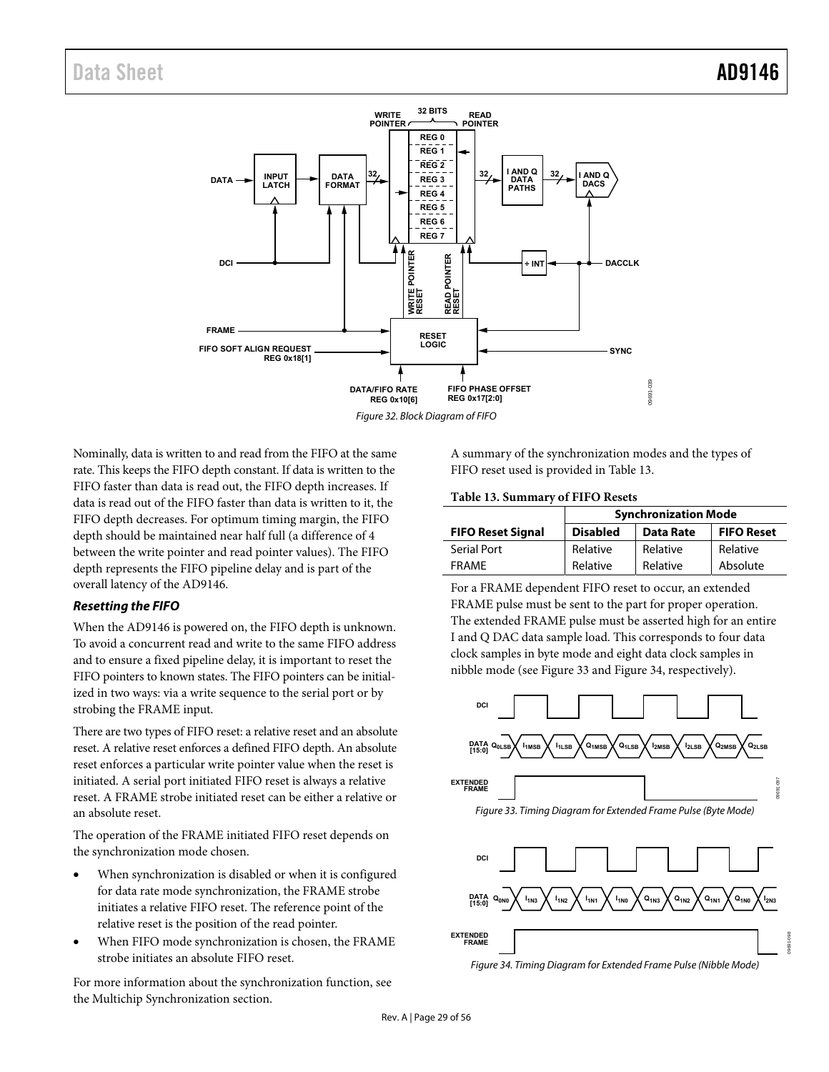

<span id="page-28-0"></span>Nominally, data is written to and read from the FIFO at the same rate. This keeps the FIFO depth constant. If data is written to the FIFO faster than data is read out, the FIFO depth increases. If data is read out of the FIFO faster than data is written to it, the FIFO depth decreases. For optimum timing margin, the FIFO depth should be maintained near half full (a difference of 4 between the write pointer and read pointer values). The FIFO depth represents the FIFO pipeline delay and is part of the overall latency of the AD9146.

### **Resetting the FIFO**

When the AD9146 is powered on, the FIFO depth is unknown. To avoid a concurrent read and write to the same FIFO address and to ensure a fixed pipeline delay, it is important to reset the FIFO pointers to known states. The FIFO pointers can be initialized in two ways: via a write sequence to the serial port or by strobing the FRAME input.

There are two types of FIFO reset: a relative reset and an absolute reset. A relative reset enforces a defined FIFO depth. An absolute reset enforces a particular write pointer value when the reset is initiated. A serial port initiated FIFO reset is always a relative reset. A FRAME strobe initiated reset can be either a relative or an absolute reset.

The operation of the FRAME initiated FIFO reset depends on the synchronization mode chosen.

- When synchronization is disabled or when it is configured for data rate mode synchronization, the FRAME strobe initiates a relative FIFO reset. The reference point of the relative reset is the position of the read pointer.
- When FIFO mode synchronization is chosen, the FRAME strobe initiates an absolute FIFO reset.

For more information about the synchronization function, see the [Multichip Synchronization](#page-44-0) section.

A summary of the synchronization modes and the types of FIFO reset used is provided i[n Table 13.](#page-28-1)

### <span id="page-28-1"></span>**Table 13. Summary of FIFO Resets**

|                          | <b>Synchronization Mode</b> |                  |                   |  |
|--------------------------|-----------------------------|------------------|-------------------|--|
| <b>FIFO Reset Signal</b> | <b>Disabled</b>             | <b>Data Rate</b> | <b>FIFO Reset</b> |  |
| Serial Port              | Relative                    | Relative         | Relative          |  |
| <b>FRAMF</b>             | Relative                    | Relative         | Absolute          |  |

For a FRAME dependent FIFO reset to occur, an extended FRAME pulse must be sent to the part for proper operation. The extended FRAME pulse must be asserted high for an entire I and Q DAC data sample load. This corresponds to four data clock samples in byte mode and eight data clock samples in nibble mode (see [Figure 33 a](#page-28-2)nd [Figure 34,](#page-28-3) respectively).



<span id="page-28-2"></span>Figure 33. Timing Diagram for Extended Frame Pulse (Byte Mode)



<span id="page-28-3"></span>Figure 34. Timing Diagram for Extended Frame Pulse (Nibble Mode)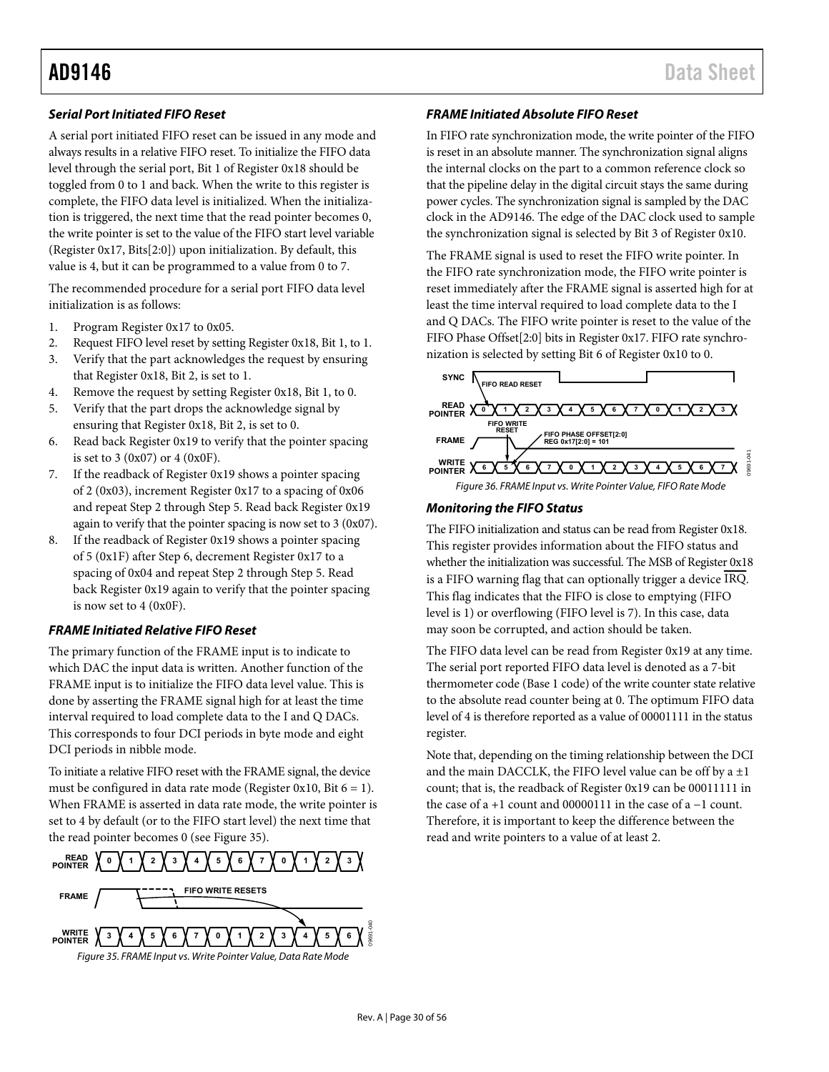### <span id="page-29-1"></span>**Serial Port Initiated FIFO Reset**

A serial port initiated FIFO reset can be issued in any mode and always results in a relative FIFO reset. To initialize the FIFO data level through the serial port, Bit 1 of Register 0x18 should be toggled from 0 to 1 and back. When the write to this register is complete, the FIFO data level is initialized. When the initialization is triggered, the next time that the read pointer becomes 0, the write pointer is set to the value of the FIFO start level variable (Register 0x17, Bits[2:0]) upon initialization. By default, this value is 4, but it can be programmed to a value from 0 to 7.

The recommended procedure for a serial port FIFO data level initialization is as follows:

- 1. Program Register 0x17 to 0x05.
- 2. Request FIFO level reset by setting Register 0x18, Bit 1, to 1.
- 3. Verify that the part acknowledges the request by ensuring that Register 0x18, Bit 2, is set to 1.
- 4. Remove the request by setting Register 0x18, Bit 1, to 0.
- 5. Verify that the part drops the acknowledge signal by ensuring that Register 0x18, Bit 2, is set to 0.
- 6. Read back Register 0x19 to verify that the pointer spacing is set to  $3 (0x07)$  or  $4 (0x0F)$ .
- 7. If the readback of Register 0x19 shows a pointer spacing of 2 (0x03), increment Register 0x17 to a spacing of 0x06 and repeat Step 2 through Step 5. Read back Register 0x19 again to verify that the pointer spacing is now set to 3 (0x07).
- 8. If the readback of Register 0x19 shows a pointer spacing of 5 (0x1F) after Step 6, decrement Register 0x17 to a spacing of 0x04 and repeat Step 2 through Step 5. Read back Register 0x19 again to verify that the pointer spacing is now set to 4 (0x0F).

### **FRAME Initiated Relative FIFO Reset**

The primary function of the FRAME input is to indicate to which DAC the input data is written. Another function of the FRAME input is to initialize the FIFO data level value. This is done by asserting the FRAME signal high for at least the time interval required to load complete data to the I and Q DACs. This corresponds to four DCI periods in byte mode and eight DCI periods in nibble mode.

To initiate a relative FIFO reset with the FRAME signal, the device must be configured in data rate mode (Register 0x10, Bit  $6 = 1$ ). When FRAME is asserted in data rate mode, the write pointer is set to 4 by default (or to the FIFO start level) the next time that the read pointer becomes 0 (see [Figure 35\)](#page-29-0).

<span id="page-29-0"></span>

### **FRAME Initiated Absolute FIFO Reset**

In FIFO rate synchronization mode, the write pointer of the FIFO is reset in an absolute manner. The synchronization signal aligns the internal clocks on the part to a common reference clock so that the pipeline delay in the digital circuit stays the same during power cycles. The synchronization signal is sampled by the DAC clock in the AD9146. The edge of the DAC clock used to sample the synchronization signal is selected by Bit 3 of Register 0x10.

The FRAME signal is used to reset the FIFO write pointer. In the FIFO rate synchronization mode, the FIFO write pointer is reset immediately after the FRAME signal is asserted high for at least the time interval required to load complete data to the I and Q DACs. The FIFO write pointer is reset to the value of the FIFO Phase Offset[2:0] bits in Register 0x17. FIFO rate synchronization is selected by setting Bit 6 of Register 0x10 to 0.



### **Monitoring the FIFO Status**

The FIFO initialization and status can be read from Register 0x18. This register provides information about the FIFO status and whether the initialization was successful. The MSB of Register 0x18 is a FIFO warning flag that can optionally trigger a device IRQ. This flag indicates that the FIFO is close to emptying (FIFO level is 1) or overflowing (FIFO level is 7). In this case, data may soon be corrupted, and action should be taken.

The FIFO data level can be read from Register 0x19 at any time. The serial port reported FIFO data level is denoted as a 7-bit thermometer code (Base 1 code) of the write counter state relative to the absolute read counter being at 0. The optimum FIFO data level of 4 is therefore reported as a value of 00001111 in the status register.

Note that, depending on the timing relationship between the DCI and the main DACCLK, the FIFO level value can be off by a  $\pm 1$ count; that is, the readback of Register 0x19 can be 00011111 in the case of a +1 count and 00000111 in the case of a −1 count. Therefore, it is important to keep the difference between the read and write pointers to a value of at least 2.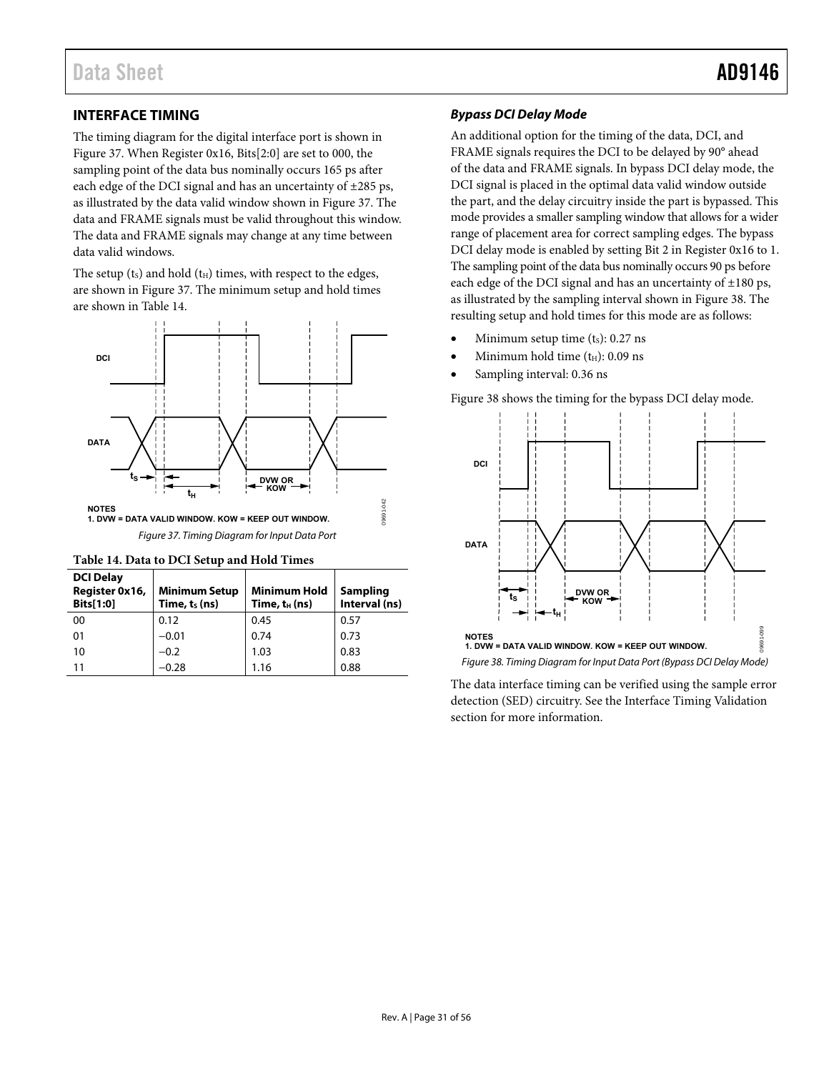### <span id="page-30-0"></span>**INTERFACE TIMING**

The timing diagram for the digital interface port is shown in [Figure 37.](#page-30-2) When Register 0x16, Bits[2:0] are set to 000, the sampling point of the data bus nominally occurs 165 ps after each edge of the DCI signal and has an uncertainty of  $\pm 285$  ps, as illustrated by the data valid window shown i[n Figure 37.](#page-30-2) The data and FRAME signals must be valid throughout this window. The data and FRAME signals may change at any time between data valid windows.

The setup  $(t<sub>S</sub>)$  and hold  $(t<sub>H</sub>)$  times, with respect to the edges, are shown i[n Figure 37.](#page-30-2) The minimum setup and hold times are shown i[n Table 14.](#page-30-1)



<span id="page-30-2"></span><span id="page-30-1"></span>

| <b>DCI Delay</b><br>Register 0x16,<br>Bits[1:0] | <b>Minimum Setup</b><br>Time, ts (ns) | <b>Minimum Hold</b><br>Time, t <sub>H</sub> (ns) | Sampling<br>Interval (ns) |
|-------------------------------------------------|---------------------------------------|--------------------------------------------------|---------------------------|
| 00                                              | 0.12                                  | 0.45                                             | 0.57                      |
| 01                                              | $-0.01$                               | 0.74                                             | 0.73                      |
| 10                                              | $-0.2$                                | 1.03                                             | 0.83                      |
| 11                                              | $-0.28$                               | 1.16                                             | 0.88                      |

### **Bypass DCI Delay Mode**

An additional option for the timing of the data, DCI, and FRAME signals requires the DCI to be delayed by 90° ahead of the data and FRAME signals. In bypass DCI delay mode, the DCI signal is placed in the optimal data valid window outside the part, and the delay circuitry inside the part is bypassed. This mode provides a smaller sampling window that allows for a wider range of placement area for correct sampling edges. The bypass DCI delay mode is enabled by setting Bit 2 in Register 0x16 to 1. The sampling point of the data bus nominally occurs 90 ps before each edge of the DCI signal and has an uncertainty of  $\pm 180$  ps, as illustrated by the sampling interval shown i[n Figure 38.](#page-30-3) The resulting setup and hold times for this mode are as follows:

- Minimum setup time  $(t_s)$ : 0.27 ns
- Minimum hold time  $(t_H)$ : 0.09 ns
- Sampling interval: 0.36 ns

[Figure 38 s](#page-30-3)hows the timing for the bypass DCI delay mode.



<span id="page-30-3"></span>The data interface timing can be verified using the sample error detection (SED) circuitry. See th[e Interface Timing Validation](#page-49-0)  section for more information.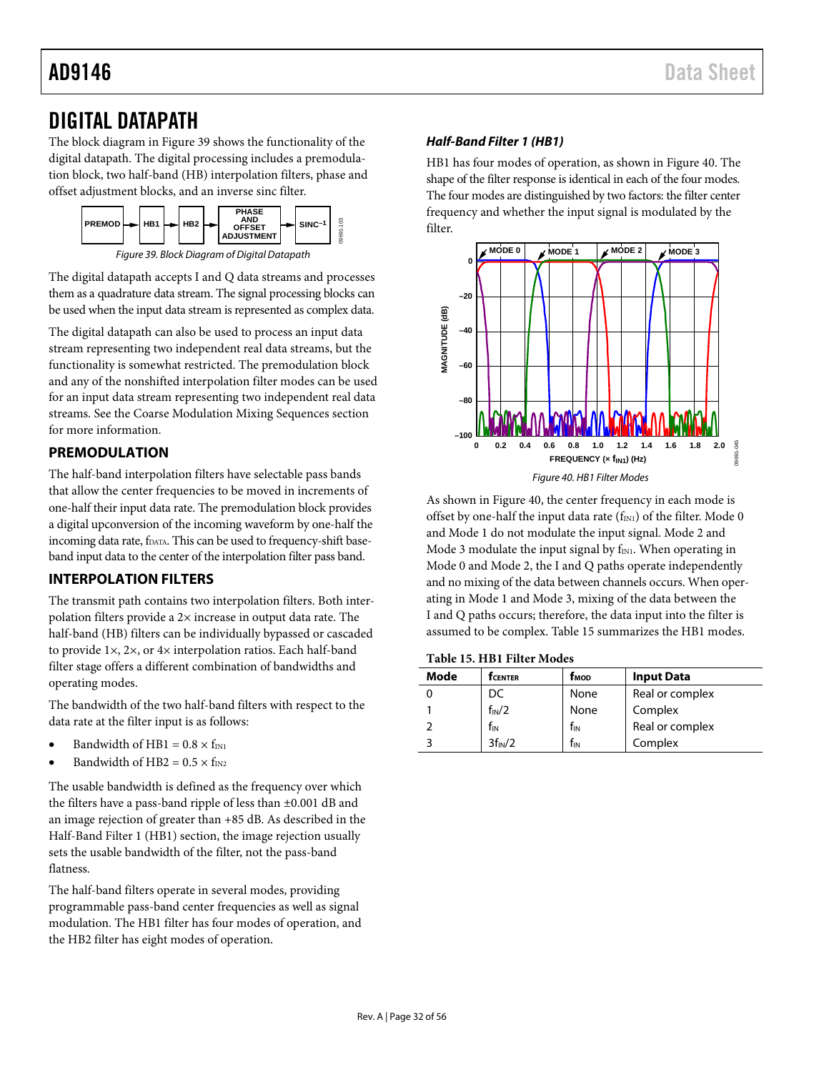## <span id="page-31-0"></span>DIGITAL DATAPATH

The block diagram i[n Figure 39](#page-31-3) shows the functionality of the digital datapath. The digital processing includes a premodulation block, two half-band (HB) interpolation filters, phase and offset adjustment blocks, and an inverse sinc filter.



*Figure 39. Block Diagram of Digital Datapath*

<span id="page-31-3"></span>The digital datapath accepts I and Q data streams and processes them as a quadrature data stream. The signal processing blocks can be used when the input data stream is represented as complex data.

The digital datapath can also be used to process an input data stream representing two independent real data streams, but the functionality is somewhat restricted. The premodulation block and any of the nonshifted interpolation filter modes can be used for an input data stream representing two independent real data streams. See th[e Coarse Modulation Mixing Sequences](#page-34-0) section for more information.

### <span id="page-31-1"></span>**PREMODULATION**

The half-band interpolation filters have selectable pass bands that allow the center frequencies to be moved in increments of one-half their input data rate. The premodulation block provides a digital upconversion of the incoming waveform by one-half the incoming data rate, fDATA. This can be used to frequency-shift baseband input data to the center of the interpolation filter pass band.

### <span id="page-31-2"></span>**INTERPOLATION FILTERS**

The transmit path contains two interpolation filters. Both interpolation filters provide a  $2\times$  increase in output data rate. The half-band (HB) filters can be individually bypassed or cascaded to provide 1×, 2×, or 4× interpolation ratios. Each half-band filter stage offers a different combination of bandwidths and operating modes.

The bandwidth of the two half-band filters with respect to the data rate at the filter input is as follows:

- Bandwidth of HB1 =  $0.8 \times f_{\text{IN}}$
- Bandwidth of HB2 =  $0.5 \times f_{IN2}$

The usable bandwidth is defined as the frequency over which the filters have a pass-band ripple of less than ±0.001 dB and an image rejection of greater than +85 dB. As described in the [Half-Band Filter 1 \(HB1\)](#page-31-4) section, the image rejection usually sets the usable bandwidth of the filter, not the pass-band flatness.

The half-band filters operate in several modes, providing programmable pass-band center frequencies as well as signal modulation. The HB1 filter has four modes of operation, and the HB2 filter has eight modes of operation.

### <span id="page-31-4"></span>*Half-Band Filter 1 (HB1)*

HB1 has four modes of operation, as shown i[n Figure 40.](#page-31-5) The shape of the filter response is identical in each of the four modes. The four modes are distinguished by two factors: the filter center frequency and whether the input signal is modulated by the filter.



<span id="page-31-5"></span>As shown in [Figure 40,](#page-31-5) the center frequency in each mode is offset by one-half the input data rate  $(f_{IN1})$  of the filter. Mode 0 and Mode 1 do not modulate the input signal. Mode 2 and Mode 3 modulate the input signal by  $f_{IN1}$ . When operating in Mode 0 and Mode 2, the I and Q paths operate independently and no mixing of the data between channels occurs. When operating in Mode 1 and Mode 3, mixing of the data between the I and Q paths occurs; therefore, the data input into the filter is assumed to be complex[. Table 15](#page-31-6) summarizes the HB1 modes.

<span id="page-31-6"></span>**Table 15. HB1 Filter Modes**

| Mode<br><b>T</b> CENTER |                     | <b>f<sub>MOD</sub></b> | <b>Input Data</b> |  |  |
|-------------------------|---------------------|------------------------|-------------------|--|--|
|                         | DC                  | None                   | Real or complex   |  |  |
|                         | $f_{IN}/2$          | None                   | Complex           |  |  |
|                         | $f_{IN}$            | $f_{IN}$               | Real or complex   |  |  |
|                         | 3f <sub>IN</sub> /2 | fіn                    | Complex           |  |  |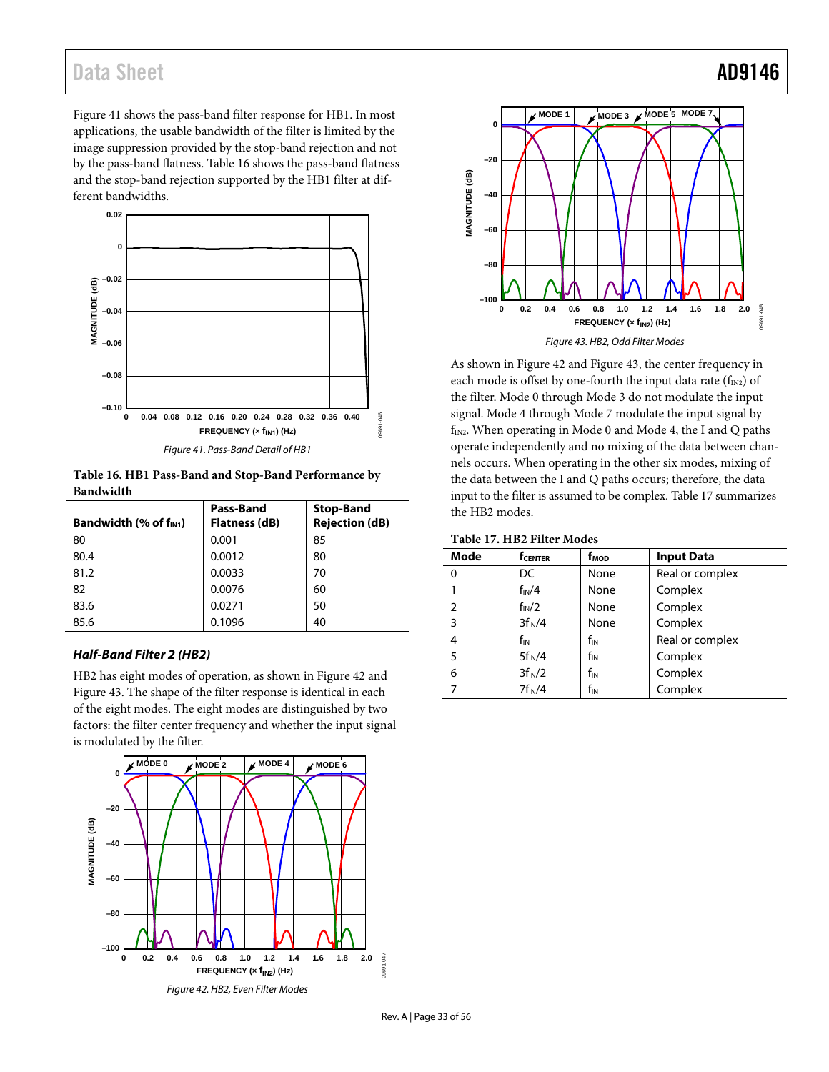[Figure 41](#page-32-0) shows the pass-band filter response for HB1. In most applications, the usable bandwidth of the filter is limited by the image suppression provided by the stop-band rejection and not by the pass-band flatness. [Table 16](#page-32-1) shows the pass-band flatness and the stop-band rejection supported by the HB1 filter at different bandwidths.



*Figure 41. Pass-Band Detail of HB1*

<span id="page-32-1"></span><span id="page-32-0"></span>**Table 16. HB1 Pass-Band and Stop-Band Performance by Bandwidth**

| Bandwidth $(\%$ of $f_{\text{IN1}})$ | Pass-Band<br>Flatness (dB) | <b>Stop-Band</b><br><b>Rejection (dB)</b> |
|--------------------------------------|----------------------------|-------------------------------------------|
| 80                                   | 0.001                      | 85                                        |
| 80.4                                 | 0.0012                     | 80                                        |
| 81.2                                 | 0.0033                     | 70                                        |
| 82                                   | 0.0076                     | 60                                        |
| 83.6                                 | 0.0271                     | 50                                        |
| 85.6                                 | 0.1096                     | 40                                        |

### *Half-Band Filter 2 (HB2)*

HB2 has eight modes of operation, as shown in [Figure 42](#page-32-2) and [Figure 43.](#page-32-3) The shape of the filter response is identical in each of the eight modes. The eight modes are distinguished by two factors: the filter center frequency and whether the input signal is modulated by the filter.

<span id="page-32-2"></span>



<span id="page-32-3"></span>As shown in [Figure 42](#page-32-2) and [Figure 43,](#page-32-3) the center frequency in each mode is offset by one-fourth the input data rate  $(f_{IN2})$  of the filter. Mode 0 through Mode 3 do not modulate the input signal. Mode 4 through Mode 7 modulate the input signal by  $f<sub>IN2</sub>$ . When operating in Mode 0 and Mode 4, the I and Q paths operate independently and no mixing of the data between channels occurs. When operating in the other six modes, mixing of the data between the I and Q paths occurs; therefore, the data input to the filter is assumed to be complex. [Table 17](#page-32-4) summarizes the HB2 modes.

<span id="page-32-4"></span>

| Mode           | <b>f</b> CENTER     | f <sub>мор</sub> | <b>Input Data</b> |  |  |
|----------------|---------------------|------------------|-------------------|--|--|
| 0              | DC                  | None             | Real or complex   |  |  |
|                | $f_{IN}/4$          | None             | Complex           |  |  |
| $\overline{2}$ | $f_{IN}/2$          | None             | Complex           |  |  |
| 3              | 3f <sub>IN</sub> /4 | None             | Complex           |  |  |
| 4              | fin                 | $f_{IN}$         | Real or complex   |  |  |
| 5              | $5f_{IN}/4$         | $f_{IN}$         | Complex           |  |  |
| 6              | 3f <sub>IN</sub> /2 | $f_{IN}$         | Complex           |  |  |
| 7              | $7f_{IN}/4$         | $f_{IN}$         | Complex           |  |  |

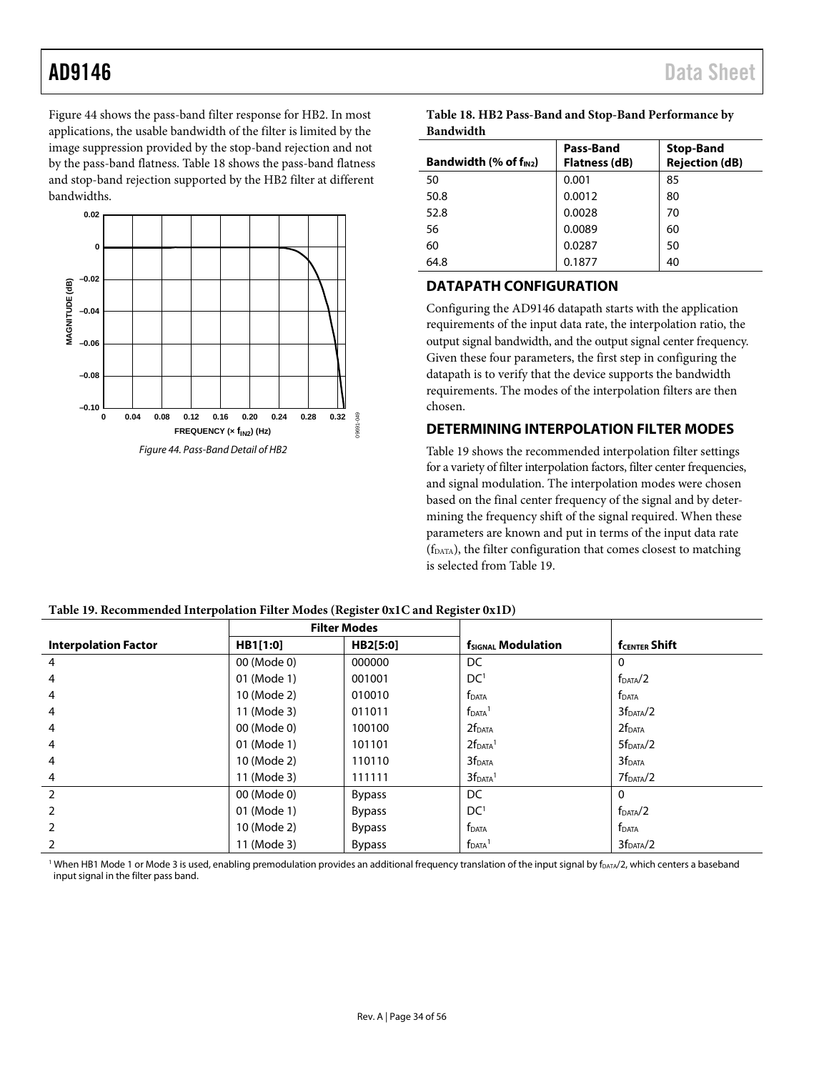[Figure 44](#page-33-2) shows the pass-band filter response for HB2. In most applications, the usable bandwidth of the filter is limited by the image suppression provided by the stop-band rejection and not by the pass-band flatness. [Table 18](#page-33-3) shows the pass-band flatness and stop-band rejection supported by the HB2 filter at different bandwidths.



<span id="page-33-3"></span>

| Table 18. HB2 Pass-Band and Stop-Band Performance by |
|------------------------------------------------------|
| Bandwidth                                            |

| Bandwidth (% of $f_{IN2}$ ) | Pass-Band<br><b>Flatness (dB)</b> | <b>Stop-Band</b><br><b>Rejection (dB)</b> |
|-----------------------------|-----------------------------------|-------------------------------------------|
| 50                          | 0.001                             | 85                                        |
| 50.8                        | 0.0012                            | 80                                        |
| 52.8                        | 0.0028                            | 70                                        |
| 56                          | 0.0089                            | 60                                        |
| 60                          | 0.0287                            | 50                                        |
| 64.8                        | 0.1877                            | 40                                        |

### <span id="page-33-0"></span>**DATAPATH CONFIGURATION**

Configuring the AD9146 datapath starts with the application requirements of the input data rate, the interpolation ratio, the output signal bandwidth, and the output signal center frequency. Given these four parameters, the first step in configuring the datapath is to verify that the device supports the bandwidth requirements. The modes of the interpolation filters are then chosen.

### <span id="page-33-1"></span>**DETERMINING INTERPOLATION FILTER MODES**

[Table 19](#page-33-4) shows the recommended interpolation filter settings for a variety of filter interpolation factors, filter center frequencies, and signal modulation. The interpolation modes were chosen based on the final center frequency of the signal and by determining the frequency shift of the signal required. When these parameters are known and put in terms of the input data rate (fDATA), the filter configuration that comes closest to matching is selected fro[m Table 19.](#page-33-4)

|                             | <b>Filter Modes</b> |               |                           |                       |
|-----------------------------|---------------------|---------------|---------------------------|-----------------------|
| <b>Interpolation Factor</b> | HB1[1:0]            | HB2[5:0]      | <b>fSIGNAL Modulation</b> | <b>fCENTER Shift</b>  |
| 4                           | 00 (Mode 0)         | 000000        | DC                        | 0                     |
| 4                           | 01 (Mode 1)         | 001001        | DC <sup>1</sup>           | f <sub>DATA</sub> /2  |
| 4                           | 10 (Mode 2)         | 010010        | <b>f</b> DATA             | <b>f</b> DATA         |
| 4                           | 11 (Mode 3)         | 011011        | $fDATA$ <sup>1</sup>      | 3f <sub>DATA</sub> /2 |
| 4                           | 00 (Mode 0)         | 100100        | 2f <sub>DATA</sub>        | 2f <sub>DATA</sub>    |
| 4                           | 01 (Mode 1)         | 101101        | $2fDATA$ <sup>1</sup>     | 5f <sub>DATA</sub> /2 |
| 4                           | 10 (Mode 2)         | 110110        | 3f <sub>DATA</sub>        | 3f <sub>DATA</sub>    |
| 4                           | 11 (Mode 3)         | 111111        | 3f <sub>DATA</sub>        | 7f <sub>DATA</sub> /2 |
| 2                           | 00 (Mode 0)         | <b>Bypass</b> | DC                        | 0                     |
| 2                           | 01 (Mode 1)         | <b>Bypass</b> | DC <sup>1</sup>           | f <sub>DATA</sub> /2  |
| 2                           | 10 (Mode 2)         | <b>Bypass</b> | <b>f</b> DATA             | <b>f</b> DATA         |
|                             | 11 (Mode 3)         | <b>Bypass</b> | $fDATA$ <sup>1</sup>      | 3f <sub>DATA</sub> /2 |

<span id="page-33-4"></span><span id="page-33-2"></span>

<sup>1</sup> When HB1 Mode 1 or Mode 3 is used, enabling premodulation provides an additional frequency translation of the input signal by f<sub>DATA</sub>/2, which centers a baseband input signal in the filter pass band.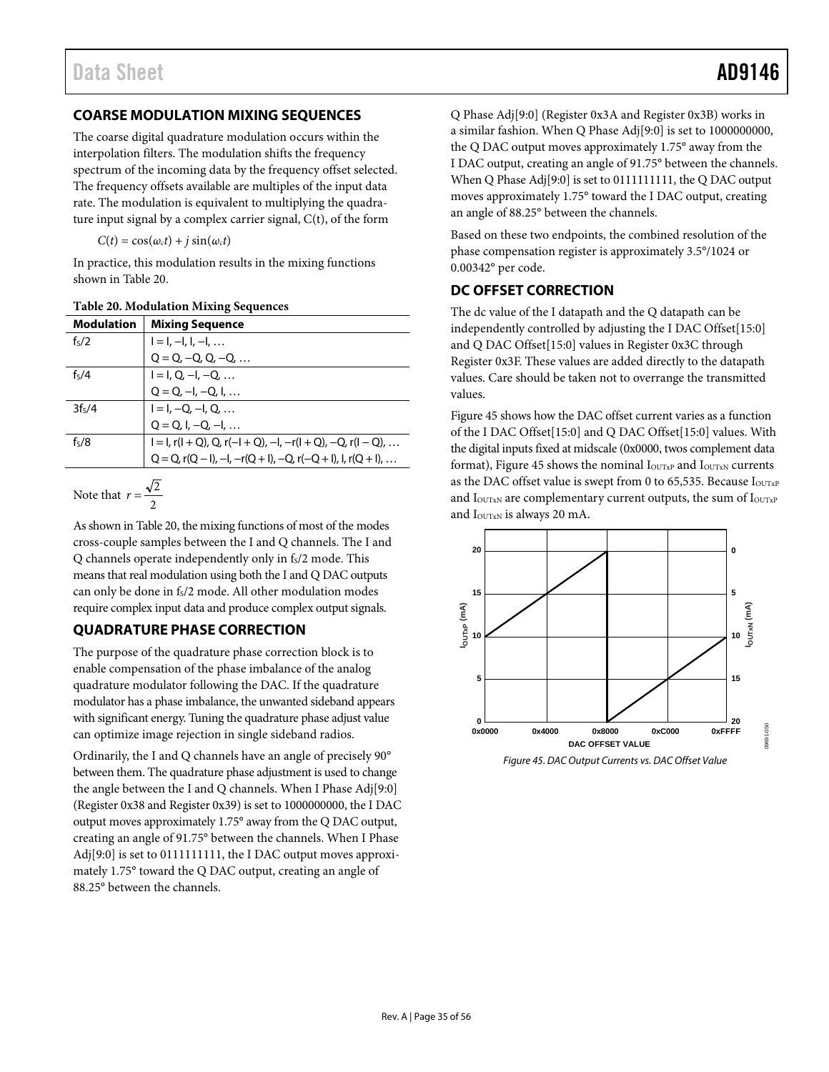### <span id="page-34-3"></span><span id="page-34-0"></span>**COARSE MODULATION MIXING SEQUENCES**

The coarse digital quadrature modulation occurs within the interpolation filters. The modulation shifts the frequency spectrum of the incoming data by the frequency offset selected. The frequency offsets available are multiples of the input data rate. The modulation is equivalent to multiplying the quadrature input signal by a complex carrier signal, C(t), of the form

 $C(t) = \cos(\omega_c t) + i \sin(\omega_c t)$ 

In practice, this modulation results in the mixing functions shown in [Table 20.](#page-34-4)

<span id="page-34-4"></span>

| <b>Modulation</b>  | <b>Mixing Sequence</b>                                                              |
|--------------------|-------------------------------------------------------------------------------------|
| f <sub>5</sub> /2  | $I = I, -I, I, -I, $                                                                |
|                    | $Q = Q, -Q, Q, -Q, $                                                                |
| f <sub>s</sub> /4  | $I = I, Q, -I, -Q, $                                                                |
|                    | $Q = Q, -I, -Q, I, $                                                                |
| 3f <sub>5</sub> /4 | $I = I, -Q, -I, Q, $                                                                |
|                    | $Q = Q, I, -Q, -I, $                                                                |
| f <sub>5</sub> /8  | $I = I$ , r( $I + Q$ ), Q, r( $-I + Q$ ), $-I$ , $-r(I + Q)$ , $-Q$ , r( $I - Q$ ), |
|                    | $Q = Q$ , $r(Q - I)$ , $-I$ , $-r(Q + I)$ , $-Q$ , $r(-Q + I)$ , $I$ , $r(Q + I)$ , |
|                    |                                                                                     |

Note that 
$$
r = \frac{\sqrt{2}}{2}
$$

As shown i[n Table 20,](#page-34-4) the mixing functions of most of the modes cross-couple samples between the I and Q channels. The I and  $Q$  channels operate independently only in  $f_S/2$  mode. This means that real modulation using both the I and Q DAC outputs can only be done in fs/2 mode. All other modulation modes require complex input data and produce complex output signals.

### <span id="page-34-1"></span>**QUADRATURE PHASE CORRECTION**

The purpose of the quadrature phase correction block is to enable compensation of the phase imbalance of the analog quadrature modulator following the DAC. If the quadrature modulator has a phase imbalance, the unwanted sideband appears with significant energy. Tuning the quadrature phase adjust value can optimize image rejection in single sideband radios.

Ordinarily, the I and Q channels have an angle of precisely 90° between them. The quadrature phase adjustment is used to change the angle between the I and Q channels. When I Phase Adj[9:0] (Register 0x38 and Register 0x39) is set to 1000000000, the I DAC output moves approximately 1.75° away from the Q DAC output, creating an angle of 91.75° between the channels. When I Phase Adj[9:0] is set to 01111111111, the I DAC output moves approximately 1.75° toward the Q DAC output, creating an angle of 88.25° between the channels.

Q Phase Adj[9:0] (Register 0x3A and Register 0x3B) works in a similar fashion. When Q Phase Adj[9:0] is set to 1000000000, the Q DAC output moves approximately 1.75° away from the I DAC output, creating an angle of 91.75° between the channels. When Q Phase Adj[9:0] is set to 0111111111, the Q DAC output moves approximately 1.75° toward the I DAC output, creating an angle of 88.25° between the channels.

Based on these two endpoints, the combined resolution of the phase compensation register is approximately 3.5°/1024 or 0.00342° per code.

### <span id="page-34-2"></span>**DC OFFSET CORRECTION**

The dc value of the I datapath and the Q datapath can be independently controlled by adjusting the I DAC Offset[15:0] and Q DAC Offset[15:0] values in Register 0x3C through Register 0x3F. These values are added directly to the datapath values. Care should be taken not to overrange the transmitted values.

[Figure 45](#page-34-5) shows how the DAC offset current varies as a function of the I DAC Offset[15:0] and Q DAC Offset[15:0] values. With the digital inputs fixed at midscale (0x0000, twos complement data format), [Figure 45](#page-34-5) shows the nominal  $I_{\text{OUTXP}}$  and  $I_{\text{OUTXN}}$  currents as the DAC offset value is swept from 0 to 65,535. Because IOUTXP and  $I_{\text{OUTXN}}$  are complementary current outputs, the sum of  $I_{\text{OUTXP}}$ and I<sub>OUTxN</sub> is always 20 mA.



<span id="page-34-5"></span>*Figure 45. DAC Output Currents vs. DAC Offset Value*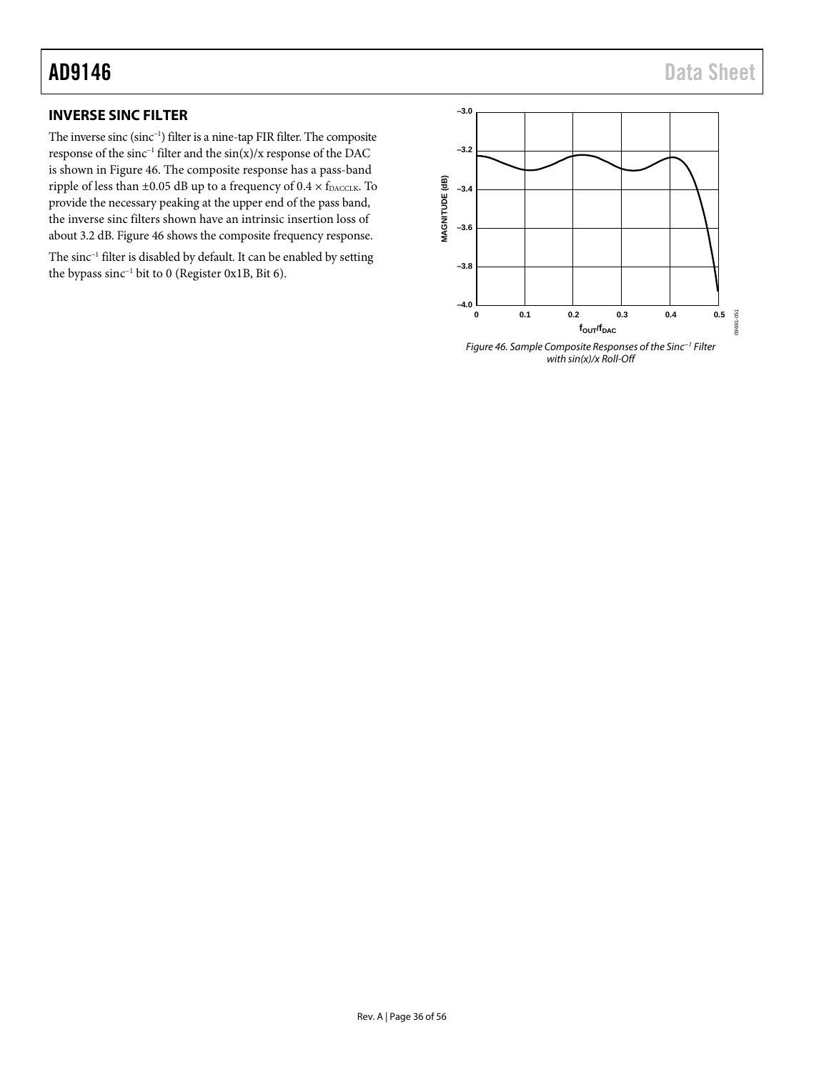### <span id="page-35-0"></span>**INVERSE SINC FILTER**

The inverse sinc (sinc−1) filter is a nine-tap FIR filter. The composite response of the sinc−1 filter and the sin(x)/x response of the DAC is shown in [Figure 46.](#page-35-1) The composite response has a pass-band ripple of less than  $\pm 0.05$  dB up to a frequency of  $0.4 \times f_{\text{DACCLK}}$ . To provide the necessary peaking at the upper end of the pass band, the inverse sinc filters shown have an intrinsic insertion loss of about 3.2 dB[. Figure 46](#page-35-1) shows the composite frequency response.

The sinc<sup>-1</sup> filter is disabled by default. It can be enabled by setting the bypass sinc−1 bit to 0 (Register 0x1B, Bit 6).

<span id="page-35-1"></span>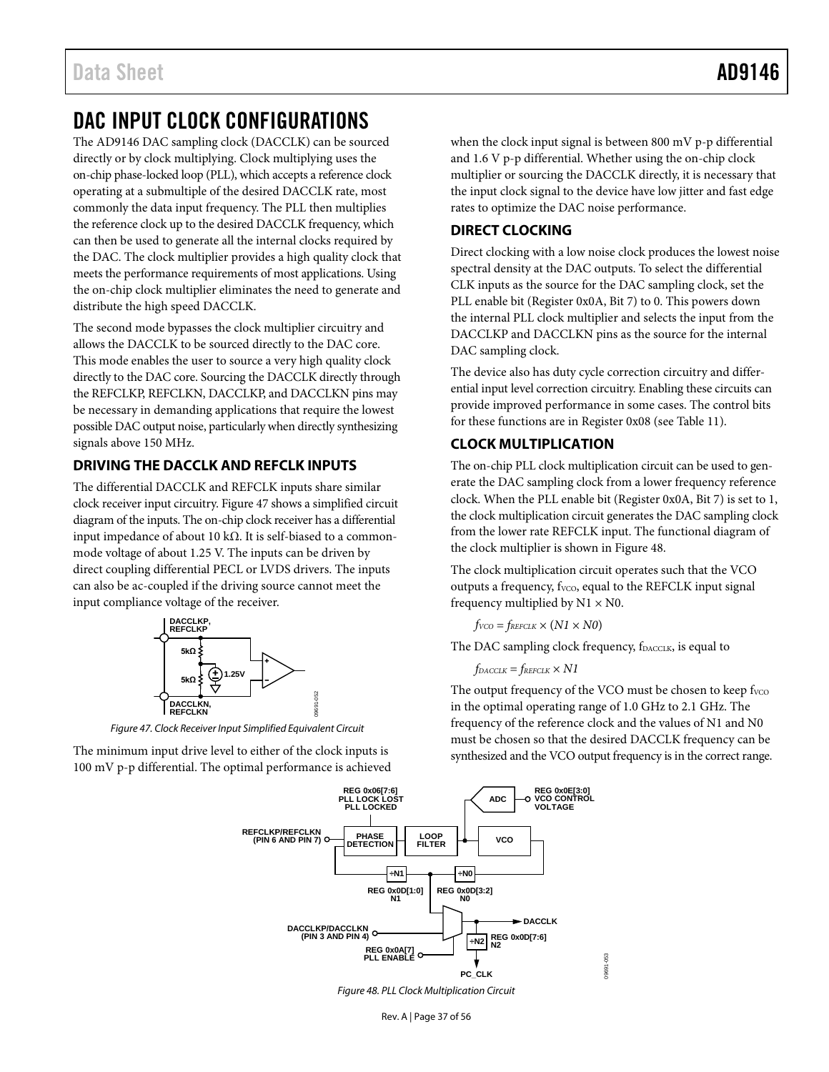# <span id="page-36-0"></span>DAC INPUT CLOCK CONFIGURATIONS

The AD9146 DAC sampling clock (DACCLK) can be sourced directly or by clock multiplying. Clock multiplying uses the on-chip phase-locked loop (PLL), which accepts a reference clock operating at a submultiple of the desired DACCLK rate, most commonly the data input frequency. The PLL then multiplies the reference clock up to the desired DACCLK frequency, which can then be used to generate all the internal clocks required by the DAC. The clock multiplier provides a high quality clock that meets the performance requirements of most applications. Using the on-chip clock multiplier eliminates the need to generate and distribute the high speed DACCLK.

The second mode bypasses the clock multiplier circuitry and allows the DACCLK to be sourced directly to the DAC core. This mode enables the user to source a very high quality clock directly to the DAC core. Sourcing the DACCLK directly through the REFCLKP, REFCLKN, DACCLKP, and DACCLKN pins may be necessary in demanding applications that require the lowest possible DAC output noise, particularly when directly synthesizing signals above 150 MHz.

### <span id="page-36-1"></span>**DRIVING THE DACCLK AND REFCLK INPUTS**

The differential DACCLK and REFCLK inputs share similar clock receiver input circuitry[. Figure 47](#page-36-4) shows a simplified circuit diagram of the inputs. The on-chip clock receiver has a differential input impedance of about 10 kΩ. It is self-biased to a commonmode voltage of about 1.25 V. The inputs can be driven by direct coupling differential PECL or LVDS drivers. The inputs can also be ac-coupled if the driving source cannot meet the input compliance voltage of the receiver.



*Figure 47. Clock Receiver Input Simplified Equivalent Circuit*

<span id="page-36-5"></span><span id="page-36-4"></span>The minimum input drive level to either of the clock inputs is 100 mV p-p differential. The optimal performance is achieved when the clock input signal is between 800 mV p-p differential and 1.6 V p-p differential. Whether using the on-chip clock multiplier or sourcing the DACCLK directly, it is necessary that the input clock signal to the device have low jitter and fast edge rates to optimize the DAC noise performance.

### <span id="page-36-2"></span>**DIRECT CLOCKING**

Direct clocking with a low noise clock produces the lowest noise spectral density at the DAC outputs. To select the differential CLK inputs as the source for the DAC sampling clock, set the PLL enable bit (Register 0x0A, Bit 7) to 0. This powers down the internal PLL clock multiplier and selects the input from the DACCLKP and DACCLKN pins as the source for the internal DAC sampling clock.

The device also has duty cycle correction circuitry and differential input level correction circuitry. Enabling these circuits can provide improved performance in some cases. The control bits for these functions are in Register 0x08 (see [Table 11\)](#page-19-0).

### <span id="page-36-3"></span>**CLOCK MULTIPLICATION**

The on-chip PLL clock multiplication circuit can be used to generate the DAC sampling clock from a lower frequency reference clock. When the PLL enable bit (Register 0x0A, Bit 7) is set to 1, the clock multiplication circuit generates the DAC sampling clock from the lower rate REFCLK input. The functional diagram of the clock multiplier is shown i[n Figure 48.](#page-36-5)

The clock multiplication circuit operates such that the VCO outputs a frequency, f<sub>VCO</sub>, equal to the REFCLK input signal frequency multiplied by  $N1 \times N0$ .

 $f_{VCO} = f_{REFCLK} \times (N1 \times N0)$ 

The DAC sampling clock frequency, fDACCLK, is equal to

 $f_{DACCLK} = f_{REFCLK} \times N1$ 

The output frequency of the VCO must be chosen to keep fvco in the optimal operating range of 1.0 GHz to 2.1 GHz. The frequency of the reference clock and the values of N1 and N0 must be chosen so that the desired DACCLK frequency can be synthesized and the VCO output frequency is in the correct range.



*Figure 48. PLL Clock Multiplication Circuit*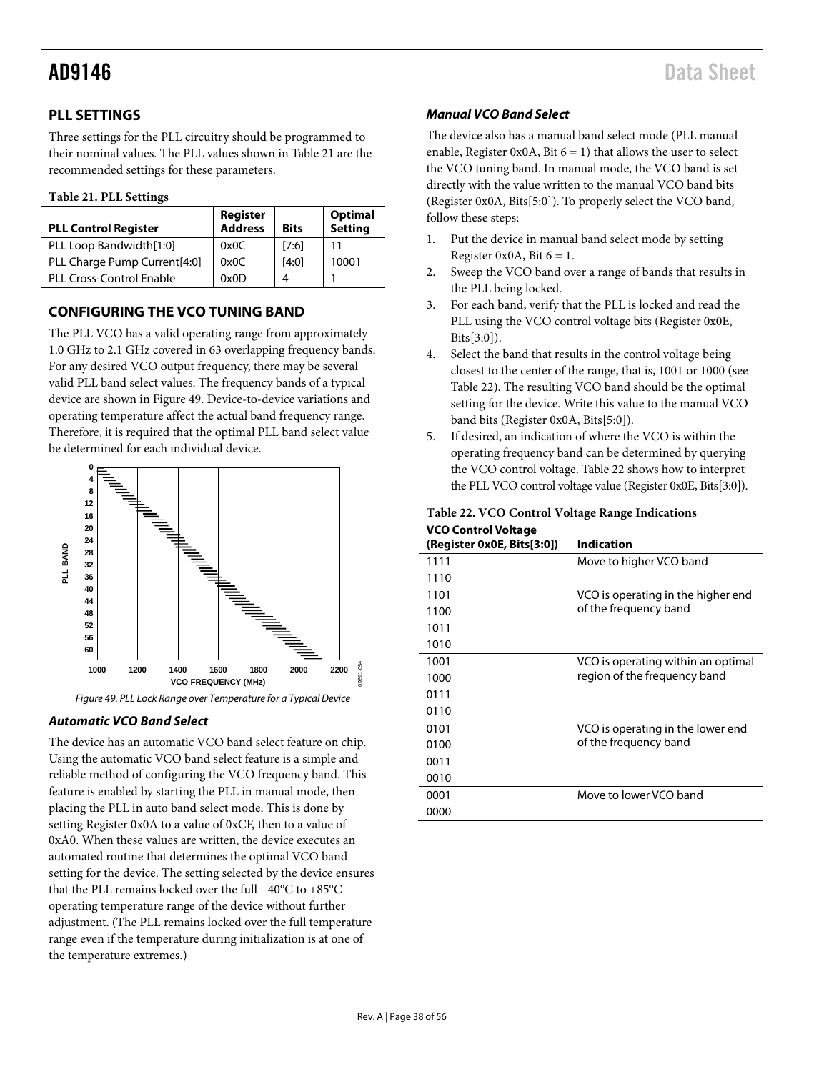### <span id="page-37-0"></span>**PLL SETTINGS**

Three settings for the PLL circuitry should be programmed to their nominal values. The PLL values shown i[n Table 21](#page-37-3) are the recommended settings for these parameters.

### <span id="page-37-3"></span>**Table 21. PLL Settings**

| <b>PLL Control Register</b>     | Register<br>Address | <b>Bits</b> | Optimal<br>Setting |
|---------------------------------|---------------------|-------------|--------------------|
| PLL Loop Bandwidth[1:0]         | 0x0C                | [7:6]       | 11                 |
| PLL Charge Pump Current[4:0]    | 0x0C                | [4:0]       | 10001              |
| <b>PLL Cross-Control Enable</b> | 0x0D                | ⊿           |                    |

### <span id="page-37-1"></span>**CONFIGURING THE VCO TUNING BAND**

The PLL VCO has a valid operating range from approximately 1.0 GHz to 2.1 GHz covered in 63 overlapping frequency bands. For any desired VCO output frequency, there may be several valid PLL band select values. The frequency bands of a typical device are shown in [Figure 49.](#page-37-4) Device-to-device variations and operating temperature affect the actual band frequency range. Therefore, it is required that the optimal PLL band select value be determined for each individual device.



*Figure 49. PLL Lock Range over Temperature for a Typical Device*

### <span id="page-37-4"></span>*Automatic VCO Band Select*

The device has an automatic VCO band select feature on chip. Using the automatic VCO band select feature is a simple and reliable method of configuring the VCO frequency band. This feature is enabled by starting the PLL in manual mode, then placing the PLL in auto band select mode. This is done by setting Register 0x0A to a value of 0xCF, then to a value of 0xA0. When these values are written, the device executes an automated routine that determines the optimal VCO band setting for the device. The setting selected by the device ensures that the PLL remains locked over the full −40°C to +85°C operating temperature range of the device without further adjustment. (The PLL remains locked over the full temperature range even if the temperature during initialization is at one of the temperature extremes.)

### *Manual VCO Band Select*

The device also has a manual band select mode (PLL manual enable, Register 0x0A, Bit  $6 = 1$ ) that allows the user to select the VCO tuning band. In manual mode, the VCO band is set directly with the value written to the manual VCO band bits (Register 0x0A, Bits[5:0]). To properly select the VCO band, follow these steps:

- 1. Put the device in manual band select mode by setting Register 0x0A, Bit  $6 = 1$ .
- 2. Sweep the VCO band over a range of bands that results in the PLL being locked.
- 3. For each band, verify that the PLL is locked and read the PLL using the VCO control voltage bits (Register 0x0E, Bits[3:0]).
- 4. Select the band that results in the control voltage being closest to the center of the range, that is, 1001 or 1000 (see [Table 22\)](#page-37-2). The resulting VCO band should be the optimal setting for the device. Write this value to the manual VCO band bits (Register 0x0A, Bits[5:0]).
- 5. If desired, an indication of where the VCO is within the operating frequency band can be determined by querying the VCO control voltage[. Table 22](#page-37-2) shows how to interpret the PLL VCO control voltage value (Register 0x0E, Bits[3:0]).

### <span id="page-37-2"></span>**Table 22. VCO Control Voltage Range Indications**

| VCO Control Voltage<br>(Register 0x0E, Bits[3:0]) | <b>Indication</b>                  |
|---------------------------------------------------|------------------------------------|
| 1111                                              | Move to higher VCO band            |
| 1110                                              |                                    |
| 1101                                              | VCO is operating in the higher end |
| 1100                                              | of the frequency band              |
| 1011                                              |                                    |
| 1010                                              |                                    |
| 1001                                              | VCO is operating within an optimal |
| 1000                                              | region of the freguency band       |
| 0111                                              |                                    |
| 0110                                              |                                    |
| 0101                                              | VCO is operating in the lower end  |
| 0100                                              | of the frequency band              |
| 0011                                              |                                    |
| 0010                                              |                                    |
| 0001                                              | Move to lower VCO band             |
| 0000                                              |                                    |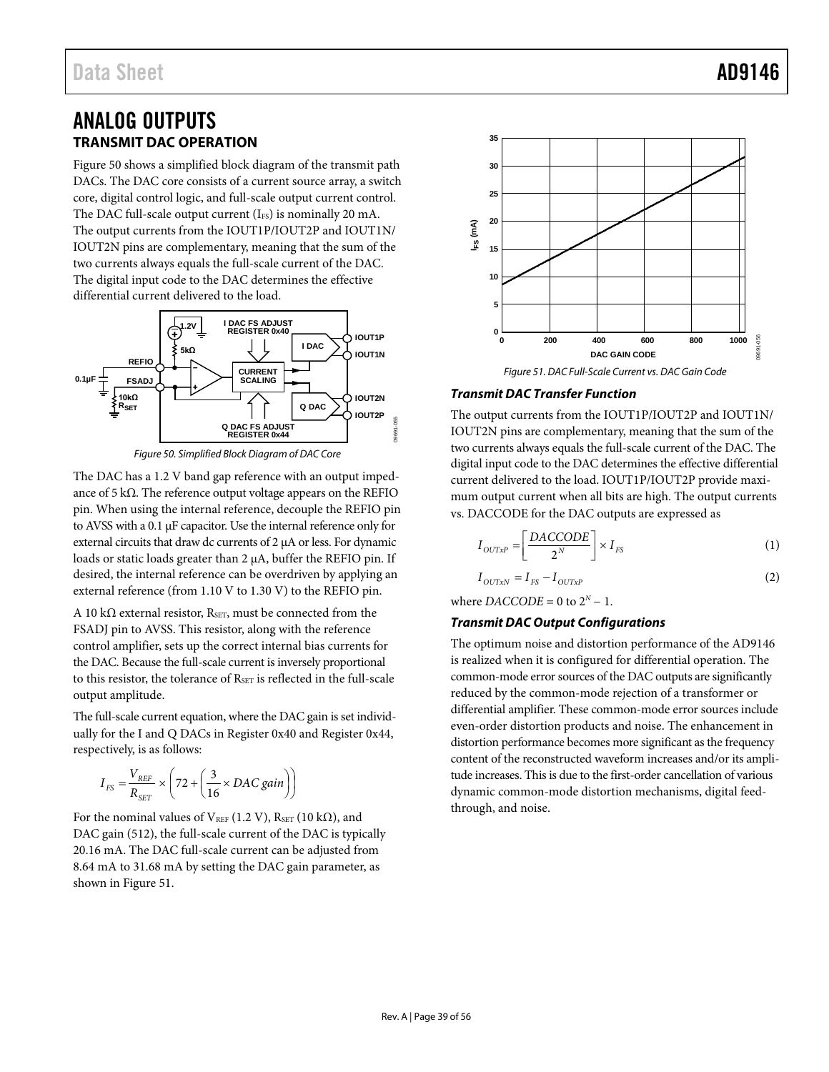### <span id="page-38-1"></span><span id="page-38-0"></span>ANALOG OUTPUTS **TRANSMIT DAC OPERATION**

[Figure 50](#page-38-2) shows a simplified block diagram of the transmit path DACs. The DAC core consists of a current source array, a switch core, digital control logic, and full-scale output current control. The DAC full-scale output current  $(I_{FS})$  is nominally 20 mA. The output currents from the IOUT1P/IOUT2P and IOUT1N/ IOUT2N pins are complementary, meaning that the sum of the two currents always equals the full-scale current of the DAC. The digital input code to the DAC determines the effective differential current delivered to the load.



*Figure 50. Simplified Block Diagram of DAC Core* 

<span id="page-38-2"></span>The DAC has a 1.2 V band gap reference with an output impedance of 5 kΩ. The reference output voltage appears on the REFIO pin. When using the internal reference, decouple the REFIO pin to AVSS with a 0.1 µF capacitor. Use the internal reference only for external circuits that draw dc currents of 2 µA or less. For dynamic loads or static loads greater than 2 µA, buffer the REFIO pin. If desired, the internal reference can be overdriven by applying an external reference (from 1.10 V to 1.30 V) to the REFIO pin.

A 10 kΩ external resistor, R<sub>SET</sub>, must be connected from the FSADJ pin to AVSS. This resistor, along with the reference control amplifier, sets up the correct internal bias currents for the DAC. Because the full-scale current is inversely proportional to this resistor, the tolerance of  $R_{\text{SET}}$  is reflected in the full-scale output amplitude.

The full-scale current equation, where the DAC gain is set individually for the I and Q DACs in Register 0x40 and Register 0x44, respectively, is as follows:

$$
I_{FS} = \frac{V_{REF}}{R_{SET}} \times \left(72 + \left(\frac{3}{16} \times DAC \ gain\right)\right)
$$

For the nominal values of  $V_{REF}$  (1.2 V),  $R_{SET}$  (10 k $\Omega$ ), and DAC gain (512), the full-scale current of the DAC is typically 20.16 mA. The DAC full-scale current can be adjusted from 8.64 mA to 31.68 mA by setting the DAC gain parameter, as shown in [Figure 51.](#page-38-3)



### <span id="page-38-3"></span>*Transmit DAC Transfer Function*

The output currents from the IOUT1P/IOUT2P and IOUT1N/ IOUT2N pins are complementary, meaning that the sum of the two currents always equals the full-scale current of the DAC. The digital input code to the DAC determines the effective differential current delivered to the load. IOUT1P/IOUT2P provide maximum output current when all bits are high. The output currents vs. DACCODE for the DAC outputs are expressed as

$$
I_{OUTXP} = \left[\frac{DACCODE}{2^N}\right] \times I_{FS}
$$
 (1)

$$
I_{OUTxN} = I_{FS} - I_{OUTxP}
$$
\n
$$
P_{A} = 2.600 \, \text{N} \cdot 3.000 \, \text{N} \cdot \text{m} \tag{2}
$$

where  $DACCODE = 0$  to  $2^N - 1$ .

### *Transmit DAC Output Configurations*

The optimum noise and distortion performance of the AD9146 is realized when it is configured for differential operation. The common-mode error sources of the DAC outputs are significantly reduced by the common-mode rejection of a transformer or differential amplifier. These common-mode error sources include even-order distortion products and noise. The enhancement in distortion performance becomes more significant as the frequency content of the reconstructed waveform increases and/or its amplitude increases. This is due to the first-order cancellation of various dynamic common-mode distortion mechanisms, digital feedthrough, and noise.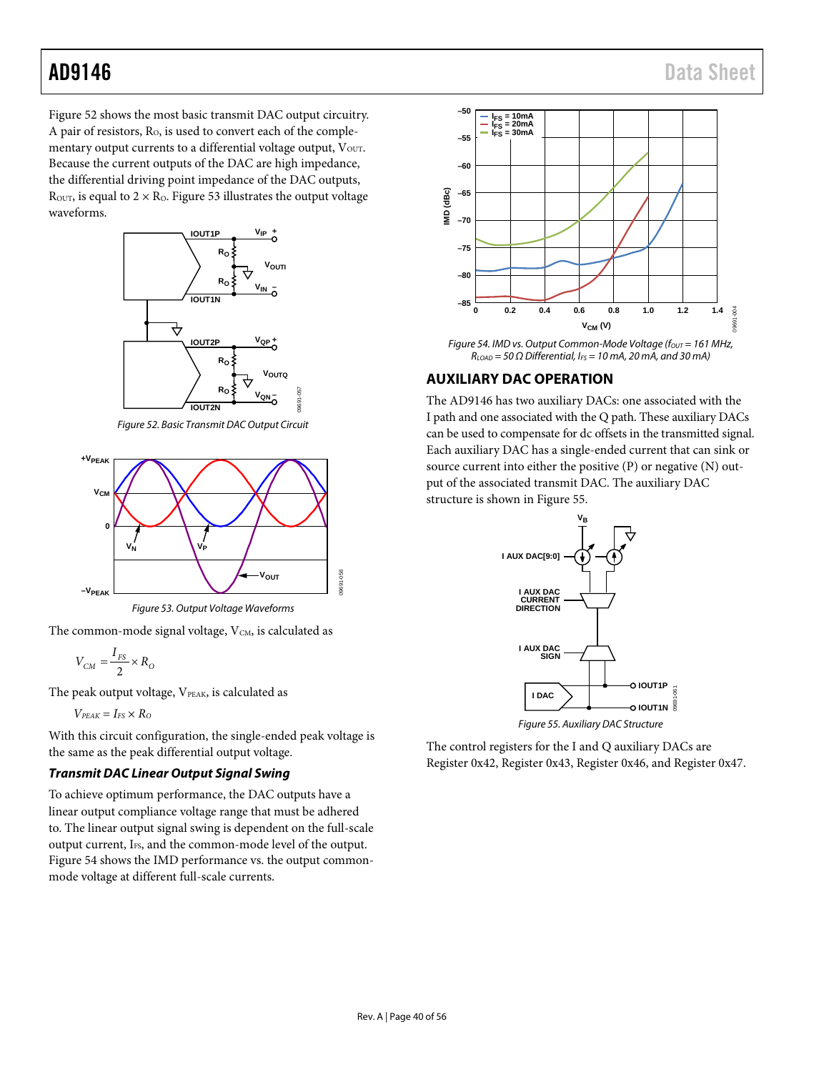## AD9146 Data Sheet

[Figure 52](#page-39-1) shows the most basic transmit DAC output circuitry. A pair of resistors, R<sub>o</sub>, is used to convert each of the complementary output currents to a differential voltage output, Vour. Because the current outputs of the DAC are high impedance, the differential driving point impedance of the DAC outputs,  $R_{\text{OUT}}$ , is equal to  $2 \times R_0$ . [Figure 53](#page-39-2) illustrates the output voltage waveforms.



*Figure 52. Basic Transmit DAC Output Circuit*

<span id="page-39-1"></span>

*Figure 53. Output Voltage Waveforms*

09691-058

05R 19691

<span id="page-39-2"></span>The common-mode signal voltage,  $V<sub>CM</sub>$ , is calculated as

$$
V_{CM} = \frac{I_{FS}}{2} \times R_O
$$

The peak output voltage, VPEAK, is calculated as

 $V_{PEAK} = I_{FS} \times R_O$ 

With this circuit configuration, the single-ended peak voltage is the same as the peak differential output voltage.

### *Transmit DAC Linear Output Signal Swing*

To achieve optimum performance, the DAC outputs have a linear output compliance voltage range that must be adhered to. The linear output signal swing is dependent on the full-scale output current, I<sub>FS</sub>, and the common-mode level of the output. [Figure 54](#page-39-3) shows the IMD performance vs. the output commonmode voltage at different full-scale currents.



<span id="page-39-3"></span>*RLOAD = 50 Ω Differential, IFS = 10 mA, 20 mA, and 30 mA)*

### <span id="page-39-0"></span>**AUXILIARY DAC OPERATION**

The AD9146 has two auxiliary DACs: one associated with the I path and one associated with the Q path. These auxiliary DACs can be used to compensate for dc offsets in the transmitted signal. Each auxiliary DAC has a single-ended current that can sink or source current into either the positive (P) or negative (N) output of the associated transmit DAC. The auxiliary DAC structure is shown i[n Figure 55.](#page-39-4)



*Figure 55. Auxiliary DAC Structure*

<span id="page-39-4"></span>The control registers for the I and Q auxiliary DACs are Register 0x42, Register 0x43, Register 0x46, and Register 0x47.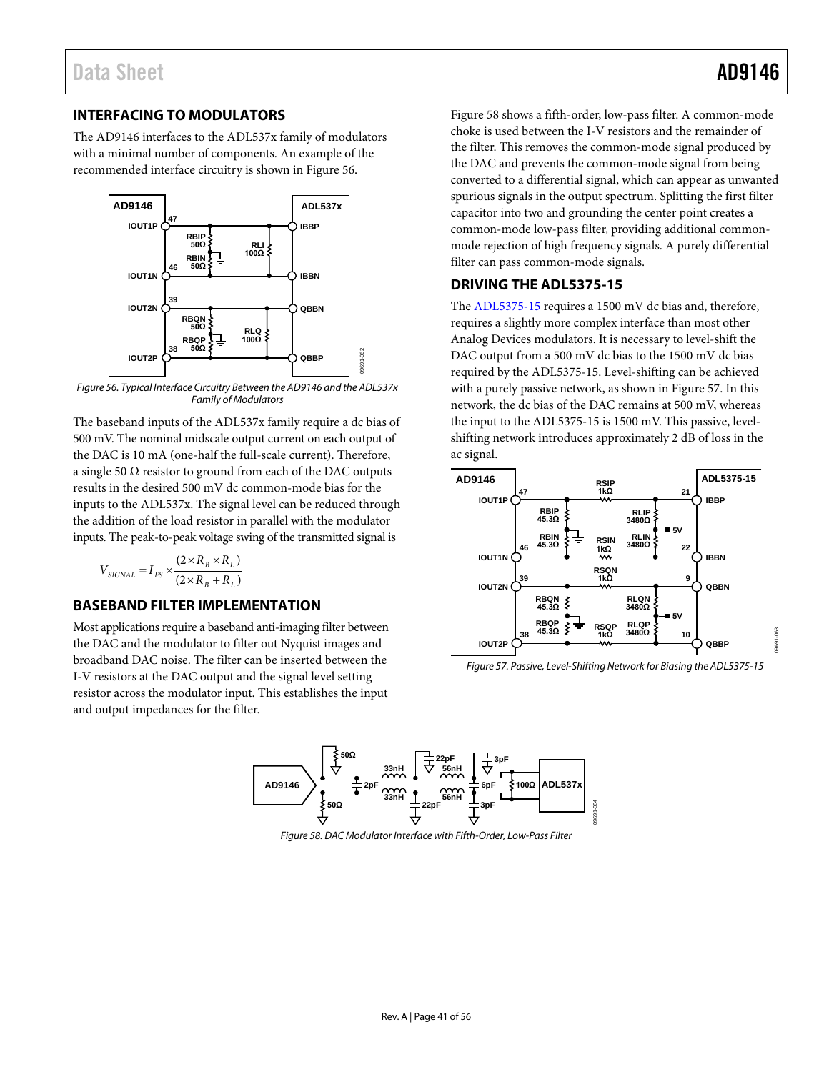09691-063

### <span id="page-40-0"></span>**INTERFACING TO MODULATORS**

The AD9146 interfaces to the ADL537x family of modulators with a minimal number of components. An example of the recommended interface circuitry is shown i[n Figure 56.](#page-40-3)



<span id="page-40-3"></span>*Figure 56. Typical Interface Circuitry Between the AD9146 and the ADL537x Family of Modulators*

The baseband inputs of the ADL537x family require a dc bias of 500 mV. The nominal midscale output current on each output of the DAC is 10 mA (one-half the full-scale current). Therefore, a single 50  $\Omega$  resistor to ground from each of the DAC outputs results in the desired 500 mV dc common-mode bias for the inputs to the ADL537x. The signal level can be reduced through the addition of the load resistor in parallel with the modulator inputs. The peak-to-peak voltage swing of the transmitted signal is

$$
V_{SGNAL} = I_{FS} \times \frac{(2 \times R_B \times R_L)}{(2 \times R_B + R_L)}
$$

### <span id="page-40-1"></span>**BASEBAND FILTER IMPLEMENTATION**

Most applications require a baseband anti-imaging filter between the DAC and the modulator to filter out Nyquist images and broadband DAC noise. The filter can be inserted between the I-V resistors at the DAC output and the signal level setting resistor across the modulator input. This establishes the input and output impedances for the filter.

[Figure 58](#page-40-4) shows a fifth-order, low-pass filter. A common-mode choke is used between the I-V resistors and the remainder of the filter. This removes the common-mode signal produced by the DAC and prevents the common-mode signal from being converted to a differential signal, which can appear as unwanted spurious signals in the output spectrum. Splitting the first filter capacitor into two and grounding the center point creates a common-mode low-pass filter, providing additional commonmode rejection of high frequency signals. A purely differential filter can pass common-mode signals.

### <span id="page-40-2"></span>**DRIVING THE ADL5375-15**

The [ADL5375-15](http://www.analog.com/ADL5375-15) requires a 1500 mV dc bias and, therefore, requires a slightly more complex interface than most other Analog Devices modulators. It is necessary to level-shift the DAC output from a 500 mV dc bias to the 1500 mV dc bias required by the [ADL5375-15.](http://www.analog.com/ADL5375-15) Level-shifting can be achieved with a purely passive network, as shown i[n Figure 57.](#page-40-5) In this network, the dc bias of the DAC remains at 500 mV, whereas the input to th[e ADL5375-15](http://www.analog.com/ADL5375-15) is 1500 mV. This passive, levelshifting network introduces approximately 2 dB of loss in the ac signal.



<span id="page-40-5"></span>*Figure 57. Passive, Level-Shifting Network for Biasing th[e ADL5375-15](http://www.analog.com/ADL5375-15)*

<span id="page-40-4"></span>

*Figure 58. DAC Modulator Interface with Fifth-Order, Low-Pass Filter*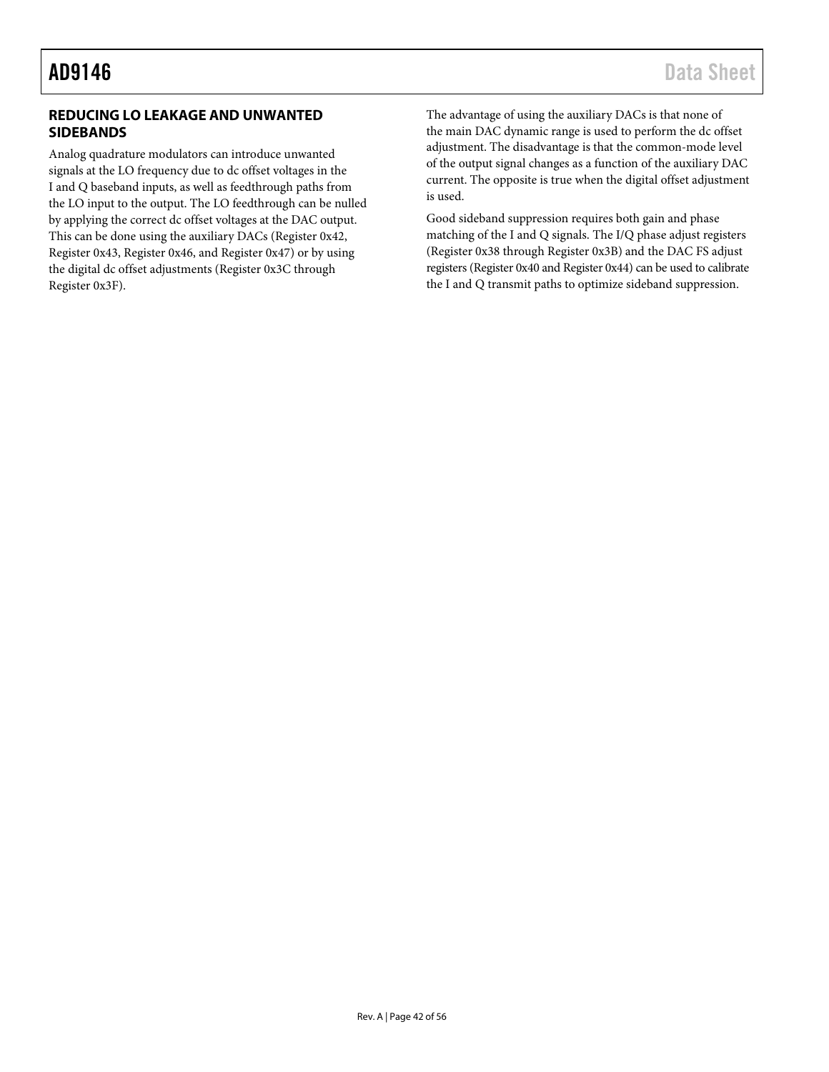### <span id="page-41-0"></span>**REDUCING LO LEAKAGE AND UNWANTED SIDEBANDS**

Analog quadrature modulators can introduce unwanted signals at the LO frequency due to dc offset voltages in the I and Q baseband inputs, as well as feedthrough paths from the LO input to the output. The LO feedthrough can be nulled by applying the correct dc offset voltages at the DAC output. This can be done using the auxiliary DACs (Register 0x42, Register 0x43, Register 0x46, and Register 0x47) or by using the digital dc offset adjustments (Register 0x3C through Register 0x3F).

The advantage of using the auxiliary DACs is that none of the main DAC dynamic range is used to perform the dc offset adjustment. The disadvantage is that the common-mode level of the output signal changes as a function of the auxiliary DAC current. The opposite is true when the digital offset adjustment is used.

Good sideband suppression requires both gain and phase matching of the I and Q signals. The I/Q phase adjust registers (Register 0x38 through Register 0x3B) and the DAC FS adjust registers (Register 0x40 and Register 0x44) can be used to calibrate the I and Q transmit paths to optimize sideband suppression.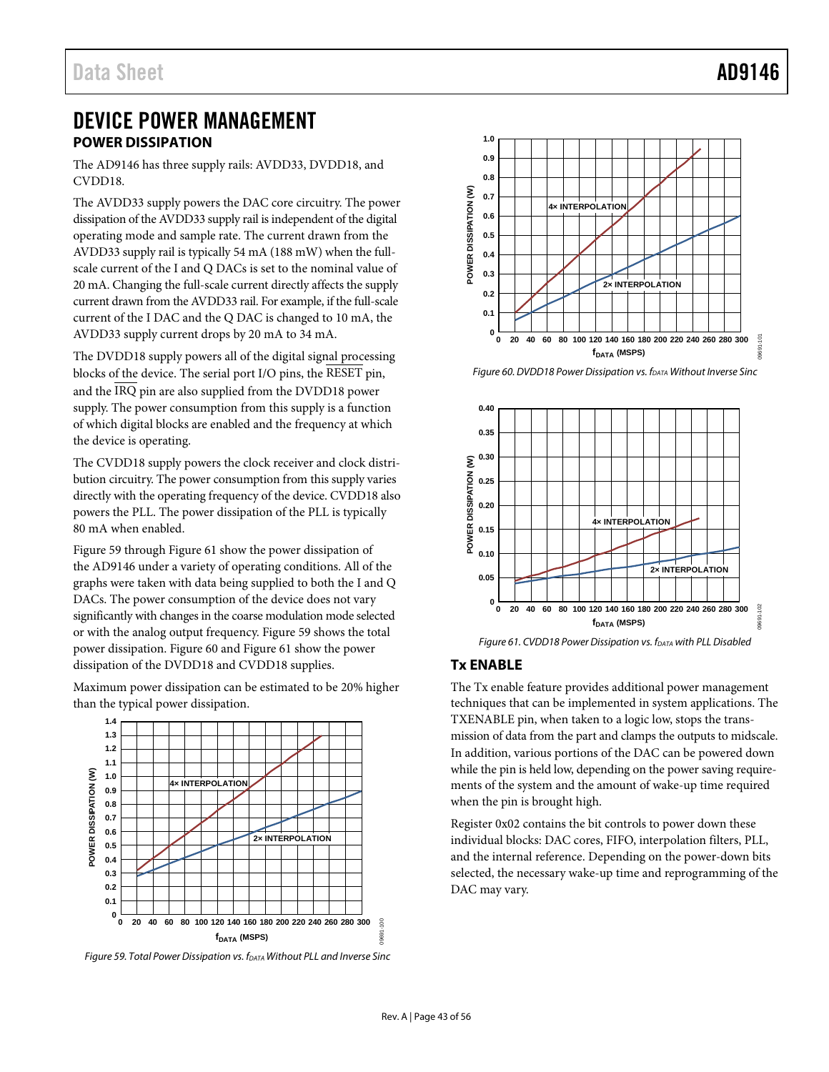### <span id="page-42-0"></span>DEVICE POWER MANAGEMENT **POWER DISSIPATION**

<span id="page-42-1"></span>The AD9146 has three supply rails: AVDD33, DVDD18, and CVDD18.

The AVDD33 supply powers the DAC core circuitry. The power dissipation of the AVDD33 supply rail is independent of the digital operating mode and sample rate. The current drawn from the AVDD33 supply rail is typically 54 mA (188 mW) when the fullscale current of the I and Q DACs is set to the nominal value of 20 mA. Changing the full-scale current directly affects the supply current drawn from the AVDD33 rail. For example, if the full-scale current of the I DAC and the Q DAC is changed to 10 mA, the AVDD33 supply current drops by 20 mA to 34 mA.

The DVDD18 supply powers all of the digital signal processing blocks of the device. The serial port I/O pins, the RESET pin, and the IRQ pin are also supplied from the DVDD18 power supply. The power consumption from this supply is a function of which digital blocks are enabled and the frequency at which the device is operating.

The CVDD18 supply powers the clock receiver and clock distribution circuitry. The power consumption from this supply varies directly with the operating frequency of the device. CVDD18 also powers the PLL. The power dissipation of the PLL is typically 80 mA when enabled.

[Figure 59](#page-42-3) throug[h Figure 61](#page-42-4) show the power dissipation of the AD9146 under a variety of operating conditions. All of the graphs were taken with data being supplied to both the I and Q DACs. The power consumption of the device does not vary significantly with changes in the coarse modulation mode selected or with the analog output frequency. [Figure](#page-42-3) 59 shows the total power dissipation[. Figure 60](#page-42-5) an[d Figure 61](#page-42-4) show the power dissipation of the DVDD18 and CVDD18 supplies.

Maximum power dissipation can be estimated to be 20% higher than the typical power dissipation.



<span id="page-42-3"></span>*Figure 59. Total Power Dissipation vs. fDATA Without PLL and Inverse Sinc*



<span id="page-42-5"></span>*Figure 60. DVDD18 Power Dissipation vs. fDATA Without Inverse Sinc*



*Figure 61. CVDD18 Power Dissipation vs. f<sub>DATA</sub> with PLL Disabled* 

### <span id="page-42-4"></span><span id="page-42-2"></span>**Tx ENABLE**

The Tx enable feature provides additional power management techniques that can be implemented in system applications. The TXENABLE pin, when taken to a logic low, stops the transmission of data from the part and clamps the outputs to midscale. In addition, various portions of the DAC can be powered down while the pin is held low, depending on the power saving requirements of the system and the amount of wake-up time required when the pin is brought high.

Register 0x02 contains the bit controls to power down these individual blocks: DAC cores, FIFO, interpolation filters, PLL, and the internal reference. Depending on the power-down bits selected, the necessary wake-up time and reprogramming of the DAC may vary.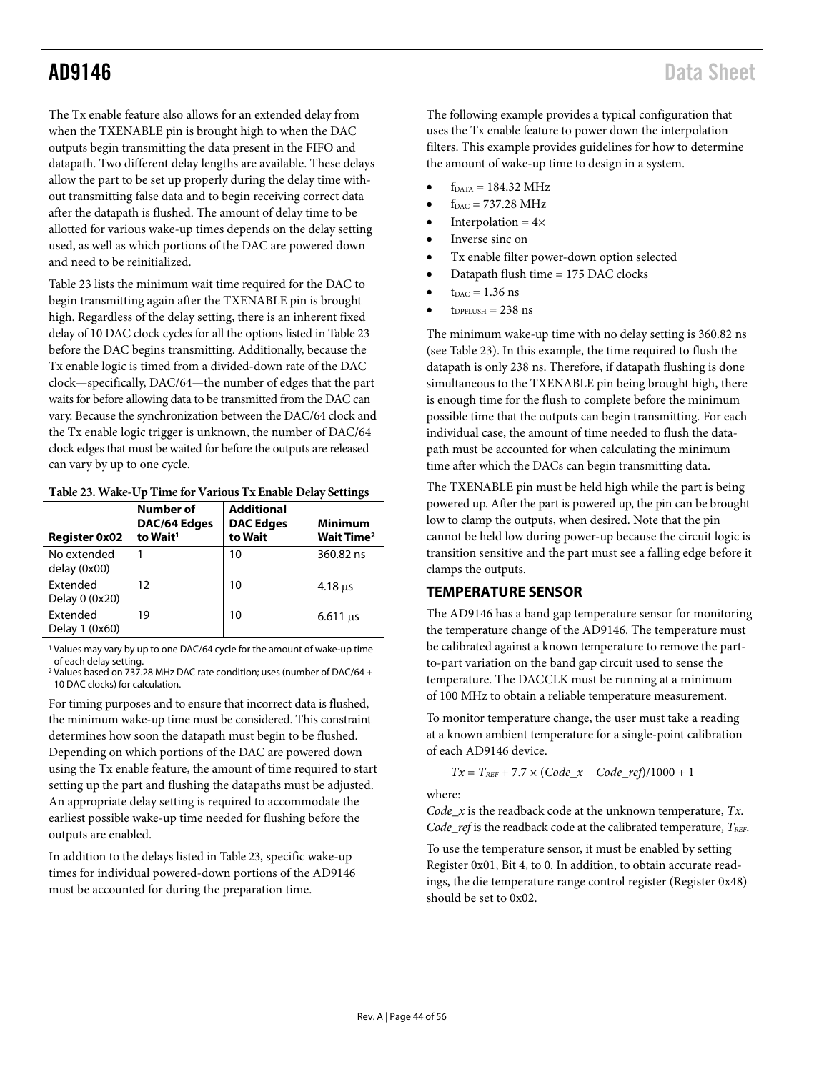The Tx enable feature also allows for an extended delay from when the TXENABLE pin is brought high to when the DAC outputs begin transmitting the data present in the FIFO and datapath. Two different delay lengths are available. These delays allow the part to be set up properly during the delay time without transmitting false data and to begin receiving correct data after the datapath is flushed. The amount of delay time to be allotted for various wake-up times depends on the delay setting used, as well as which portions of the DAC are powered down and need to be reinitialized.

[Table 23](#page-43-1) lists the minimum wait time required for the DAC to begin transmitting again after the TXENABLE pin is brought high. Regardless of the delay setting, there is an inherent fixed delay of 10 DAC clock cycles for all the options listed i[n Table 23](#page-43-1) before the DAC begins transmitting. Additionally, because the Tx enable logic is timed from a divided-down rate of the DAC clock—specifically, DAC/64—the number of edges that the part waits for before allowing data to be transmitted from the DAC can vary. Because the synchronization between the DAC/64 clock and the Tx enable logic trigger is unknown, the number of DAC/64 clock edges that must be waited for before the outputs are released can vary by up to one cycle.

| <b>Register 0x02</b>              | Number of<br>DAC/64 Edges<br>to Wait <sup>1</sup> | <b>Additional</b><br><b>DAC</b> Edges<br>to Wait | <b>Minimum</b><br>Wait Time <sup>2</sup> |
|-----------------------------------|---------------------------------------------------|--------------------------------------------------|------------------------------------------|
| No extended<br>delay (0x00)       |                                                   | 10                                               | 360.82 ns                                |
| <b>Fxtended</b><br>Delay 0 (0x20) | 12                                                | 10                                               | $4.18$ us                                |
| Extended<br>Delay 1 (0x60)        | 19                                                | 10                                               | $6.611$ us                               |

<span id="page-43-1"></span>

|  |  | Table 23. Wake-Up Time for Various Tx Enable Delay Settings |  |
|--|--|-------------------------------------------------------------|--|
|--|--|-------------------------------------------------------------|--|

<sup>1</sup> Values may vary by up to one DAC/64 cycle for the amount of wake-up time of each delay setting.

<sup>2</sup> Values based on 737.28 MHz DAC rate condition; uses (number of DAC/64 + 10 DAC clocks) for calculation.

For timing purposes and to ensure that incorrect data is flushed, the minimum wake-up time must be considered. This constraint determines how soon the datapath must begin to be flushed. Depending on which portions of the DAC are powered down using the Tx enable feature, the amount of time required to start setting up the part and flushing the datapaths must be adjusted. An appropriate delay setting is required to accommodate the earliest possible wake-up time needed for flushing before the outputs are enabled.

In addition to the delays listed i[n Table 23,](#page-43-1) specific wake-up times for individual powered-down portions of the AD9146 must be accounted for during the preparation time.

The following example provides a typical configuration that uses the Tx enable feature to power down the interpolation filters. This example provides guidelines for how to determine the amount of wake-up time to design in a system.

- $f_{DATA} = 184.32 \text{ MHz}$
- $f_{DAC} = 737.28 \text{ MHz}$
- Interpolation =  $4\times$
- Inverse sinc on
- Tx enable filter power-down option selected
- Datapath flush time = 175 DAC clocks
- $t_{\text{DAC}} = 1.36$  ns
- $t_{\text{DPFLUSH}} = 238 \text{ ns}$

The minimum wake-up time with no delay setting is 360.82 ns (see [Table 23\)](#page-43-1). In this example, the time required to flush the datapath is only 238 ns. Therefore, if datapath flushing is done simultaneous to the TXENABLE pin being brought high, there is enough time for the flush to complete before the minimum possible time that the outputs can begin transmitting. For each individual case, the amount of time needed to flush the datapath must be accounted for when calculating the minimum time after which the DACs can begin transmitting data.

The TXENABLE pin must be held high while the part is being powered up. After the part is powered up, the pin can be brought low to clamp the outputs, when desired. Note that the pin cannot be held low during power-up because the circuit logic is transition sensitive and the part must see a falling edge before it clamps the outputs.

### <span id="page-43-0"></span>**TEMPERATURE SENSOR**

The AD9146 has a band gap temperature sensor for monitoring the temperature change of the AD9146. The temperature must be calibrated against a known temperature to remove the partto-part variation on the band gap circuit used to sense the temperature. The DACCLK must be running at a minimum of 100 MHz to obtain a reliable temperature measurement.

To monitor temperature change, the user must take a reading at a known ambient temperature for a single-point calibration of each AD9146 device.

$$
Tx = T_{REF} + 7.7 \times (Code\_x - Code\_ref)/1000 + 1
$$

where:

*Code\_x* is the readback code at the unknown temperature, *Tx*. Code\_ref is the readback code at the calibrated temperature, *TREF*.

To use the temperature sensor, it must be enabled by setting Register 0x01, Bit 4, to 0. In addition, to obtain accurate readings, the die temperature range control register (Register 0x48) should be set to 0x02.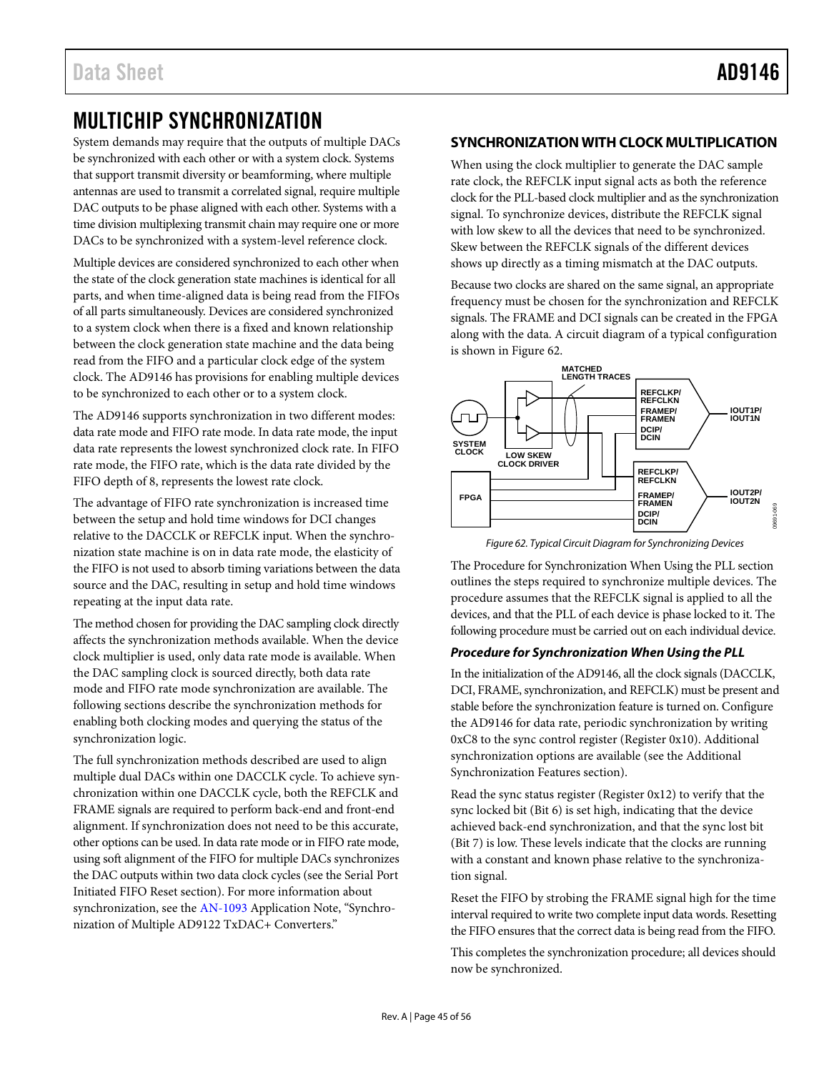## <span id="page-44-0"></span>MULTICHIP SYNCHRONIZATION

System demands may require that the outputs of multiple DACs be synchronized with each other or with a system clock. Systems that support transmit diversity or beamforming, where multiple antennas are used to transmit a correlated signal, require multiple DAC outputs to be phase aligned with each other. Systems with a time division multiplexing transmit chain may require one or more DACs to be synchronized with a system-level reference clock.

Multiple devices are considered synchronized to each other when the state of the clock generation state machines is identical for all parts, and when time-aligned data is being read from the FIFOs of all parts simultaneously. Devices are considered synchronized to a system clock when there is a fixed and known relationship between the clock generation state machine and the data being read from the FIFO and a particular clock edge of the system clock. The AD9146 has provisions for enabling multiple devices to be synchronized to each other or to a system clock.

The AD9146 supports synchronization in two different modes: data rate mode and FIFO rate mode. In data rate mode, the input data rate represents the lowest synchronized clock rate. In FIFO rate mode, the FIFO rate, which is the data rate divided by the FIFO depth of 8, represents the lowest rate clock.

The advantage of FIFO rate synchronization is increased time between the setup and hold time windows for DCI changes relative to the DACCLK or REFCLK input. When the synchronization state machine is on in data rate mode, the elasticity of the FIFO is not used to absorb timing variations between the data source and the DAC, resulting in setup and hold time windows repeating at the input data rate.

The method chosen for providing the DAC sampling clock directly affects the synchronization methods available. When the device clock multiplier is used, only data rate mode is available. When the DAC sampling clock is sourced directly, both data rate mode and FIFO rate mode synchronization are available. The following sections describe the synchronization methods for enabling both clocking modes and querying the status of the synchronization logic.

The full synchronization methods described are used to align multiple dual DACs within one DACCLK cycle. To achieve synchronization within one DACCLK cycle, both the REFCLK and FRAME signals are required to perform back-end and front-end alignment. If synchronization does not need to be this accurate, other options can be used. In data rate mode or in FIFO rate mode, using soft alignment of the FIFO for multiple DACs synchronizes the DAC outputs within two data clock cycles (see th[e Serial Port](#page-29-1)  Initiated [FIFO Reset](#page-29-1) section). For more information about synchronization, see th[e AN-1093](http://www.analog.com/AN-1093) Application Note, "Synchronization of Multiple AD9122 TxDAC+ Converters."

### <span id="page-44-1"></span>**SYNCHRONIZATION WITH CLOCK MULTIPLICATION**

When using the clock multiplier to generate the DAC sample rate clock, the REFCLK input signal acts as both the reference clock for the PLL-based clock multiplier and as the synchronization signal. To synchronize devices, distribute the REFCLK signal with low skew to all the devices that need to be synchronized. Skew between the REFCLK signals of the different devices shows up directly as a timing mismatch at the DAC outputs.

Because two clocks are shared on the same signal, an appropriate frequency must be chosen for the synchronization and REFCLK signals. The FRAME and DCI signals can be created in the FPGA along with the data. A circuit diagram of a typical configuration is shown in [Figure 62.](#page-44-2)



*Figure 62. Typical Circuit Diagram for Synchronizing Devices*

<span id="page-44-2"></span>Th[e Procedure for Synchronization When Using the PLL](#page-44-3) section outlines the steps required to synchronize multiple devices. The procedure assumes that the REFCLK signal is applied to all the devices, and that the PLL of each device is phase locked to it. The following procedure must be carried out on each individual device.

### <span id="page-44-3"></span>*Procedure for Synchronization When Using the PLL*

In the initialization of the AD9146, all the clock signals (DACCLK, DCI, FRAME, synchronization, and REFCLK) must be present and stable before the synchronization feature is turned on. Configure the AD9146 for data rate, periodic synchronization by writing 0xC8 to the sync control register (Register 0x10). Additional synchronization options are available (see the [Additional](#page-47-0)  [Synchronization Features](#page-47-0) section).

Read the sync status register (Register 0x12) to verify that the sync locked bit (Bit 6) is set high, indicating that the device achieved back-end synchronization, and that the sync lost bit (Bit 7) is low. These levels indicate that the clocks are running with a constant and known phase relative to the synchronization signal.

Reset the FIFO by strobing the FRAME signal high for the time interval required to write two complete input data words. Resetting the FIFO ensures that the correct data is being read from the FIFO.

This completes the synchronization procedure; all devices should now be synchronized.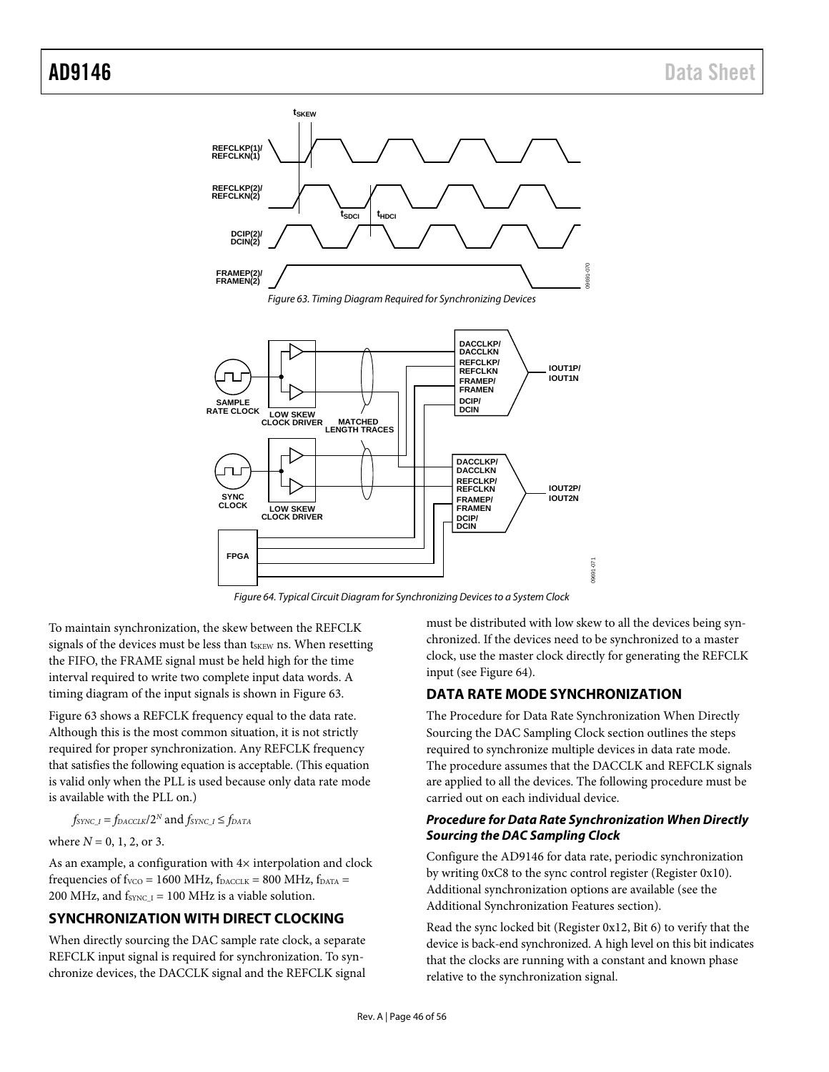<span id="page-45-2"></span>

*Figure 64. Typical Circuit Diagram for Synchronizing Devices to a System Clock*

<span id="page-45-3"></span>To maintain synchronization, the skew between the REFCLK signals of the devices must be less than tskEW ns. When resetting the FIFO, the FRAME signal must be held high for the time interval required to write two complete input data words. A timing diagram of the input signals is shown i[n Figure 63.](#page-45-2)

[Figure 63](#page-45-2) shows a REFCLK frequency equal to the data rate. Although this is the most common situation, it is not strictly required for proper synchronization. Any REFCLK frequency that satisfies the following equation is acceptable. (This equation is valid only when the PLL is used because only data rate mode is available with the PLL on.)

$$
f_{\text{SYNC\_I}}\!=\!f_{\text{D}\text{ACCLK}}/2^N\,\text{and}\,f_{\text{SYNC\_I}}\!\leq\!f_{\text{D}\text{ATA}}
$$

where 
$$
N = 0, 1, 2, \text{ or } 3
$$
.

As an example, a configuration with  $4\times$  interpolation and clock frequencies of  $f_{VCO}$  = 1600 MHz,  $f_{DACCLK}$  = 800 MHz,  $f_{DATA}$  = 200 MHz, and  $f_{\text{SYNC I}} = 100$  MHz is a viable solution.

### <span id="page-45-0"></span>**SYNCHRONIZATION WITH DIRECT CLOCKING**

When directly sourcing the DAC sample rate clock, a separate REFCLK input signal is required for synchronization. To synchronize devices, the DACCLK signal and the REFCLK signal must be distributed with low skew to all the devices being synchronized. If the devices need to be synchronized to a master clock, use the master clock directly for generating the REFCLK input (se[e Figure 64\)](#page-45-3).

### <span id="page-45-1"></span>**DATA RATE MODE SYNCHRONIZATION**

The [Procedure for Data Rate Synchronization When Directly](#page-45-4)  [Sourcing the DAC Sampling Clock](#page-45-4) section outlines the steps required to synchronize multiple devices in data rate mode. The procedure assumes that the DACCLK and REFCLK signals are applied to all the devices. The following procedure must be carried out on each individual device.

### <span id="page-45-4"></span>*Procedure for Data Rate Synchronization When Directly Sourcing the DAC Sampling Clock*

Configure the AD9146 for data rate, periodic synchronization by writing 0xC8 to the sync control register (Register 0x10). Additional synchronization options are available (see the [Additional Synchronization Features](#page-47-0) section).

Read the sync locked bit (Register 0x12, Bit 6) to verify that the device is back-end synchronized. A high level on this bit indicates that the clocks are running with a constant and known phase relative to the synchronization signal.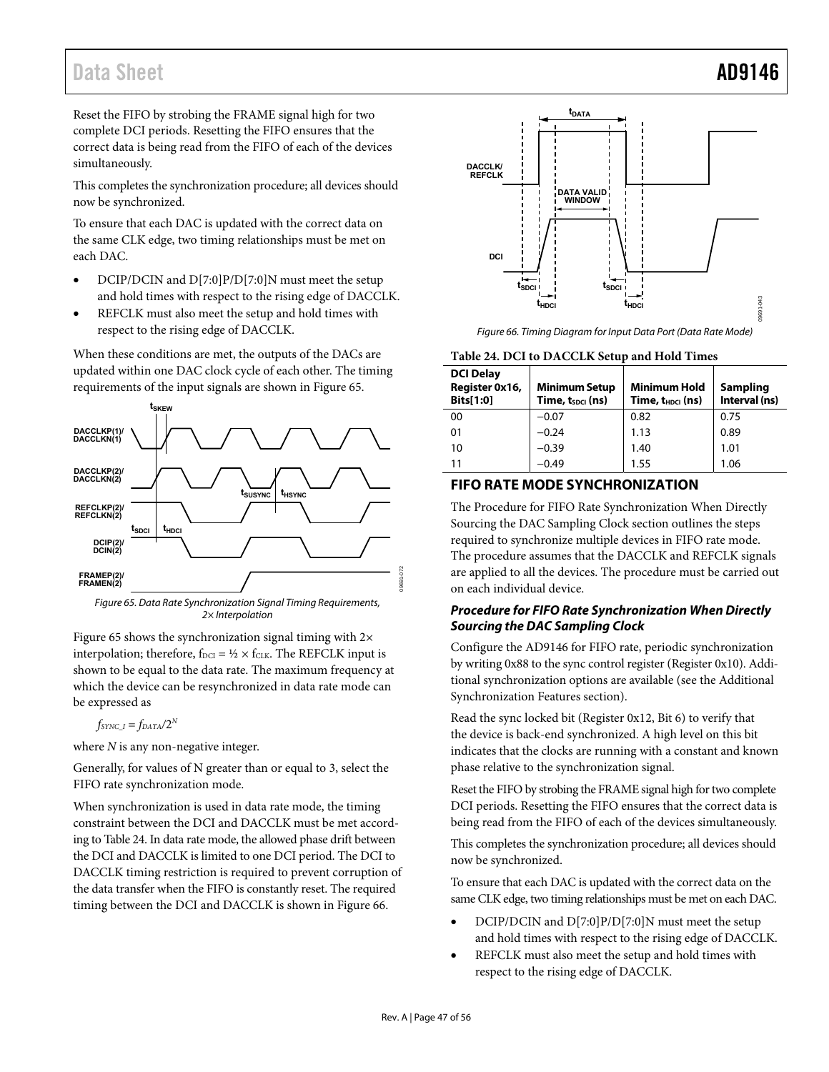Reset the FIFO by strobing the FRAME signal high for two complete DCI periods. Resetting the FIFO ensures that the correct data is being read from the FIFO of each of the devices simultaneously.

This completes the synchronization procedure; all devices should now be synchronized.

To ensure that each DAC is updated with the correct data on the same CLK edge, two timing relationships must be met on each DAC.

- DCIP/DCIN and D[7:0]P/D[7:0]N must meet the setup and hold times with respect to the rising edge of DACCLK.
- REFCLK must also meet the setup and hold times with respect to the rising edge of DACCLK.

When these conditions are met, the outputs of the DACs are updated within one DAC clock cycle of each other. The timing requirements of the input signals are shown i[n Figure 65.](#page-46-1)



<span id="page-46-1"></span>Figure 65. Data Rate Synchronization Signal Timing Requirements, 2× Interpolation

[Figure 65 s](#page-46-1)hows the synchronization signal timing with  $2\times$ interpolation; therefore,  $f_{\text{DCI}} = \frac{1}{2} \times f_{\text{CLK}}$ . The REFCLK input is shown to be equal to the data rate. The maximum frequency at which the device can be resynchronized in data rate mode can be expressed as

 $f_{SYNC\_I} = f_{DATA}/2^N$ 

where *N* is any non-negative integer.

Generally, for values of N greater than or equal to 3, select the FIFO rate synchronization mode.

When synchronization is used in data rate mode, the timing constraint between the DCI and DACCLK must be met according t[o Table 24.](#page-46-2) In data rate mode, the allowed phase drift between the DCI and DACCLK is limited to one DCI period. The DCI to DACCLK timing restriction is required to prevent corruption of the data transfer when the FIFO is constantly reset. The required timing between the DCI and DACCLK is shown in [Figure 66.](#page-46-3) 



Figure 66. Timing Diagram for Input Data Port (Data Rate Mode)

### <span id="page-46-3"></span><span id="page-46-2"></span>**Table 24. DCI to DACCLK Setup and Hold Times**

| <b>DCI Delay</b><br>Register 0x16,<br>Bits[1:0] | <b>Minimum Setup</b><br>Time, t <sub>spci</sub> (ns) | <b>Minimum Hold</b><br>Time, t <sub>HDCI</sub> (ns) | Sampling<br>Interval (ns) |
|-------------------------------------------------|------------------------------------------------------|-----------------------------------------------------|---------------------------|
| 00                                              | $-0.07$                                              | 0.82                                                | 0.75                      |
| 01                                              | $-0.24$                                              | 1.13                                                | 0.89                      |
| 10                                              | $-0.39$                                              | 1.40                                                | 1.01                      |
| 11                                              | -0.49                                                | 1.55                                                | 1.06                      |

### <span id="page-46-0"></span>**FIFO RATE MODE SYNCHRONIZATION**

The [Procedure for FIFO Rate Synchronization When Directly](#page-46-4)  [Sourcing the DAC Sampling Clock s](#page-46-4)ection outlines the steps required to synchronize multiple devices in FIFO rate mode. The procedure assumes that the DACCLK and REFCLK signals are applied to all the devices. The procedure must be carried out on each individual device.

### <span id="page-46-4"></span>**Procedure for FIFO Rate Synchronization When Directly Sourcing the DAC Sampling Clock**

Configure the AD9146 for FIFO rate, periodic synchronization by writing 0x88 to the sync control register (Register 0x10). Additional synchronization options are available (see the [Additional](#page-47-0)  [Synchronization Features](#page-47-0) section).

Read the sync locked bit (Register 0x12, Bit 6) to verify that the device is back-end synchronized. A high level on this bit indicates that the clocks are running with a constant and known phase relative to the synchronization signal.

Reset the FIFO by strobing the FRAME signal high for two complete DCI periods. Resetting the FIFO ensures that the correct data is being read from the FIFO of each of the devices simultaneously.

This completes the synchronization procedure; all devices should now be synchronized.

To ensure that each DAC is updated with the correct data on the same CLK edge, two timing relationships must be met on each DAC.

- DCIP/DCIN and D[7:0]P/D[7:0]N must meet the setup and hold times with respect to the rising edge of DACCLK.
- REFCLK must also meet the setup and hold times with respect to the rising edge of DACCLK.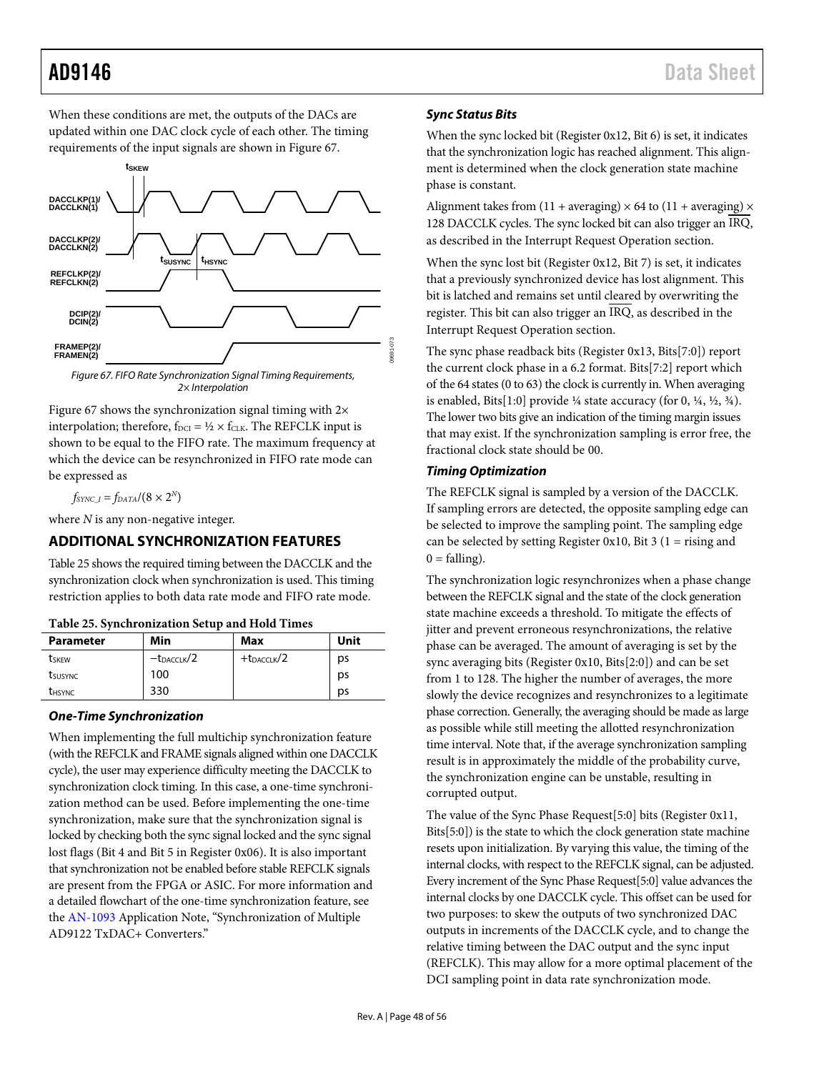When these conditions are met, the outputs of the DACs are updated within one DAC clock cycle of each other. The timing requirements of the input signals are shown i[n Figure 67.](#page-47-2)



<span id="page-47-2"></span>[Figure 67](#page-47-2) shows the synchronization signal timing with 2× interpolation; therefore,  $f_{DCI} = \frac{1}{2} \times f_{CLK}$ . The REFCLK input is shown to be equal to the FIFO rate. The maximum frequency at which the device can be resynchronized in FIFO rate mode can be expressed as

 $f_{SYNC\_I} = f_{DATA}/(8 \times 2^N)$ 

where *N* is any non-negative integer.

### <span id="page-47-0"></span>**ADDITIONAL SYNCHRONIZATION FEATURES**

[Table 25](#page-47-3) shows the required timing between the DACCLK and the synchronization clock when synchronization is used. This timing restriction applies to both data rate mode and FIFO rate mode.

| TADIA SAI AITINII AITINII ALI AAN ATA TIATA TIITAA |                        |                  |      |  |  |  |  |  |
|----------------------------------------------------|------------------------|------------------|------|--|--|--|--|--|
| <b>Parameter</b>                                   | Min                    | Max              | Unit |  |  |  |  |  |
| <b>t</b> skew                                      | $-t_{\text{DACCLK}}/2$ | $+t$ DACCLK $/2$ | ps   |  |  |  |  |  |
| tsusync                                            | 100                    |                  | ps   |  |  |  |  |  |
| <b><i>UHSYNC</i></b>                               | 330                    |                  | ps   |  |  |  |  |  |

### <span id="page-47-3"></span>**Table 25. Synchronization Setup and Hold Times**

### *One-Time Synchronization*

When implementing the full multichip synchronization feature (with the REFCLK and FRAME signals aligned within one DACCLK cycle), the user may experience difficulty meeting the DACCLK to synchronization clock timing. In this case, a one-time synchronization method can be used. Before implementing the one-time synchronization, make sure that the synchronization signal is locked by checking both the sync signal locked and the sync signal lost flags (Bit 4 and Bit 5 in Register 0x06). It is also important that synchronization not be enabled before stable REFCLK signals are present from the FPGA or ASIC. For more information and a detailed flowchart of the one-time synchronization feature, see the [AN-1093](http://www.analog.com/AN-1093) Application Note, "Synchronization of Multiple AD9122 TxDAC+ Converters."

### <span id="page-47-1"></span>*Sync Status Bits*

When the sync locked bit (Register 0x12, Bit 6) is set, it indicates that the synchronization logic has reached alignment. This alignment is determined when the clock generation state machine phase is constant.

Alignment takes from  $(11 + \text{averaging}) \times 64$  to  $(11 + \text{averaging}) \times$ 128 DACCLK cycles. The sync locked bit can also trigger an IRQ, as described in the [Interrupt Request Operation](#page-48-2) section.

When the sync lost bit (Register 0x12, Bit 7) is set, it indicates that a previously synchronized device has lost alignment. This bit is latched and remains set until cleared by overwriting the register. This bit can also trigger an IRQ, as described in the [Interrupt Request Operation](#page-48-2) section.

The sync phase readback bits (Register 0x13, Bits[7:0]) report the current clock phase in a 6.2 format. Bits[7:2] report which of the 64 states (0 to 63) the clock is currently in. When averaging is enabled, Bits[1:0] provide  $\frac{1}{4}$  state accuracy (for 0,  $\frac{1}{4}$ ,  $\frac{1}{2}$ ,  $\frac{3}{4}$ ). The lower two bits give an indication of the timing margin issues that may exist. If the synchronization sampling is error free, the fractional clock state should be 00.

### *Timing Optimization*

The REFCLK signal is sampled by a version of the DACCLK. If sampling errors are detected, the opposite sampling edge can be selected to improve the sampling point. The sampling edge can be selected by setting Register 0x10, Bit 3 (1 = rising and  $0 = falling$ ).

The synchronization logic resynchronizes when a phase change between the REFCLK signal and the state of the clock generation state machine exceeds a threshold. To mitigate the effects of jitter and prevent erroneous resynchronizations, the relative phase can be averaged. The amount of averaging is set by the sync averaging bits (Register 0x10, Bits[2:0]) and can be set from 1 to 128. The higher the number of averages, the more slowly the device recognizes and resynchronizes to a legitimate phase correction. Generally, the averaging should be made as large as possible while still meeting the allotted resynchronization time interval. Note that, if the average synchronization sampling result is in approximately the middle of the probability curve, the synchronization engine can be unstable, resulting in corrupted output.

The value of the Sync Phase Request[5:0] bits (Register 0x11, Bits[5:0]) is the state to which the clock generation state machine resets upon initialization. By varying this value, the timing of the internal clocks, with respect to the REFCLK signal, can be adjusted. Every increment of the Sync Phase Request[5:0] value advances the internal clocks by one DACCLK cycle. This offset can be used for two purposes: to skew the outputs of two synchronized DAC outputs in increments of the DACCLK cycle, and to change the relative timing between the DAC output and the sync input (REFCLK). This may allow for a more optimal placement of the DCI sampling point in data rate synchronization mode.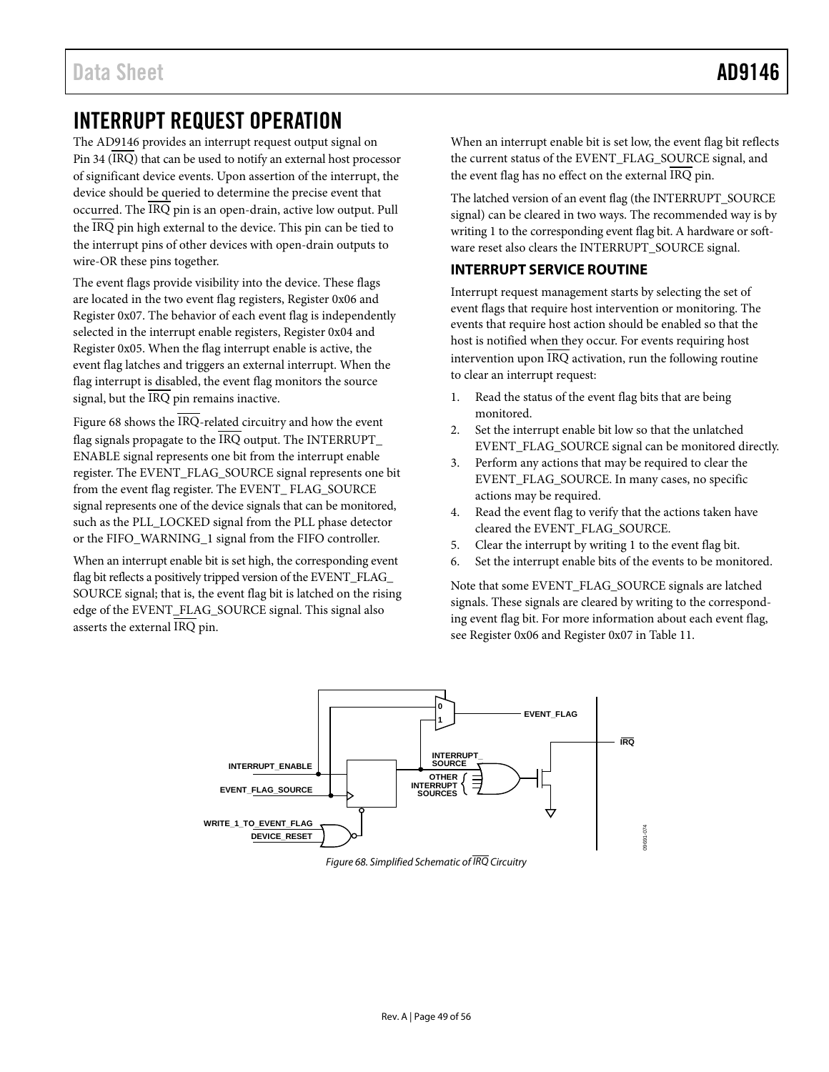## <span id="page-48-2"></span><span id="page-48-0"></span>INTERRUPT REQUEST OPERATION

The AD9146 provides an interrupt request output signal on Pin 34 (IRQ) that can be used to notify an external host processor of significant device events. Upon assertion of the interrupt, the device should be queried to determine the precise event that occurred. The IRQ pin is an open-drain, active low output. Pull the IRQ pin high external to the device. This pin can be tied to the interrupt pins of other devices with open-drain outputs to wire-OR these pins together.

The event flags provide visibility into the device. These flags are located in the two event flag registers, Register 0x06 and Register 0x07. The behavior of each event flag is independently selected in the interrupt enable registers, Register 0x04 and Register 0x05. When the flag interrupt enable is active, the event flag latches and triggers an external interrupt. When the flag interrupt is disabled, the event flag monitors the source signal, but the IRQ pin remains inactive.

[Figure 68](#page-48-3) shows the  $\overline{\text{IRQ}}$ -related circuitry and how the event flag signals propagate to the  $\overline{\text{IRQ}}$  output. The INTERRUPT\_ ENABLE signal represents one bit from the interrupt enable register. The EVENT\_FLAG\_SOURCE signal represents one bit from the event flag register. The EVENT\_ FLAG\_SOURCE signal represents one of the device signals that can be monitored, such as the PLL\_LOCKED signal from the PLL phase detector or the FIFO\_WARNING\_1 signal from the FIFO controller.

When an interrupt enable bit is set high, the corresponding event flag bit reflects a positively tripped version of the EVENT\_FLAG\_ SOURCE signal; that is, the event flag bit is latched on the rising edge of the EVENT\_FLAG\_SOURCE signal. This signal also asserts the external IRQ pin.

When an interrupt enable bit is set low, the event flag bit reflects the current status of the EVENT\_FLAG\_SOURCE signal, and the event flag has no effect on the external IRQ pin.

The latched version of an event flag (the INTERRUPT\_SOURCE signal) can be cleared in two ways. The recommended way is by writing 1 to the corresponding event flag bit. A hardware or software reset also clears the INTERRUPT\_SOURCE signal.

### <span id="page-48-1"></span>**INTERRUPT SERVICE ROUTINE**

Interrupt request management starts by selecting the set of event flags that require host intervention or monitoring. The events that require host action should be enabled so that the host is notified when they occur. For events requiring host intervention upon IRQ activation, run the following routine to clear an interrupt request:

- 1. Read the status of the event flag bits that are being monitored.
- 2. Set the interrupt enable bit low so that the unlatched EVENT\_FLAG\_SOURCE signal can be monitored directly.
- 3. Perform any actions that may be required to clear the EVENT\_FLAG\_SOURCE. In many cases, no specific actions may be required.
- 4. Read the event flag to verify that the actions taken have cleared the EVENT\_FLAG\_SOURCE.
- 5. Clear the interrupt by writing 1 to the event flag bit.
- 6. Set the interrupt enable bits of the events to be monitored.

Note that some EVENT\_FLAG\_SOURCE signals are latched signals. These signals are cleared by writing to the corresponding event flag bit. For more information about each event flag, see Register 0x06 and Register 0x07 in [Table 11.](#page-19-0)

<span id="page-48-3"></span>

*Figure 68. Simplified Schematic of IRQ Circuitry*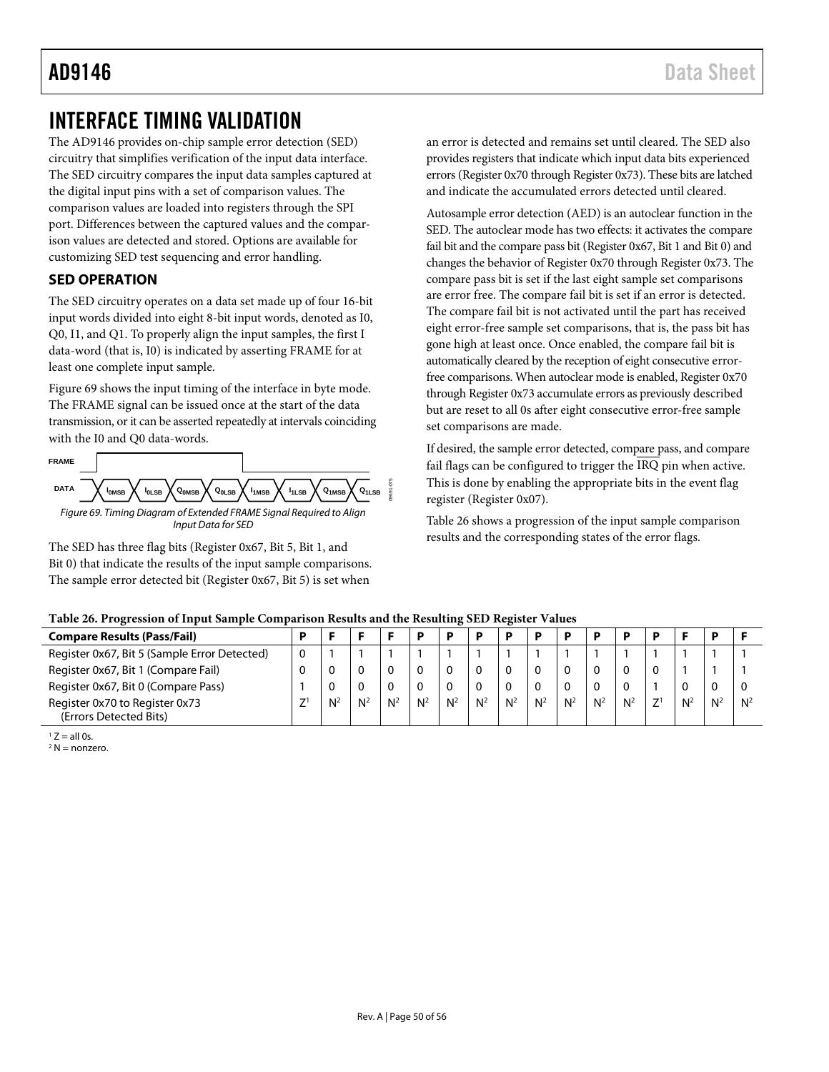## <span id="page-49-0"></span>INTERFACE TIMING VALIDATION

The AD9146 provides on-chip sample error detection (SED) circuitry that simplifies verification of the input data interface. The SED circuitry compares the input data samples captured at the digital input pins with a set of comparison values. The comparison values are loaded into registers through the SPI port. Differences between the captured values and the comparison values are detected and stored. Options are available for customizing SED test sequencing and error handling.

### <span id="page-49-1"></span>**SED OPERATION**

The SED circuitry operates on a data set made up of four 16-bit input words divided into eight 8-bit input words, denoted as I0, Q0, I1, and Q1. To properly align the input samples, the first I data-word (that is, I0) is indicated by asserting FRAME for at least one complete input sample[.](#page-49-2)

[Figure 69](#page-49-3) shows the input timing of the interface in byte mode. The FRAME signal can be issued once at the start of the data transmission, or it can be asserted repeatedly at intervals coinciding with the I0 and Q0 data-words.

<span id="page-49-2"></span>

<span id="page-49-3"></span>The SED has three flag bits (Register 0x67, Bit 5, Bit 1, and Bit 0) that indicate the results of the input sample comparisons. The sample error detected bit (Register 0x67, Bit 5) is set when

an error is detected and remains set until cleared. The SED also provides registers that indicate which input data bits experienced errors (Register 0x70 through Register 0x73). These bits are latched and indicate the accumulated errors detected until cleared.

Autosample error detection (AED) is an autoclear function in the SED. The autoclear mode has two effects: it activates the compare fail bit and the compare pass bit (Register 0x67, Bit 1 and Bit 0) and changes the behavior of Register 0x70 through Register 0x73. The compare pass bit is set if the last eight sample set comparisons are error free. The compare fail bit is set if an error is detected. The compare fail bit is not activated until the part has received eight error-free sample set comparisons, that is, the pass bit has gone high at least once. Once enabled, the compare fail bit is automatically cleared by the reception of eight consecutive errorfree comparisons. When autoclear mode is enabled, Register 0x70 through Register 0x73 accumulate errors as previously described but are reset to all 0s after eight consecutive error-free sample set comparisons are made.

If desired, the sample error detected, compare pass, and compare fail flags can be configured to trigger the IRQ pin when active. This is done by enabling the appropriate bits in the event flag register (Register 0x07).

[Table 26](#page-49-4) shows a progression of the input sample comparison results and the corresponding states of the error flags.

| <b>Compare Results (Pass/Fail)</b>           | Đ |                |                |       |    |       |       |       |       |       |       |                |    |                |       |       |
|----------------------------------------------|---|----------------|----------------|-------|----|-------|-------|-------|-------|-------|-------|----------------|----|----------------|-------|-------|
| Register 0x67, Bit 5 (Sample Error Detected) |   |                |                |       |    |       |       |       |       |       |       |                |    |                |       |       |
| Register 0x67, Bit 1 (Compare Fail)          |   |                |                |       |    |       |       |       |       | -0    |       |                |    |                |       |       |
| Register 0x67, Bit 0 (Compare Pass)          |   |                |                |       |    |       |       |       |       |       |       |                |    |                |       |       |
| Register 0x70 to Register 0x73               |   | N <sup>2</sup> | N <sup>2</sup> | $N^2$ | N2 | $N^2$ | $N^2$ | $N^2$ | $N^2$ | $N^2$ | $N^2$ | N <sup>2</sup> | 71 | N <sup>2</sup> | $N^2$ | $N^2$ |
| (Errors Detected Bits)                       |   |                |                |       |    |       |       |       |       |       |       |                |    |                |       |       |

<span id="page-49-4"></span>**Table 26. Progression of Input Sample Comparison Results and the Resulting SED Register Values**

 $<sup>1</sup> Z = all 0s.$ </sup>

 $2 N =$  nonzero.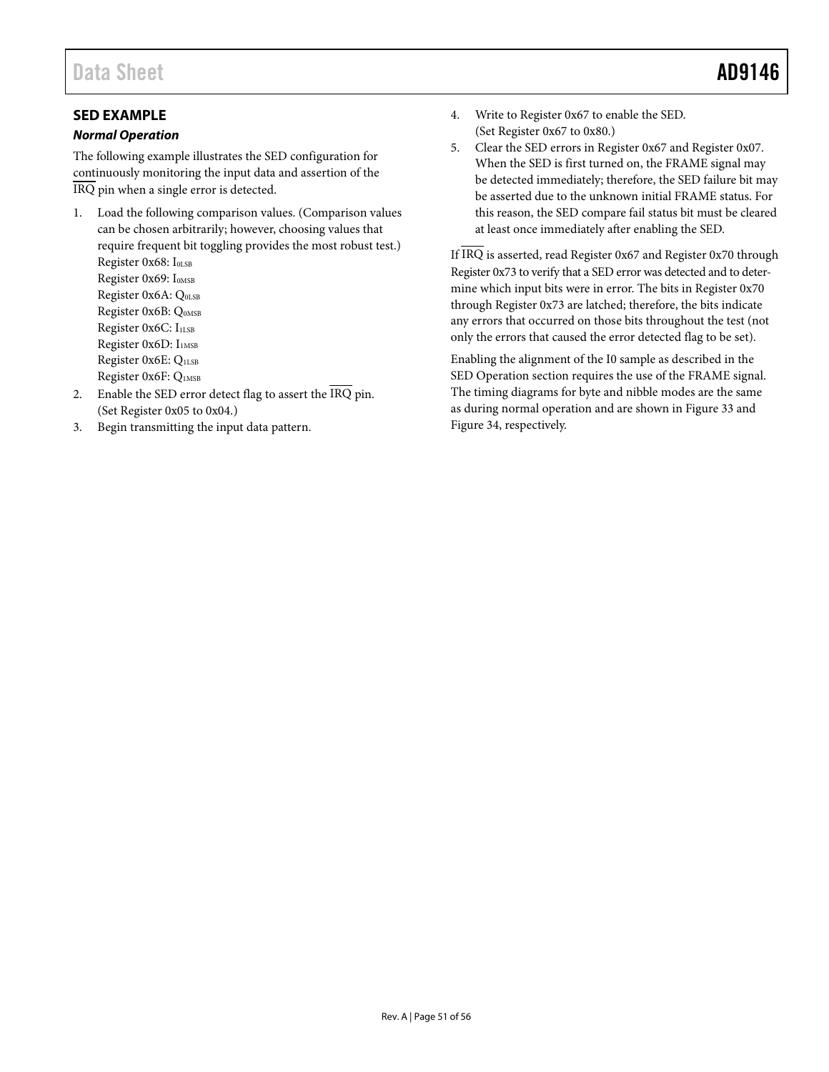### <span id="page-50-0"></span>**SED EXAMPLE**

### *Normal Operation*

The following example illustrates the SED configuration for continuously monitoring the input data and assertion of the IRQ pin when a single error is detected.

- 1. Load the following comparison values. (Comparison values can be chosen arbitrarily; however, choosing values that require frequent bit toggling provides the most robust test.) Register 0x68: IOLSB Register 0x69: I<sub>0MSB</sub> Register 0x6A: Q<sub>0LSB</sub> Register 0x6B: QOMSB Register 0x6C: I<sub>1LSB</sub> Register 0x6D: I<sub>1MSB</sub> Register 0x6E: Q1LSB Register 0x6F: Q1MSB 2. Enable the SED error detect flag to assert the  $\overline{\text{IRQ}}$  pin.
- (Set Register 0x05 to 0x04.)
- 3. Begin transmitting the input data pattern.
- 4. Write to Register 0x67 to enable the SED. (Set Register 0x67 to 0x80.)
- 5. Clear the SED errors in Register 0x67 and Register 0x07. When the SED is first turned on, the FRAME signal may be detected immediately; therefore, the SED failure bit may be asserted due to the unknown initial FRAME status. For this reason, the SED compare fail status bit must be cleared at least once immediately after enabling the SED.

If IRQ is asserted, read Register 0x67 and Register 0x70 through Register 0x73 to verify that a SED error was detected and to determine which input bits were in error. The bits in Register 0x70 through Register 0x73 are latched; therefore, the bits indicate any errors that occurred on those bits throughout the test (not only the errors that caused the error detected flag to be set).

Enabling the alignment of the I0 sample as described in the [SED Operation](#page-49-1) section requires the use of the FRAME signal. The timing diagrams for byte and nibble modes are the same as during normal operation and are shown i[n Figure 33](#page-28-2) and [Figure 34,](#page-28-3) respectively.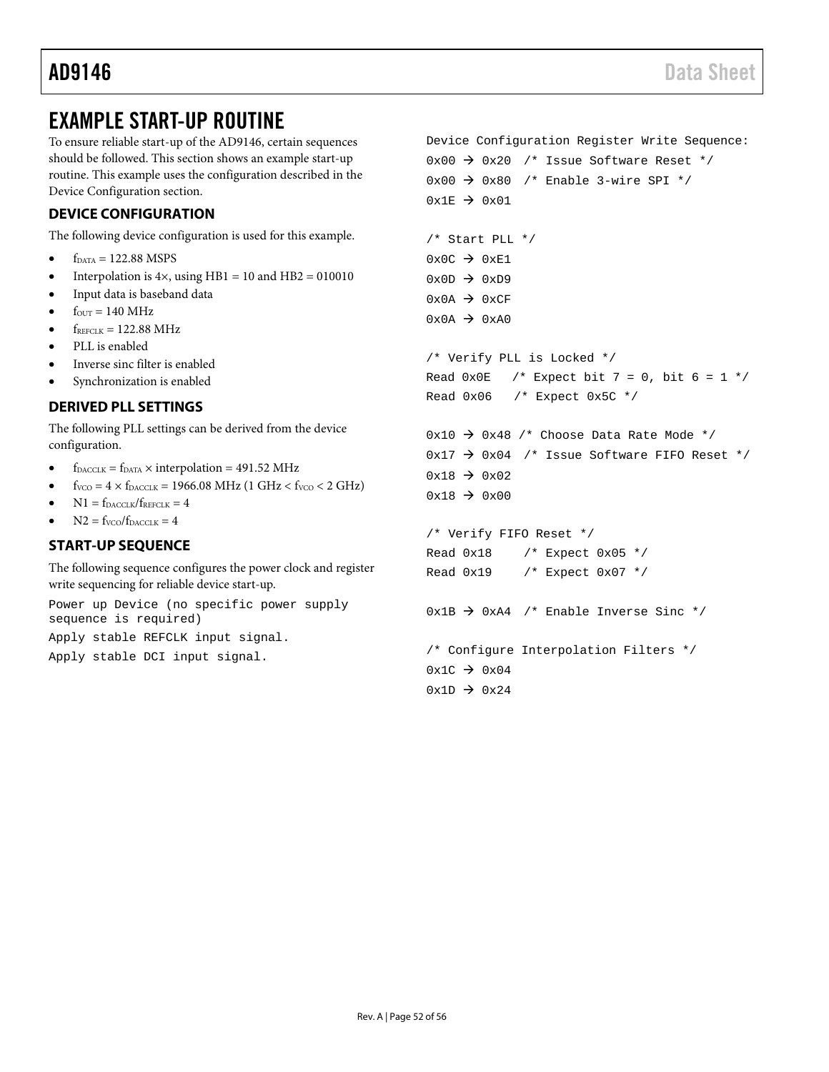## <span id="page-51-0"></span>EXAMPLE START-UP ROUTINE

<span id="page-51-3"></span><span id="page-51-2"></span><span id="page-51-1"></span>To ensure reliable start-up of the AD9146, certain sequences should be followed. This section shows an example start-up routine. This example uses the configuration described in the [Device Configuration](#page-51-1) section. **DEVICE CONFIGURATION** The following device configuration is used for this example.  $\bullet$  f<sub>DATA</sub> = 122.88 MSPS Interpolation is  $4\times$ , using HB1 = 10 and HB2 = 010010 • Input data is baseband data  $f_{\text{OUT}} = 140 \text{ MHz}$  $f_{REFCLK} = 122.88 \text{ MHz}$ PLL is enabled Inverse sinc filter is enabled Synchronization is enabled **DERIVED PLL SETTINGS** The following PLL settings can be derived from the device configuration.  $f_{\text{DACCLK}} = f_{\text{DATA}} \times \text{interpolation} = 491.52 \text{ MHz}$  $f_{VCO} = 4 \times f_{DACCLK} = 1966.08 \text{ MHz}$  (1 GHz <  $f_{VCO}$  < 2 GHz)  $N1 = f_{\text{DACCLK}}/f_{\text{REFCLK}} = 4$  $N2 = f_{VCO}/f_{DACCLK} = 4$ **START-UP SEQUENCE** The following sequence configures the power clock and register write sequencing for reliable device start-up. Power up Device (no specific power supply sequence is required) Apply stable REFCLK input signal. Apply stable DCI input signal. Device Configuration Register Write Sequence:  $0x00 \rightarrow 0x20$  /\* Issue Software Reset \*/  $0x00 \rightarrow 0x80$  /\* Enable 3-wire SPI \*/  $0x1E \rightarrow 0x01$ /\* Start PLL \*/  $0 \times 0C$   $\rightarrow$  0xE1  $0x0D \rightarrow 0xD9$  $0x0A \rightarrow 0xCF$  $0x0A \rightarrow 0xA0$ /\* Verify PLL is Locked \*/ Read  $0x0E$  /\* Expect bit 7 = 0, bit 6 = 1 \*/ Read 0x06 /\* Expect 0x5C \*/  $0x10 \rightarrow 0x48$  /\* Choose Data Rate Mode \*/  $0x17 \rightarrow 0x04$  /\* Issue Software FIFO Reset \*/  $0x18 \rightarrow 0x02$  $0x18 \rightarrow 0x00$ /\* Verify FIFO Reset \*/ Read  $0x18$  /\* Expect  $0x05$  \*/ Read  $0x19$  /\* Expect  $0x07$  \*/  $0x1B \rightarrow 0xA4$  /\* Enable Inverse Sinc \*/ /\* Configure Interpolation Filters \*/  $0x1C \rightarrow 0x04$  $0x1D \rightarrow 0x24$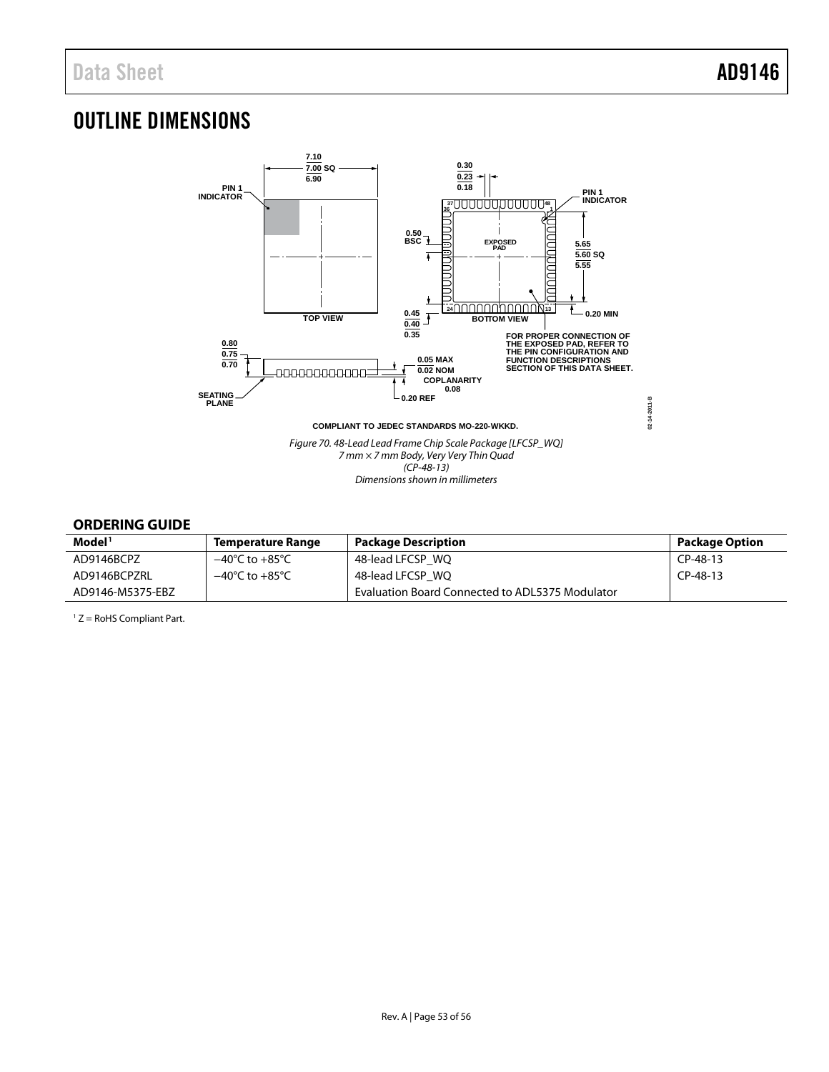## <span id="page-52-0"></span>OUTLINE DIMENSIONS



### <span id="page-52-1"></span>**ORDERING GUIDE**

| Model <sup>1</sup> | <b>Temperature Range</b>           | <b>Package Description</b>                             | Package Option |
|--------------------|------------------------------------|--------------------------------------------------------|----------------|
| AD9146BCPZ         | $-40^{\circ}$ C to $+85^{\circ}$ C | 48-lead LFCSP WO                                       | CP-48-13       |
| AD9146BCPZRL       | $-40^{\circ}$ C to $+85^{\circ}$ C | 48-lead LFCSP WO                                       | $CP-48-13$     |
| AD9146-M5375-EBZ   |                                    | <b>Evaluation Board Connected to ADL5375 Modulator</b> |                |

<sup>1</sup> Z = RoHS Compliant Part.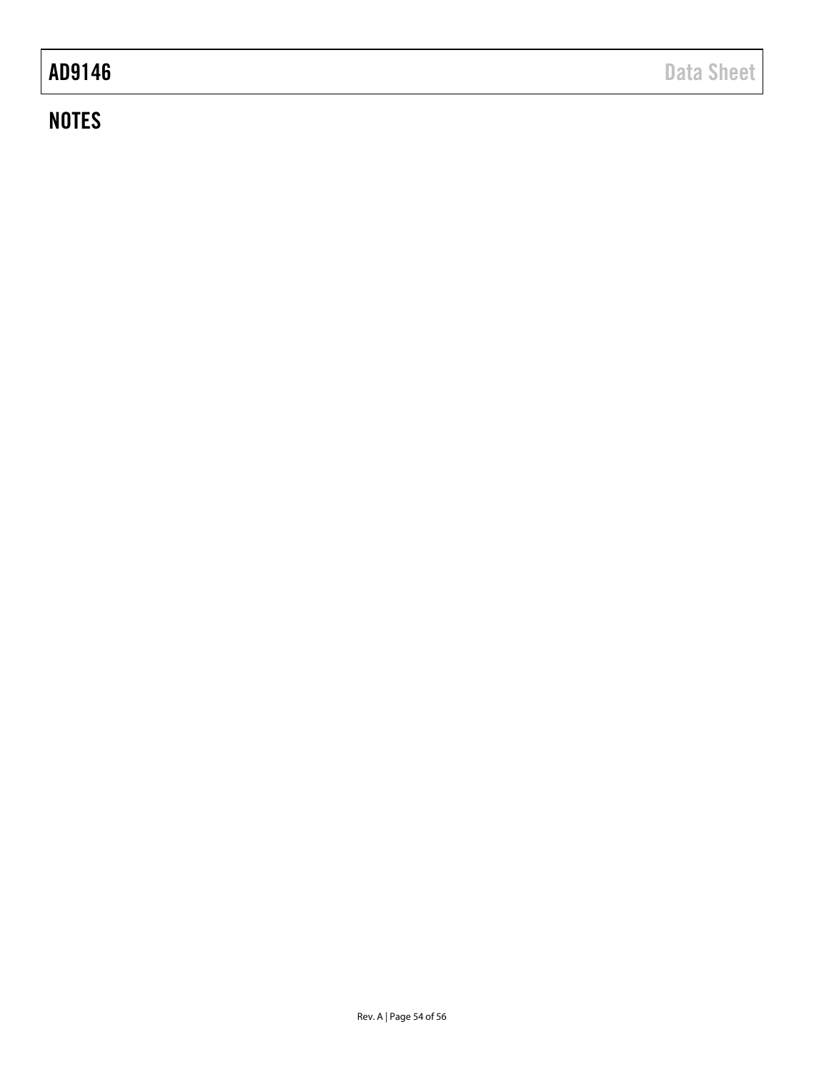# **NOTES**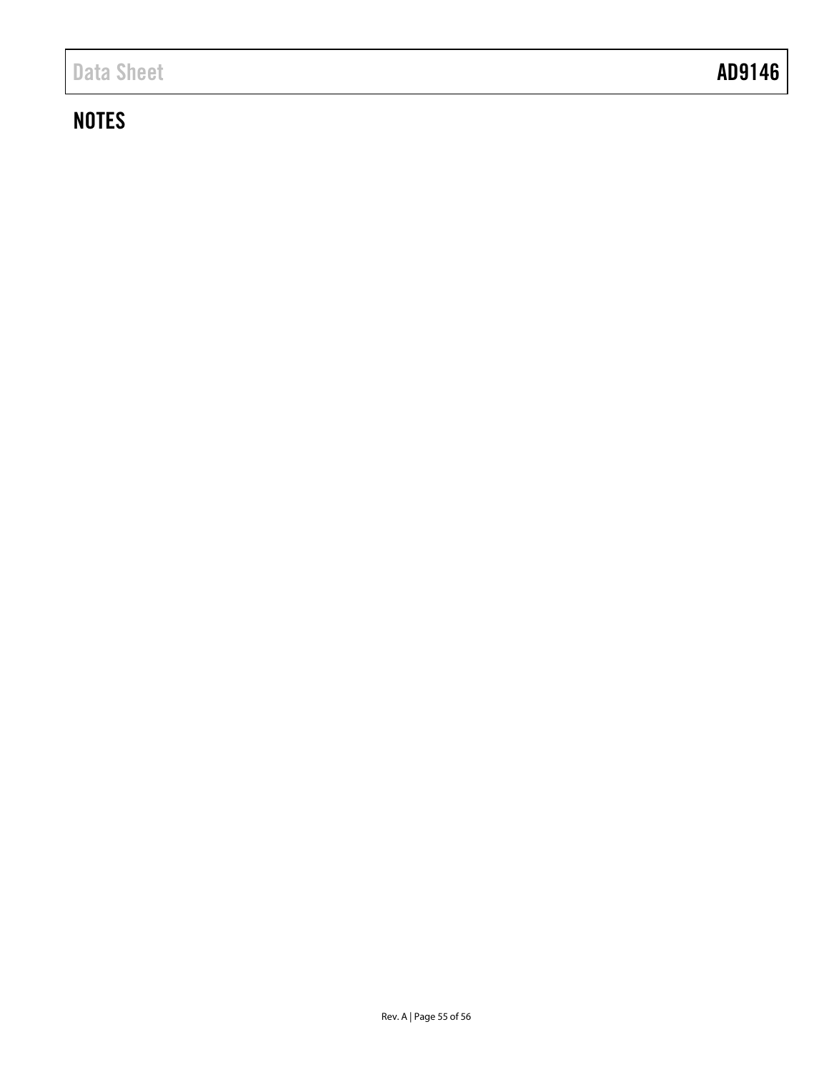# <span id="page-54-0"></span>**NOTES**